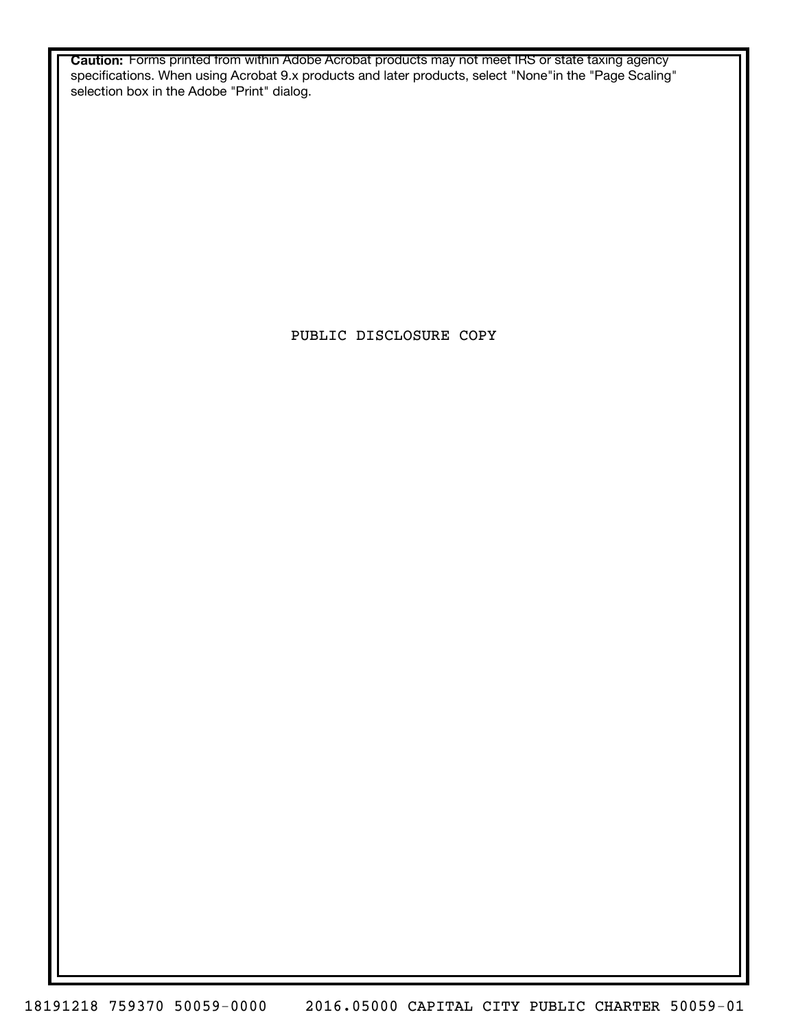**Caution:** Forms printed from within Adobe Acrobat products may not meet IRS or state taxing agency specifications. When using Acrobat 9.x products and later products, select "None"in the "Page Scaling" selection box in the Adobe "Print" dialog.

PUBLIC DISCLOSURE COPY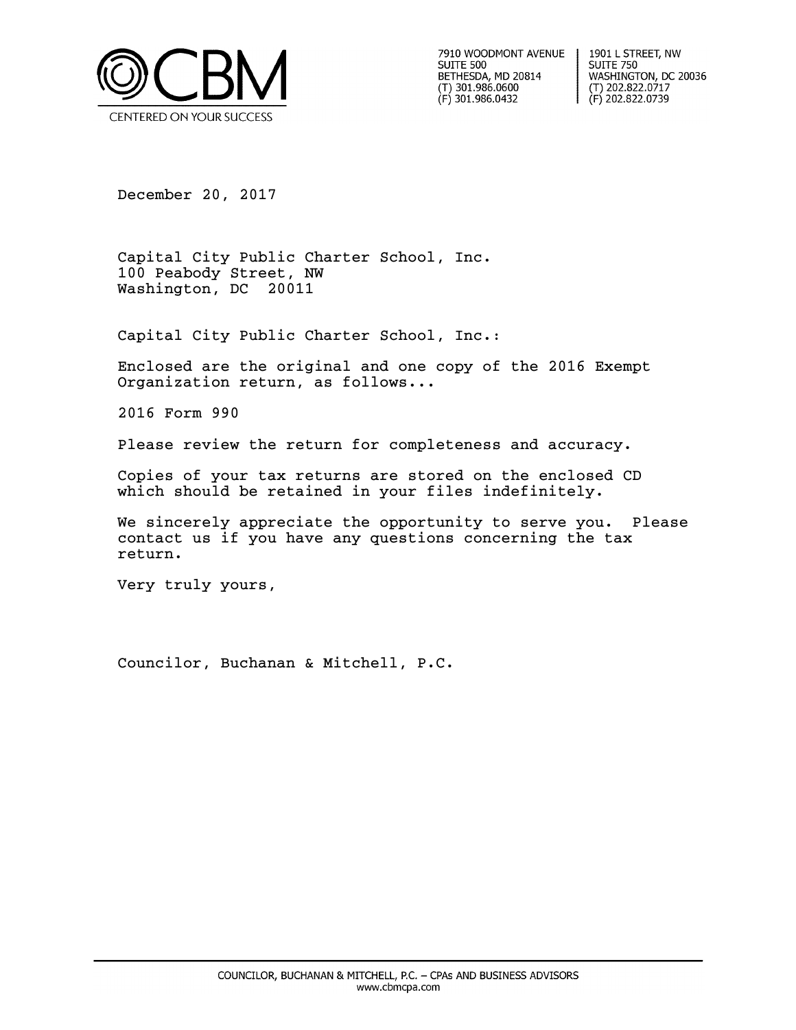

7910 WOODMONT AVENUE **SUITE 500** BETHESDA, MD 20814  $(T)$  301.986.0600 (F) 301.986.0432

1901 L STREET, NW **SUITE 750** WASHINGTON, DC 20036  $(T)$  202.822.0717 (F) 202.822.0739

December 20, 2017

Capital City Public Charter School, Inc. 100 Peabody Street, NW Washington, DC 20011

Capital City Public Charter School, Inc.:

Enclosed are the original and one copy of the 2016 Exempt Organization return, as follows...

2016 Form 990

Please review the return for completeness and accuracy.

Copies of your tax returns are stored on the enclosed CD which should be retained in your files indefinitely.

We sincerely appreciate the opportunity to serve you. Please contact us if you have any questions concerning the tax return.

Very truly yours,

Councilor, Buchanan & Mitchell, P.C.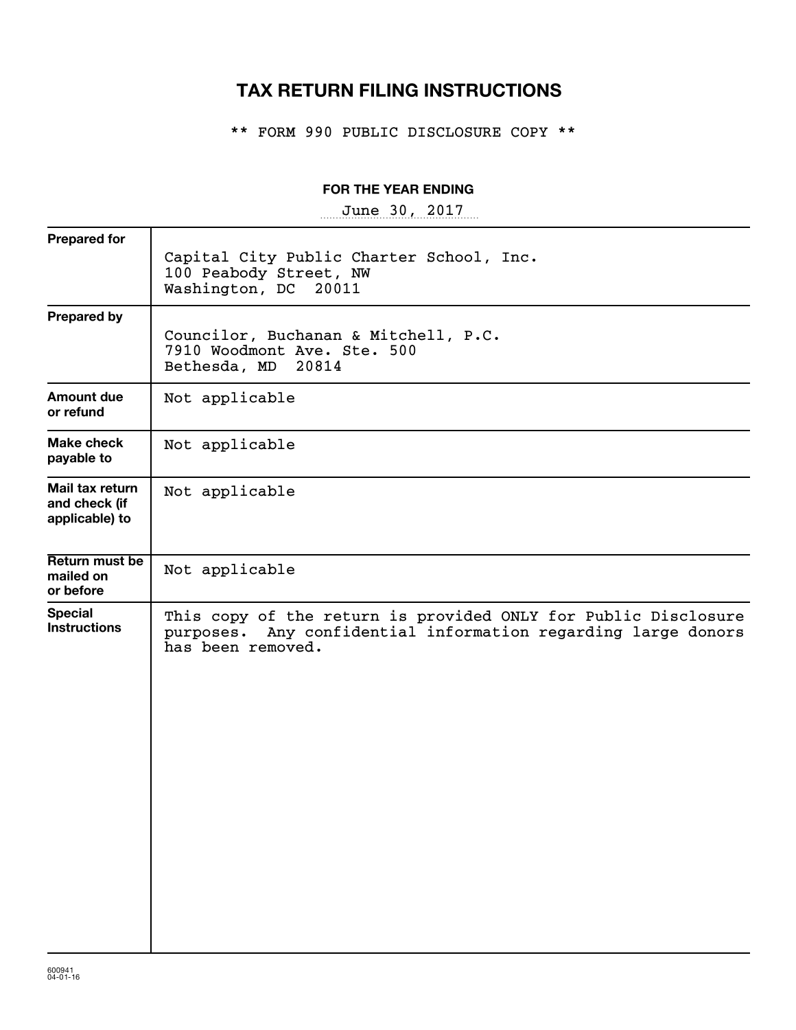## **TAX RETURN FILING INSTRUCTIONS**

\*\* FORM 990 PUBLIC DISCLOSURE COPY \*\*

## **FOR THE YEAR ENDING**

~~~~~~~~~~~~~~~~~ June 30, 2017

| <b>Prepared for</b>                                | Capital City Public Charter School, Inc.<br>100 Peabody Street, NW<br>Washington, DC<br>20011                                                           |
|----------------------------------------------------|---------------------------------------------------------------------------------------------------------------------------------------------------------|
| <b>Prepared by</b>                                 | Councilor, Buchanan & Mitchell, P.C.<br>7910 Woodmont Ave. Ste. 500<br>Bethesda, MD<br>20814                                                            |
| <b>Amount due</b><br>or refund                     | Not applicable                                                                                                                                          |
| Make check<br>payable to                           | Not applicable                                                                                                                                          |
| Mail tax return<br>and check (if<br>applicable) to | Not applicable                                                                                                                                          |
| Return must be<br>mailed on<br>or before           | Not applicable                                                                                                                                          |
| <b>Special</b><br><b>Instructions</b>              | This copy of the return is provided ONLY for Public Disclosure<br>Any confidential information regarding large donors<br>purposes.<br>has been removed. |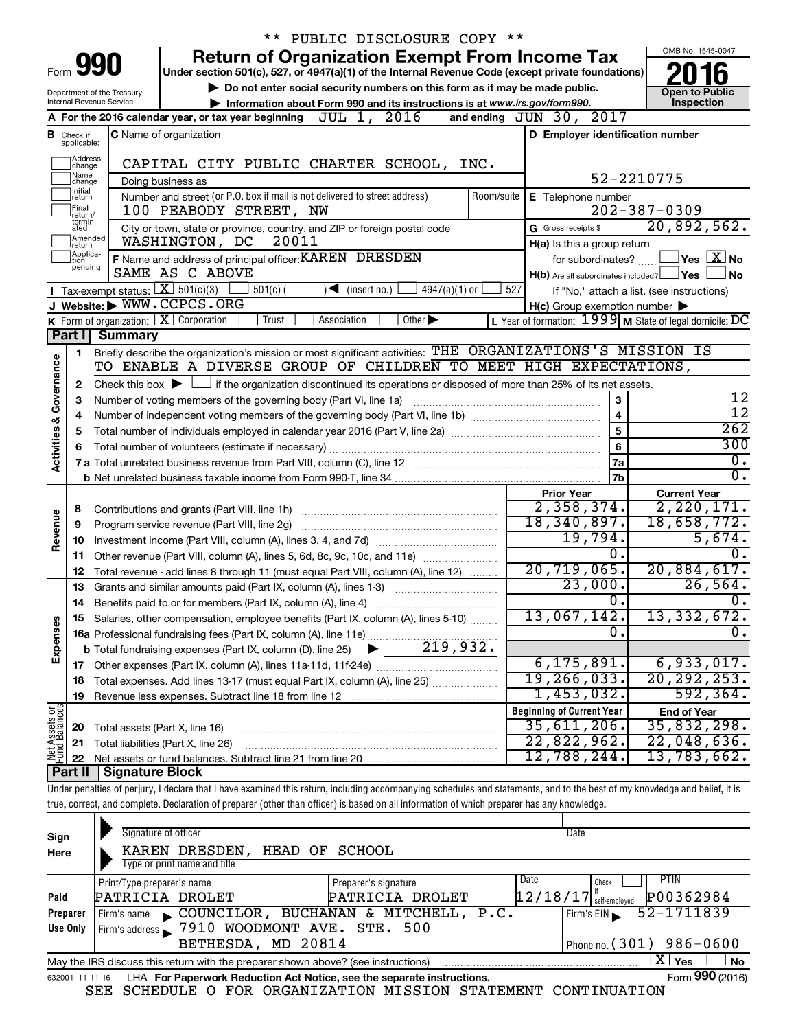|                         |                                  | PUBLIC DISCLOSURE COPY **                                                                                                                                                                            |                                  |                                                     |                                                           |
|-------------------------|----------------------------------|------------------------------------------------------------------------------------------------------------------------------------------------------------------------------------------------------|----------------------------------|-----------------------------------------------------|-----------------------------------------------------------|
|                         |                                  | <b>Return of Organization Exempt From Income Tax</b>                                                                                                                                                 |                                  |                                                     | OMB No. 1545-0047                                         |
| Form                    |                                  | 990<br>Under section 501(c), 527, or 4947(a)(1) of the Internal Revenue Code (except private foundations)                                                                                            |                                  |                                                     |                                                           |
|                         |                                  | $\triangleright$ Do not enter social security numbers on this form as it may be made public.<br>Department of the Treasury                                                                           |                                  | <b>Open to Public</b>                               |                                                           |
|                         |                                  | <b>Internal Revenue Service</b><br>Information about Form 990 and its instructions is at www.irs.gov/form990.                                                                                        |                                  |                                                     | Inspection                                                |
|                         |                                  | A For the 2016 calendar year, or tax year beginning $JUL$ 1, $2016$                                                                                                                                  | and ending JUN 30, 2017          |                                                     |                                                           |
|                         | <b>B</b> Check if<br>applicable: | <b>C</b> Name of organization                                                                                                                                                                        |                                  | D Employer identification number                    |                                                           |
|                         |                                  |                                                                                                                                                                                                      |                                  |                                                     |                                                           |
|                         | Address<br> change<br>Name       | CAPITAL CITY PUBLIC CHARTER SCHOOL, INC.                                                                                                                                                             |                                  | 52-2210775                                          |                                                           |
|                         | change<br>Initial                | Doing business as<br>Number and street (or P.O. box if mail is not delivered to street address)<br>Room/suite                                                                                        |                                  |                                                     |                                                           |
|                         | return<br>Final                  | 100 PEABODY STREET, NW                                                                                                                                                                               |                                  | E Telephone number                                  | $202 - 387 - 0309$                                        |
|                         | return/<br>termin-<br>ated       | City or town, state or province, country, and ZIP or foreign postal code                                                                                                                             | G Gross receipts \$              |                                                     | 20,892,562.                                               |
|                         | Amended<br>return                | 20011<br>WASHINGTON, DC                                                                                                                                                                              |                                  | H(a) Is this a group return                         |                                                           |
|                         | Applica-<br>tion                 | F Name and address of principal officer: KAREN DRESDEN                                                                                                                                               |                                  | for subordinates?                                   | $\blacksquare$ Yes $\boxtimes$ No                         |
|                         | pending                          | SAME AS C ABOVE                                                                                                                                                                                      |                                  | $H(b)$ Are all subordinates included? $\Box$ Yes    | l No                                                      |
|                         |                                  | <b>I</b> Tax-exempt status: $X \ 501(c)(3)$<br>$4947(a)(1)$ or<br>$501(c)$ (<br>$\sqrt{\frac{1}{1}}$ (insert no.)                                                                                    | 527                              |                                                     | If "No," attach a list. (see instructions)                |
|                         |                                  | J Website: WWW.CCPCS.ORG                                                                                                                                                                             |                                  | $H(c)$ Group exemption number $\blacktriangleright$ |                                                           |
|                         |                                  | <b>K</b> Form of organization: $\boxed{\mathbf{X}}$ Corporation<br>Trust<br>Other $\blacktriangleright$<br>Association                                                                               |                                  |                                                     | L Year of formation: $1999$ M State of legal domicile: DC |
|                         | Part I                           | Summary                                                                                                                                                                                              |                                  |                                                     |                                                           |
|                         | 1                                | Briefly describe the organization's mission or most significant activities: THE ORGANIZATIONS'S MISSION IS                                                                                           |                                  |                                                     |                                                           |
| Governance              |                                  | TO ENABLE A DIVERSE GROUP OF CHILDREN TO MEET HIGH EXPECTATIONS,                                                                                                                                     |                                  |                                                     |                                                           |
|                         | 2                                | Check this box $\blacktriangleright$ $\Box$ if the organization discontinued its operations or disposed of more than 25% of its net assets.                                                          |                                  |                                                     |                                                           |
|                         | З                                | Number of voting members of the governing body (Part VI, line 1a)                                                                                                                                    |                                  | 3                                                   | 12                                                        |
|                         | 4                                |                                                                                                                                                                                                      |                                  | $\overline{\mathbf{4}}$                             | $\overline{12}$                                           |
|                         | 5                                |                                                                                                                                                                                                      |                                  | 5                                                   | $\overline{262}$<br>300                                   |
| <b>Activities &amp;</b> | 6                                |                                                                                                                                                                                                      |                                  | 6                                                   | $\overline{0}$ .                                          |
|                         |                                  |                                                                                                                                                                                                      |                                  | 7a                                                  | $\overline{0}$ .                                          |
|                         |                                  |                                                                                                                                                                                                      | <b>Prior Year</b>                | 7b                                                  | <b>Current Year</b>                                       |
|                         | 8                                |                                                                                                                                                                                                      |                                  | 2,358,374.                                          | 2, 220, 171.                                              |
| Revenue                 | 9                                | Program service revenue (Part VIII, line 2g)                                                                                                                                                         | 18, 340, 897.                    |                                                     | 18,658,772.                                               |
|                         | 10                               |                                                                                                                                                                                                      |                                  | 19,794.                                             | 5,674.                                                    |
|                         | 11                               | Other revenue (Part VIII, column (A), lines 5, 6d, 8c, 9c, 10c, and 11e)                                                                                                                             |                                  | 0.                                                  | 0.                                                        |
|                         | 12                               | Total revenue - add lines 8 through 11 (must equal Part VIII, column (A), line 12)                                                                                                                   | 20, 719, 065.                    |                                                     | 20,884,617.                                               |
|                         | 13                               | Grants and similar amounts paid (Part IX, column (A), lines 1-3)                                                                                                                                     |                                  | 23,000.                                             | 26,564.                                                   |
|                         | 14                               | Benefits paid to or for members (Part IX, column (A), line 4)                                                                                                                                        |                                  | $\mathbf{0}$ .                                      | о.                                                        |
|                         |                                  | 15 Salaries, other compensation, employee benefits (Part IX, column (A), lines 5-10)                                                                                                                 | 13,067,142.                      |                                                     | 13, 332, 672.                                             |
| Expenses                |                                  |                                                                                                                                                                                                      |                                  | 0.                                                  | σ.                                                        |
|                         |                                  |                                                                                                                                                                                                      |                                  |                                                     |                                                           |
|                         |                                  |                                                                                                                                                                                                      |                                  | 6, 175, 891.                                        | 6,933,017.                                                |
|                         | 18                               | Total expenses. Add lines 13-17 (must equal Part IX, column (A), line 25)                                                                                                                            | 19,266,033.                      |                                                     | 20, 292, 253.                                             |
|                         | 19                               |                                                                                                                                                                                                      |                                  | $1,453,032$ .                                       | 592, 364.                                                 |
|                         |                                  |                                                                                                                                                                                                      | <b>Beginning of Current Year</b> |                                                     | <b>End of Year</b>                                        |
|                         | 20                               | Total assets (Part X, line 16)                                                                                                                                                                       | 35,611,206.                      |                                                     | 35,832,298.                                               |
| Net Assets or           | 21                               | Total liabilities (Part X, line 26)                                                                                                                                                                  | 22,822,962.                      |                                                     | 22,048,636.                                               |
|                         | 22                               |                                                                                                                                                                                                      | 12,788,244.                      |                                                     | 13,783,662.                                               |
|                         | Part II                          | <b>Signature Block</b><br>Under penalties of perjury, I declare that I have examined this return, including accompanying schedules and statements, and to the best of my knowledge and belief, it is |                                  |                                                     |                                                           |
|                         |                                  | true, correct, and complete. Declaration of preparer (other than officer) is based on all information of which preparer has any knowledge.                                                           |                                  |                                                     |                                                           |
|                         |                                  |                                                                                                                                                                                                      |                                  |                                                     |                                                           |
|                         |                                  |                                                                                                                                                                                                      |                                  |                                                     |                                                           |

| Sign     | Signature of officer                                                                                              |                      |      | Date                     |                            |  |  |  |
|----------|-------------------------------------------------------------------------------------------------------------------|----------------------|------|--------------------------|----------------------------|--|--|--|
| Here     | DRESDEN,<br>HEAD OF<br>KAREN                                                                                      | SCHOOL               |      |                          |                            |  |  |  |
|          | Type or print name and title                                                                                      |                      |      |                          |                            |  |  |  |
|          | Print/Type preparer's name                                                                                        | Preparer's signature | Date | Check                    | PTIN                       |  |  |  |
| Paid     | PATRICIA DROLET                                                                                                   | PATRICIA DROLET      |      | $12/18/17$ self-employed | P00362984                  |  |  |  |
| Preparer | COUNCILOR, BUCHANAN & MITCHELL,<br>Firm's name<br>$\blacksquare$                                                  |                      | P.C. | Firm's $EIN$             | 52-1711839                 |  |  |  |
| Use Only | 7910 WOODMONT AVE. STE. 500<br>Firm's address                                                                     |                      |      |                          |                            |  |  |  |
|          | BETHESDA, MD 20814                                                                                                |                      |      |                          | Phone no. $(301)$ 986-0600 |  |  |  |
|          | $X \mid$<br><b>No</b><br>Yes<br>May the IRS discuss this return with the preparer shown above? (see instructions) |                      |      |                          |                            |  |  |  |
|          | Form 990 (2016)<br>LHA For Paperwork Reduction Act Notice, see the separate instructions.<br>632001 11-11-16      |                      |      |                          |                            |  |  |  |

SEE SCHEDULE O FOR ORGANIZATION MISSION STATEMENT CONTINUATION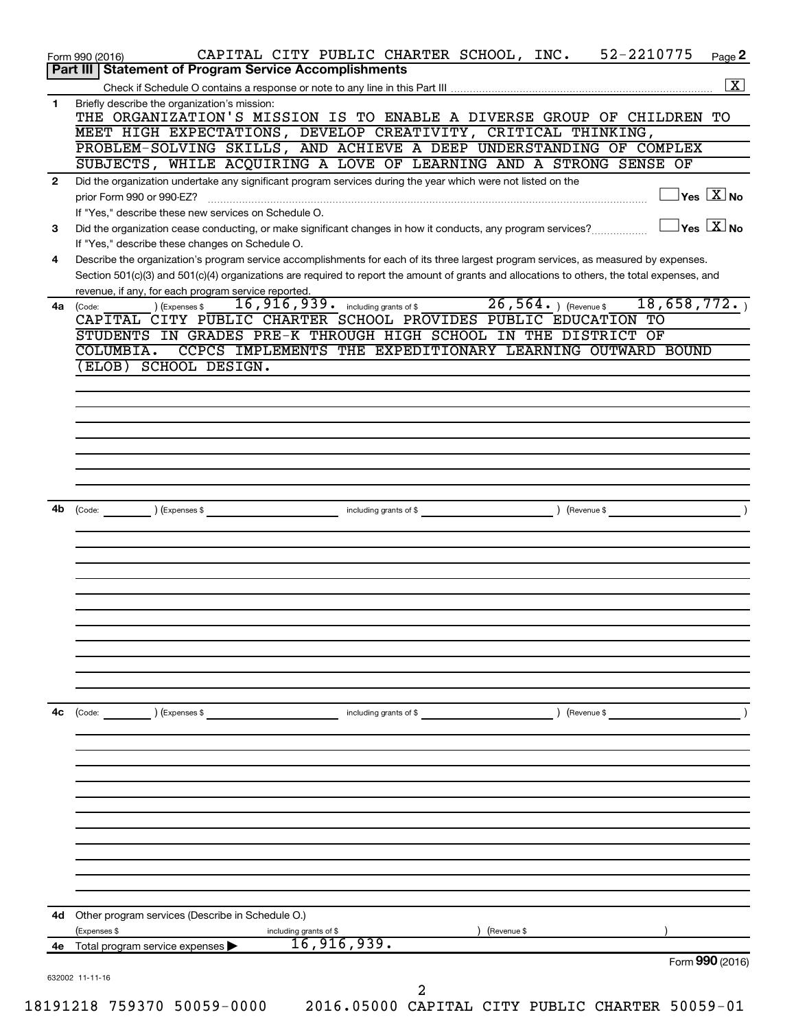| CAPITAL CITY PUBLIC CHARTER SCHOOL, INC. 52-2210775                                                                                          | Page 2                                  |
|----------------------------------------------------------------------------------------------------------------------------------------------|-----------------------------------------|
| <b>Part III   Statement of Program Service Accomplishments</b>                                                                               |                                         |
|                                                                                                                                              | $\boxed{\mathbf{X}}$                    |
| THE ORGANIZATION'S MISSION IS TO ENABLE A DIVERSE GROUP OF CHILDREN TO                                                                       |                                         |
| MEET HIGH EXPECTATIONS, DEVELOP CREATIVITY, CRITICAL THINKING,                                                                               |                                         |
| PROBLEM-SOLVING SKILLS, AND ACHIEVE A DEEP UNDERSTANDING OF COMPLEX                                                                          |                                         |
| SUBJECTS, WHILE ACQUIRING A LOVE OF LEARNING AND A STRONG SENSE OF                                                                           |                                         |
| Did the organization undertake any significant program services during the year which were not listed on the                                 |                                         |
|                                                                                                                                              | $\Box$ Yes $[\overline{\mathrm{X}}]$ No |
| $\Box$ Yes $\boxed{\text{X}}$ No                                                                                                             |                                         |
| Did the organization cease conducting, or make significant changes in how it conducts, any program services?                                 |                                         |
| Describe the organization's program service accomplishments for each of its three largest program services, as measured by expenses.         |                                         |
| Section 501(c)(3) and 501(c)(4) organizations are required to report the amount of grants and allocations to others, the total expenses, and |                                         |
|                                                                                                                                              |                                         |
| 16,916,939. including grants of \$26,564. ) (Revenue \$<br>18,658,772.                                                                       |                                         |
| CAPITAL CITY PUBLIC CHARTER SCHOOL PROVIDES PUBLIC EDUCATION TO                                                                              |                                         |
| STUDENTS IN GRADES PRE-K THROUGH HIGH SCHOOL IN THE DISTRICT OF                                                                              |                                         |
| CCPCS IMPLEMENTS THE EXPEDITIONARY LEARNING OUTWARD BOUND                                                                                    |                                         |
|                                                                                                                                              |                                         |
|                                                                                                                                              |                                         |
|                                                                                                                                              |                                         |
|                                                                                                                                              |                                         |
|                                                                                                                                              |                                         |
|                                                                                                                                              |                                         |
|                                                                                                                                              |                                         |
|                                                                                                                                              |                                         |
|                                                                                                                                              |                                         |
|                                                                                                                                              |                                         |
|                                                                                                                                              |                                         |
|                                                                                                                                              |                                         |
|                                                                                                                                              |                                         |
|                                                                                                                                              |                                         |
|                                                                                                                                              |                                         |
|                                                                                                                                              |                                         |
|                                                                                                                                              |                                         |
|                                                                                                                                              |                                         |
|                                                                                                                                              |                                         |
|                                                                                                                                              |                                         |
| ) (Revenue \$<br>including grants of \$                                                                                                      |                                         |
|                                                                                                                                              |                                         |
|                                                                                                                                              |                                         |
|                                                                                                                                              |                                         |
|                                                                                                                                              |                                         |
|                                                                                                                                              |                                         |
|                                                                                                                                              |                                         |
|                                                                                                                                              |                                         |
|                                                                                                                                              |                                         |
|                                                                                                                                              |                                         |
|                                                                                                                                              |                                         |
|                                                                                                                                              |                                         |
| (Revenue \$                                                                                                                                  |                                         |
| 16,916,939.                                                                                                                                  |                                         |
|                                                                                                                                              |                                         |
| Form 990 (2016)                                                                                                                              |                                         |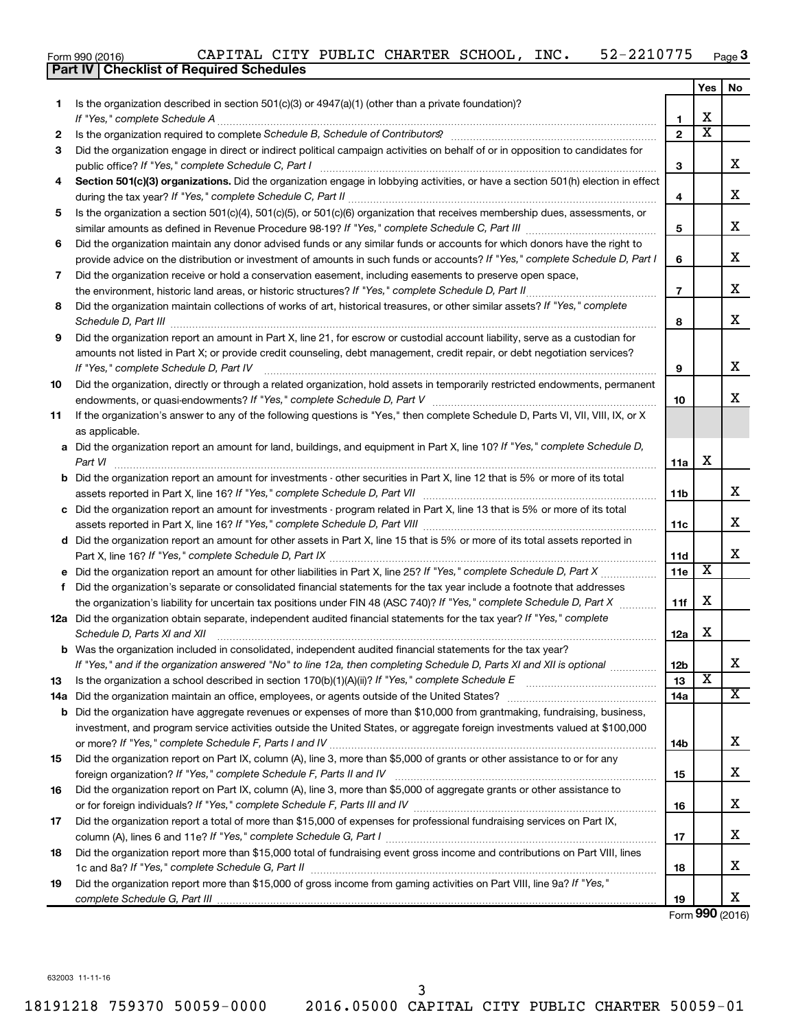|  | Form 990 (2016) |  |
|--|-----------------|--|

|     | <b>Part IV   Checklist of Required Schedules</b>                                                                                                                                                                                    |                         |                         |    |
|-----|-------------------------------------------------------------------------------------------------------------------------------------------------------------------------------------------------------------------------------------|-------------------------|-------------------------|----|
|     |                                                                                                                                                                                                                                     |                         | Yes                     | No |
| 1.  | Is the organization described in section $501(c)(3)$ or $4947(a)(1)$ (other than a private foundation)?                                                                                                                             |                         |                         |    |
|     |                                                                                                                                                                                                                                     | 1                       | х                       |    |
| 2   | Is the organization required to complete Schedule B, Schedule of Contributors? [11] [12] the organization required to complete Schedule B, Schedule of Contributors?                                                                | $\overline{2}$          | $\overline{\text{x}}$   |    |
| 3   | Did the organization engage in direct or indirect political campaign activities on behalf of or in opposition to candidates for                                                                                                     |                         |                         |    |
|     |                                                                                                                                                                                                                                     | 3                       |                         | X  |
| 4   | Section 501(c)(3) organizations. Did the organization engage in lobbying activities, or have a section 501(h) election in effect                                                                                                    |                         |                         |    |
|     |                                                                                                                                                                                                                                     | $\overline{\mathbf{4}}$ |                         | X  |
|     |                                                                                                                                                                                                                                     |                         |                         |    |
| 5   | Is the organization a section 501(c)(4), 501(c)(5), or 501(c)(6) organization that receives membership dues, assessments, or                                                                                                        |                         |                         | X  |
|     |                                                                                                                                                                                                                                     | 5                       |                         |    |
| 6   | Did the organization maintain any donor advised funds or any similar funds or accounts for which donors have the right to                                                                                                           |                         |                         |    |
|     | provide advice on the distribution or investment of amounts in such funds or accounts? If "Yes," complete Schedule D, Part I                                                                                                        | 6                       |                         | х  |
| 7   | Did the organization receive or hold a conservation easement, including easements to preserve open space,                                                                                                                           |                         |                         |    |
|     |                                                                                                                                                                                                                                     | $\overline{7}$          |                         | x  |
| 8   | Did the organization maintain collections of works of art, historical treasures, or other similar assets? If "Yes," complete                                                                                                        |                         |                         |    |
|     | Schedule D, Part III <b>Marting Community</b> Contains and Contains and Contains and Contains and Contains and Contains and Contains and Contains and Contains and Contains and Contains and Contains and Contains and Contains and | 8                       |                         | X  |
| 9   | Did the organization report an amount in Part X, line 21, for escrow or custodial account liability, serve as a custodian for                                                                                                       |                         |                         |    |
|     | amounts not listed in Part X; or provide credit counseling, debt management, credit repair, or debt negotiation services?                                                                                                           |                         |                         |    |
|     |                                                                                                                                                                                                                                     | 9                       |                         | X  |
| 10  | Did the organization, directly or through a related organization, hold assets in temporarily restricted endowments, permanent                                                                                                       |                         |                         |    |
|     |                                                                                                                                                                                                                                     | 10                      |                         | x  |
| 11  | If the organization's answer to any of the following questions is "Yes," then complete Schedule D, Parts VI, VII, VIII, IX, or X                                                                                                    |                         |                         |    |
|     | as applicable.                                                                                                                                                                                                                      |                         |                         |    |
|     | a Did the organization report an amount for land, buildings, and equipment in Part X, line 10? If "Yes," complete Schedule D,                                                                                                       |                         |                         |    |
|     | Part VI                                                                                                                                                                                                                             | 11a                     | X                       |    |
|     | <b>b</b> Did the organization report an amount for investments - other securities in Part X, line 12 that is 5% or more of its total                                                                                                |                         |                         |    |
|     |                                                                                                                                                                                                                                     | 11b                     |                         | х  |
|     | c Did the organization report an amount for investments - program related in Part X, line 13 that is 5% or more of its total                                                                                                        |                         |                         |    |
|     |                                                                                                                                                                                                                                     | 11c                     |                         | х  |
|     | d Did the organization report an amount for other assets in Part X, line 15 that is 5% or more of its total assets reported in                                                                                                      |                         |                         |    |
|     |                                                                                                                                                                                                                                     | 11d                     |                         | X  |
|     |                                                                                                                                                                                                                                     | 11e                     | $\overline{\textbf{x}}$ |    |
|     |                                                                                                                                                                                                                                     |                         |                         |    |
|     | f Did the organization's separate or consolidated financial statements for the tax year include a footnote that addresses                                                                                                           |                         | X                       |    |
|     | the organization's liability for uncertain tax positions under FIN 48 (ASC 740)? If "Yes," complete Schedule D, Part X                                                                                                              | 11f                     |                         |    |
|     | 12a Did the organization obtain separate, independent audited financial statements for the tax year? If "Yes," complete                                                                                                             |                         | X                       |    |
|     | Schedule D, Parts XI and XII                                                                                                                                                                                                        | 12a                     |                         |    |
| b   | Was the organization included in consolidated, independent audited financial statements for the tax year?                                                                                                                           |                         |                         | х  |
|     | If "Yes," and if the organization answered "No" to line 12a, then completing Schedule D, Parts XI and XII is optional <i>manumum</i>                                                                                                | 12 <sub>b</sub>         | $\overline{\textbf{x}}$ |    |
| 13  |                                                                                                                                                                                                                                     | 13                      |                         | х  |
| 14a |                                                                                                                                                                                                                                     | 14a                     |                         |    |
| b   | Did the organization have aggregate revenues or expenses of more than \$10,000 from grantmaking, fundraising, business,                                                                                                             |                         |                         |    |
|     | investment, and program service activities outside the United States, or aggregate foreign investments valued at \$100,000                                                                                                          |                         |                         |    |
|     |                                                                                                                                                                                                                                     | 14b                     |                         | х  |
| 15  | Did the organization report on Part IX, column (A), line 3, more than \$5,000 of grants or other assistance to or for any                                                                                                           |                         |                         |    |
|     |                                                                                                                                                                                                                                     | 15                      |                         | х  |
| 16  | Did the organization report on Part IX, column (A), line 3, more than \$5,000 of aggregate grants or other assistance to                                                                                                            |                         |                         |    |
|     |                                                                                                                                                                                                                                     | 16                      |                         | х  |
| 17  | Did the organization report a total of more than \$15,000 of expenses for professional fundraising services on Part IX,                                                                                                             |                         |                         |    |
|     |                                                                                                                                                                                                                                     | 17                      |                         | х  |
| 18  | Did the organization report more than \$15,000 total of fundraising event gross income and contributions on Part VIII, lines                                                                                                        |                         |                         |    |
|     |                                                                                                                                                                                                                                     | 18                      |                         | х  |
| 19  | Did the organization report more than \$15,000 of gross income from gaming activities on Part VIII, line 9a? If "Yes,"                                                                                                              |                         |                         |    |
|     |                                                                                                                                                                                                                                     | 19                      |                         | X  |

Form (2016) **990**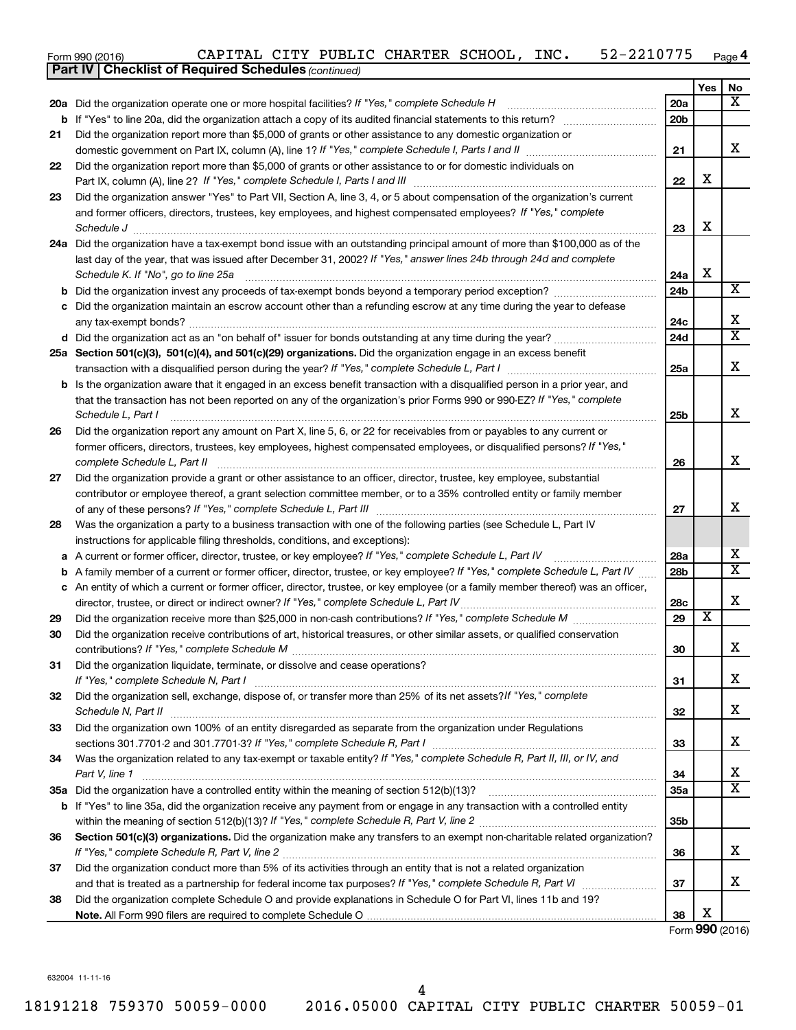| Form 990 (2016) | CAPITAL |  |  | , CITY PUBLIC CHARTER SCHOOL, |  | INC. | .0775<br>– 2 ب<br>44 | Page 4 |
|-----------------|---------|--|--|-------------------------------|--|------|----------------------|--------|
|-----------------|---------|--|--|-------------------------------|--|------|----------------------|--------|

|    | <b>Part IV   Checklist of Required Schedules (continued)</b>                                                                        |                 |                         |                         |
|----|-------------------------------------------------------------------------------------------------------------------------------------|-----------------|-------------------------|-------------------------|
|    |                                                                                                                                     |                 | Yes                     | No                      |
|    | 20a Did the organization operate one or more hospital facilities? If "Yes," complete Schedule H                                     | <b>20a</b>      |                         | x                       |
|    | <b>b</b> If "Yes" to line 20a, did the organization attach a copy of its audited financial statements to this return?               | 20 <sub>b</sub> |                         |                         |
| 21 | Did the organization report more than \$5,000 of grants or other assistance to any domestic organization or                         |                 |                         |                         |
|    |                                                                                                                                     | 21              |                         | x                       |
| 22 | Did the organization report more than \$5,000 of grants or other assistance to or for domestic individuals on                       |                 |                         |                         |
|    |                                                                                                                                     | 22              | X                       |                         |
| 23 | Did the organization answer "Yes" to Part VII, Section A, line 3, 4, or 5 about compensation of the organization's current          |                 |                         |                         |
|    | and former officers, directors, trustees, key employees, and highest compensated employees? If "Yes," complete                      |                 |                         |                         |
|    | Schedule J <b>Execute Schedule J Execute Schedule J</b>                                                                             | 23              | X                       |                         |
|    | 24a Did the organization have a tax-exempt bond issue with an outstanding principal amount of more than \$100,000 as of the         |                 |                         |                         |
|    | last day of the year, that was issued after December 31, 2002? If "Yes," answer lines 24b through 24d and complete                  |                 | X                       |                         |
|    | Schedule K. If "No", go to line 25a                                                                                                 | 24a             |                         | X                       |
|    |                                                                                                                                     | 24 <sub>b</sub> |                         |                         |
|    | c Did the organization maintain an escrow account other than a refunding escrow at any time during the year to defease              | 24c             |                         | Χ                       |
|    |                                                                                                                                     | 24d             |                         | $\overline{\mathbf{x}}$ |
|    |                                                                                                                                     |                 |                         |                         |
|    | 25a Section 501(c)(3), 501(c)(4), and 501(c)(29) organizations. Did the organization engage in an excess benefit                    | 25a             |                         | X                       |
|    | <b>b</b> Is the organization aware that it engaged in an excess benefit transaction with a disqualified person in a prior year, and |                 |                         |                         |
|    | that the transaction has not been reported on any of the organization's prior Forms 990 or 990-EZ? If "Yes," complete               |                 |                         |                         |
|    | Schedule L, Part I                                                                                                                  | 25b             |                         | X                       |
| 26 | Did the organization report any amount on Part X, line 5, 6, or 22 for receivables from or payables to any current or               |                 |                         |                         |
|    | former officers, directors, trustees, key employees, highest compensated employees, or disqualified persons? If "Yes,"              |                 |                         |                         |
|    | complete Schedule L, Part II                                                                                                        | 26              |                         | X                       |
| 27 | Did the organization provide a grant or other assistance to an officer, director, trustee, key employee, substantial                |                 |                         |                         |
|    | contributor or employee thereof, a grant selection committee member, or to a 35% controlled entity or family member                 |                 |                         |                         |
|    |                                                                                                                                     | 27              |                         | X                       |
| 28 | Was the organization a party to a business transaction with one of the following parties (see Schedule L, Part IV                   |                 |                         |                         |
|    | instructions for applicable filing thresholds, conditions, and exceptions):                                                         |                 |                         |                         |
| а  | A current or former officer, director, trustee, or key employee? If "Yes," complete Schedule L, Part IV                             | 28a             |                         | х                       |
| b  | A family member of a current or former officer, director, trustee, or key employee? If "Yes," complete Schedule L, Part IV          | 28 <sub>b</sub> |                         | $\overline{\mathbf{x}}$ |
|    | c An entity of which a current or former officer, director, trustee, or key employee (or a family member thereof) was an officer,   |                 |                         |                         |
|    | director, trustee, or direct or indirect owner? If "Yes," complete Schedule L, Part IV.                                             | 28c             |                         | Χ                       |
| 29 |                                                                                                                                     | 29              | $\overline{\textbf{x}}$ |                         |
| 30 | Did the organization receive contributions of art, historical treasures, or other similar assets, or qualified conservation         |                 |                         |                         |
|    |                                                                                                                                     | 30              |                         | ▵                       |
| 31 | Did the organization liquidate, terminate, or dissolve and cease operations?                                                        | 31              |                         | x                       |
| 32 | Did the organization sell, exchange, dispose of, or transfer more than 25% of its net assets? If "Yes," complete                    |                 |                         |                         |
|    |                                                                                                                                     | 32              |                         | х                       |
| 33 | Did the organization own 100% of an entity disregarded as separate from the organization under Regulations                          |                 |                         |                         |
|    |                                                                                                                                     | 33              |                         | x                       |
| 34 | Was the organization related to any tax-exempt or taxable entity? If "Yes," complete Schedule R, Part II, III, or IV, and           |                 |                         |                         |
|    | Part V, line 1                                                                                                                      | 34              |                         | x                       |
|    |                                                                                                                                     | 35a             |                         | $\overline{\mathbf{x}}$ |
|    | b If "Yes" to line 35a, did the organization receive any payment from or engage in any transaction with a controlled entity         |                 |                         |                         |
|    |                                                                                                                                     | 35 <sub>b</sub> |                         |                         |
| 36 | Section 501(c)(3) organizations. Did the organization make any transfers to an exempt non-charitable related organization?          |                 |                         |                         |
|    |                                                                                                                                     | 36              |                         | x                       |
| 37 | Did the organization conduct more than 5% of its activities through an entity that is not a related organization                    |                 |                         |                         |
|    |                                                                                                                                     | 37              |                         | x                       |
| 38 | Did the organization complete Schedule O and provide explanations in Schedule O for Part VI, lines 11b and 19?                      |                 | х                       |                         |
|    |                                                                                                                                     | 38              |                         | Form 990 (2016)         |
|    |                                                                                                                                     |                 |                         |                         |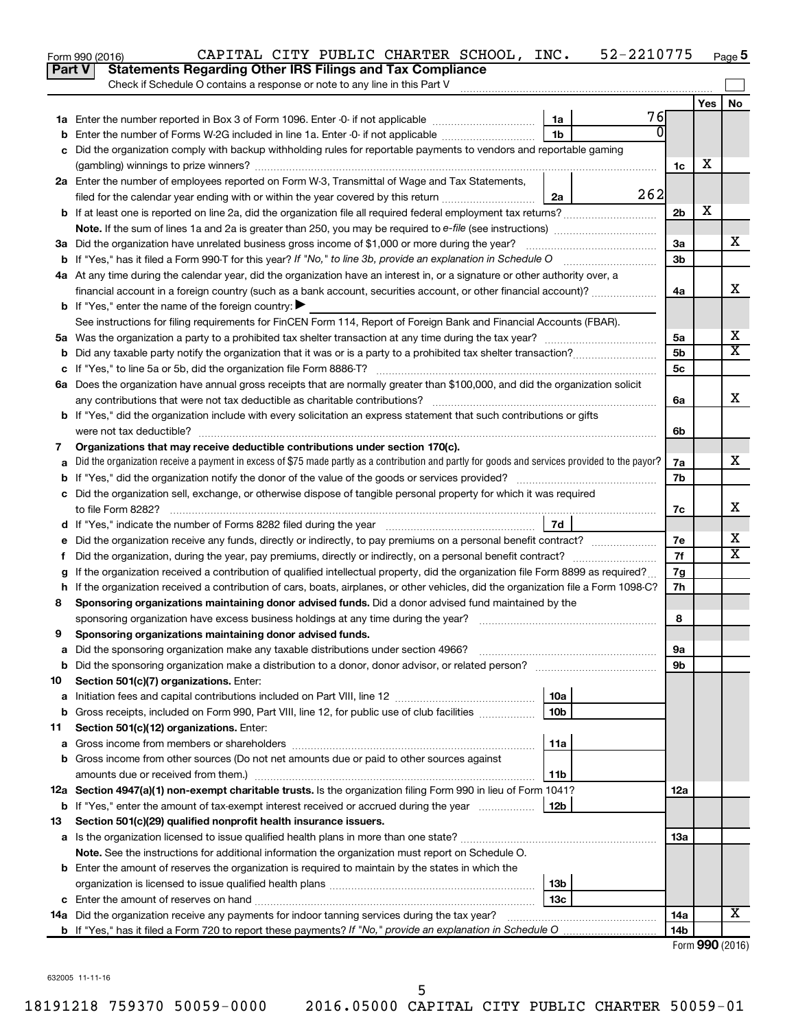|               | 52-2210775<br>CAPITAL CITY PUBLIC CHARTER SCHOOL, INC.<br>Form 990 (2016)                                                                       |                 |                 | Page 5 |
|---------------|-------------------------------------------------------------------------------------------------------------------------------------------------|-----------------|-----------------|--------|
| <b>Part V</b> | <b>Statements Regarding Other IRS Filings and Tax Compliance</b>                                                                                |                 |                 |        |
|               | Check if Schedule O contains a response or note to any line in this Part V                                                                      |                 |                 |        |
|               |                                                                                                                                                 |                 | Yes             | No     |
|               | 76<br>1a                                                                                                                                        |                 |                 |        |
| b             | 0<br>1 <sub>b</sub><br>Enter the number of Forms W-2G included in line 1a. Enter -0- if not applicable                                          |                 |                 |        |
| c             | Did the organization comply with backup withholding rules for reportable payments to vendors and reportable gaming                              |                 |                 |        |
|               |                                                                                                                                                 | 1c              | X               |        |
|               | 2a Enter the number of employees reported on Form W-3, Transmittal of Wage and Tax Statements,                                                  |                 |                 |        |
|               | 262<br>filed for the calendar year ending with or within the year covered by this return<br>2a                                                  |                 |                 |        |
|               |                                                                                                                                                 | 2 <sub>b</sub>  | х               |        |
|               |                                                                                                                                                 |                 |                 |        |
|               |                                                                                                                                                 | 3a              |                 | x      |
|               |                                                                                                                                                 | 3 <sub>b</sub>  |                 |        |
|               | 4a At any time during the calendar year, did the organization have an interest in, or a signature or other authority over, a                    |                 |                 |        |
|               | financial account in a foreign country (such as a bank account, securities account, or other financial account)?                                | 4a              |                 | х      |
|               | <b>b</b> If "Yes," enter the name of the foreign country: $\blacktriangleright$                                                                 |                 |                 |        |
|               | See instructions for filing requirements for FinCEN Form 114, Report of Foreign Bank and Financial Accounts (FBAR).                             |                 |                 |        |
|               |                                                                                                                                                 | 5a              |                 | х      |
| b             |                                                                                                                                                 | 5 <sub>b</sub>  |                 | X      |
|               |                                                                                                                                                 | 5c              |                 |        |
|               | 6a Does the organization have annual gross receipts that are normally greater than \$100,000, and did the organization solicit                  |                 |                 |        |
|               |                                                                                                                                                 | 6a              |                 | x      |
|               | <b>b</b> If "Yes," did the organization include with every solicitation an express statement that such contributions or gifts                   |                 |                 |        |
|               |                                                                                                                                                 | 6b              |                 |        |
| 7             | Organizations that may receive deductible contributions under section 170(c).                                                                   |                 |                 |        |
| a             | Did the organization receive a payment in excess of \$75 made partly as a contribution and partly for goods and services provided to the payor? | 7a              |                 | x      |
| b             |                                                                                                                                                 | 7b              |                 |        |
|               | c Did the organization sell, exchange, or otherwise dispose of tangible personal property for which it was required                             |                 |                 |        |
|               |                                                                                                                                                 | 7с              |                 | x      |
|               | 7d                                                                                                                                              |                 |                 |        |
|               |                                                                                                                                                 | 7e              |                 | х      |
| Ť.            | Did the organization, during the year, pay premiums, directly or indirectly, on a personal benefit contract?                                    | 7f              |                 | X      |
| g             | If the organization received a contribution of qualified intellectual property, did the organization file Form 8899 as required?                | 7g              |                 |        |
|               | h If the organization received a contribution of cars, boats, airplanes, or other vehicles, did the organization file a Form 1098-C?            | 7h              |                 |        |
| 8             | Sponsoring organizations maintaining donor advised funds. Did a donor advised fund maintained by the                                            |                 |                 |        |
|               |                                                                                                                                                 | 8               |                 |        |
|               | Sponsoring organizations maintaining donor advised funds.                                                                                       |                 |                 |        |
| а             | Did the sponsoring organization make any taxable distributions under section 4966?                                                              | 9а              |                 |        |
| b             | Did the sponsoring organization make a distribution to a donor, donor advisor, or related person?                                               | 9b              |                 |        |
| 10            | Section 501(c)(7) organizations. Enter:                                                                                                         |                 |                 |        |
| a             | 10a                                                                                                                                             |                 |                 |        |
| b             | 10 <sub>b</sub><br>Gross receipts, included on Form 990, Part VIII, line 12, for public use of club facilities                                  |                 |                 |        |
| 11            | Section 501(c)(12) organizations. Enter:                                                                                                        |                 |                 |        |
| а             | 11a                                                                                                                                             |                 |                 |        |
| b             | Gross income from other sources (Do not net amounts due or paid to other sources against                                                        |                 |                 |        |
|               | amounts due or received from them.)<br>11b                                                                                                      |                 |                 |        |
|               | 12a Section 4947(a)(1) non-exempt charitable trusts. Is the organization filing Form 990 in lieu of Form 1041?                                  | 12a             |                 |        |
|               | <b>b</b> If "Yes," enter the amount of tax-exempt interest received or accrued during the year<br>12b                                           |                 |                 |        |
| 13            | Section 501(c)(29) qualified nonprofit health insurance issuers.                                                                                |                 |                 |        |
| а             | Is the organization licensed to issue qualified health plans in more than one state?                                                            | 13a             |                 |        |
|               | Note. See the instructions for additional information the organization must report on Schedule O.                                               |                 |                 |        |
|               | <b>b</b> Enter the amount of reserves the organization is required to maintain by the states in which the                                       |                 |                 |        |
|               | 13b                                                                                                                                             |                 |                 |        |
| c             | 13c                                                                                                                                             |                 |                 |        |
|               | 14a Did the organization receive any payments for indoor tanning services during the tax year?                                                  | 14a             |                 | x      |
|               |                                                                                                                                                 | 14 <sub>b</sub> |                 |        |
|               |                                                                                                                                                 |                 | Form 990 (2016) |        |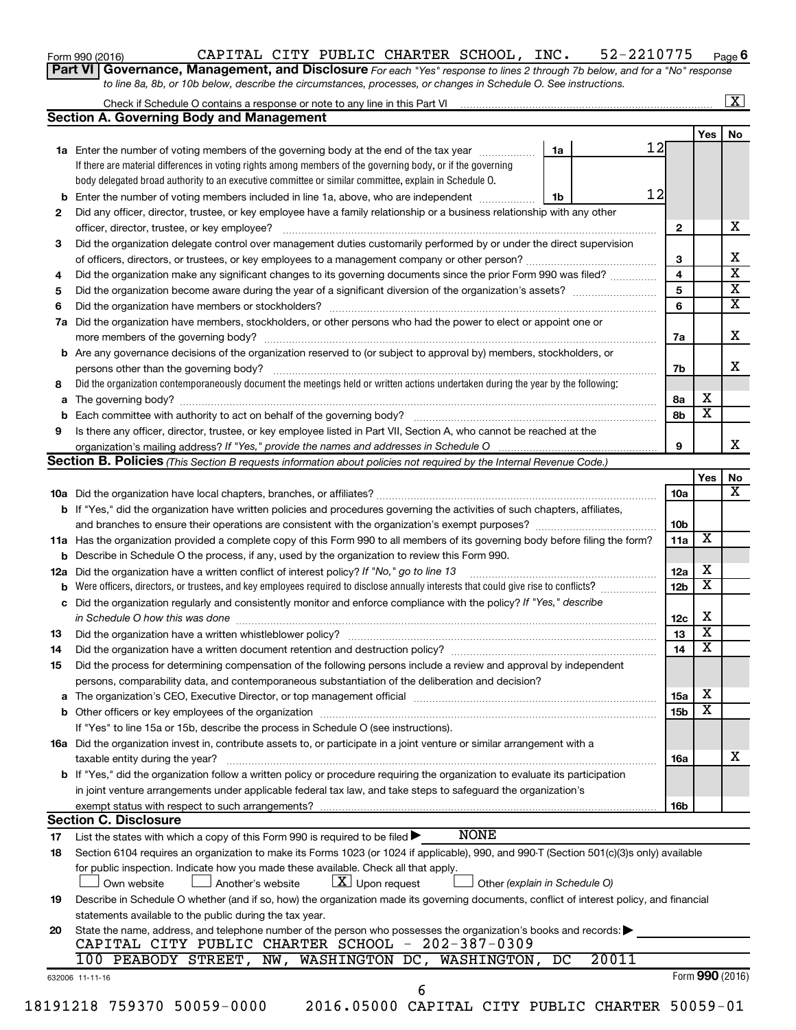| Form 990 (2016) |  |
|-----------------|--|
|-----------------|--|

## Form 990 (2016) CAPITAL CITY PUBLIC CHARTER SCHOOL, INC. 52-2210775 Page **6**

| Part VI   Governance, Management, and Disclosure For each "Yes" response to lines 2 through 7b below, and for a "No" response |
|-------------------------------------------------------------------------------------------------------------------------------|
| to line 8a, 8b, or 10b below, describe the circumstances, processes, or changes in Schedule O. See instructions.              |

|     | Check if Schedule O contains a response or note to any line in this Part VI                                                                                          |    |       |                         |                         | x                       |
|-----|----------------------------------------------------------------------------------------------------------------------------------------------------------------------|----|-------|-------------------------|-------------------------|-------------------------|
|     | <b>Section A. Governing Body and Management</b>                                                                                                                      |    |       |                         |                         |                         |
|     |                                                                                                                                                                      |    |       |                         | <b>Yes</b>              | No                      |
|     | 1a Enter the number of voting members of the governing body at the end of the tax year                                                                               | 1a | 12    |                         |                         |                         |
|     | If there are material differences in voting rights among members of the governing body, or if the governing                                                          |    |       |                         |                         |                         |
|     | body delegated broad authority to an executive committee or similar committee, explain in Schedule O.                                                                |    |       |                         |                         |                         |
| b   | Enter the number of voting members included in line 1a, above, who are independent                                                                                   | 1b | 12    |                         |                         |                         |
| 2   | Did any officer, director, trustee, or key employee have a family relationship or a business relationship with any other                                             |    |       |                         |                         |                         |
|     | officer, director, trustee, or key employee?                                                                                                                         |    |       | $\mathbf{2}$            |                         | х                       |
| 3   | Did the organization delegate control over management duties customarily performed by or under the direct supervision                                                |    |       |                         |                         |                         |
|     |                                                                                                                                                                      |    |       | 3                       |                         | х                       |
| 4   | Did the organization make any significant changes to its governing documents since the prior Form 990 was filed?                                                     |    |       | $\overline{\mathbf{4}}$ |                         | $\overline{\textbf{x}}$ |
| 5   |                                                                                                                                                                      |    |       | $\overline{\mathbf{5}}$ |                         | $\overline{\mathbf{X}}$ |
| 6   |                                                                                                                                                                      |    |       | 6                       |                         | $\overline{\textbf{X}}$ |
| 7a  | Did the organization have members, stockholders, or other persons who had the power to elect or appoint one or                                                       |    |       |                         |                         |                         |
|     |                                                                                                                                                                      |    |       | 7а                      |                         | х                       |
|     | <b>b</b> Are any governance decisions of the organization reserved to (or subject to approval by) members, stockholders, or                                          |    |       |                         |                         |                         |
|     | persons other than the governing body?                                                                                                                               |    |       | 7b                      |                         | x                       |
| 8   | Did the organization contemporaneously document the meetings held or written actions undertaken during the year by the following:                                    |    |       |                         |                         |                         |
| а   |                                                                                                                                                                      |    |       | 8a                      | X                       |                         |
| b   |                                                                                                                                                                      |    |       | 8b                      | $\overline{\mathbf{x}}$ |                         |
| 9   | Is there any officer, director, trustee, or key employee listed in Part VII, Section A, who cannot be reached at the                                                 |    |       |                         |                         |                         |
|     | organization's mailing address? If "Yes," provide the names and addresses in Schedule O                                                                              |    |       | 9                       |                         | x                       |
|     | Section B. Policies (This Section B requests information about policies not required by the Internal Revenue Code.)                                                  |    |       |                         |                         |                         |
|     |                                                                                                                                                                      |    |       |                         | Yes                     | No                      |
|     |                                                                                                                                                                      |    |       | 10a                     |                         | х                       |
|     | b If "Yes," did the organization have written policies and procedures governing the activities of such chapters, affiliates,                                         |    |       |                         |                         |                         |
|     |                                                                                                                                                                      |    |       | 10b                     |                         |                         |
|     | 11a Has the organization provided a complete copy of this Form 990 to all members of its governing body before filing the form?                                      |    |       | 11a                     | х                       |                         |
| b   | Describe in Schedule O the process, if any, used by the organization to review this Form 990.                                                                        |    |       |                         |                         |                         |
| 12a | Did the organization have a written conflict of interest policy? If "No," go to line 13                                                                              |    |       | 12a                     | х                       |                         |
|     | Were officers, directors, or trustees, and key employees required to disclose annually interests that could give rise to conflicts?                                  |    |       | 12 <sub>b</sub>         | $\overline{\text{x}}$   |                         |
| b   | Did the organization regularly and consistently monitor and enforce compliance with the policy? If "Yes," describe                                                   |    |       |                         |                         |                         |
| с   | in Schedule O how this was done                                                                                                                                      |    |       | 12c                     | х                       |                         |
|     |                                                                                                                                                                      |    |       | 13                      | $\overline{\textbf{x}}$ |                         |
| 13  |                                                                                                                                                                      |    |       | 14                      | $\overline{\textbf{x}}$ |                         |
| 14  |                                                                                                                                                                      |    |       |                         |                         |                         |
| 15  | Did the process for determining compensation of the following persons include a review and approval by independent                                                   |    |       |                         |                         |                         |
|     | persons, comparability data, and contemporaneous substantiation of the deliberation and decision?                                                                    |    |       |                         | х                       |                         |
| а   |                                                                                                                                                                      |    |       | 15a                     | $\overline{\textbf{x}}$ |                         |
| b   |                                                                                                                                                                      |    |       | 15b                     |                         |                         |
|     | If "Yes" to line 15a or 15b, describe the process in Schedule O (see instructions).                                                                                  |    |       |                         |                         |                         |
|     | 16a Did the organization invest in, contribute assets to, or participate in a joint venture or similar arrangement with a                                            |    |       |                         |                         | х                       |
|     | taxable entity during the year?                                                                                                                                      |    |       | 16a                     |                         |                         |
|     | b If "Yes," did the organization follow a written policy or procedure requiring the organization to evaluate its participation                                       |    |       |                         |                         |                         |
|     | in joint venture arrangements under applicable federal tax law, and take steps to safeguard the organization's                                                       |    |       |                         |                         |                         |
|     | exempt status with respect to such arrangements?                                                                                                                     |    |       | 16b                     |                         |                         |
|     | <b>Section C. Disclosure</b><br><b>NONE</b>                                                                                                                          |    |       |                         |                         |                         |
| 17  | List the states with which a copy of this Form 990 is required to be filed $\blacktriangleright$                                                                     |    |       |                         |                         |                         |
| 18  | Section 6104 requires an organization to make its Forms 1023 (or 1024 if applicable), 990, and 990-T (Section 501(c)(3)s only) available                             |    |       |                         |                         |                         |
|     | for public inspection. Indicate how you made these available. Check all that apply.                                                                                  |    |       |                         |                         |                         |
|     | $\lfloor x \rfloor$ Upon request<br>Other (explain in Schedule O)<br>Own website<br>Another's website                                                                |    |       |                         |                         |                         |
| 19  | Describe in Schedule O whether (and if so, how) the organization made its governing documents, conflict of interest policy, and financial                            |    |       |                         |                         |                         |
|     | statements available to the public during the tax year.                                                                                                              |    |       |                         |                         |                         |
| 20  | State the name, address, and telephone number of the person who possesses the organization's books and records:<br>CAPITAL CITY PUBLIC CHARTER SCHOOL - 202-387-0309 |    |       |                         |                         |                         |
|     |                                                                                                                                                                      |    | 20011 |                         |                         |                         |
|     | 100 PEABODY STREET, NW,<br>WASHINGTON DC,<br>WASHINGTON,                                                                                                             | DC |       |                         |                         |                         |
|     | 632006 11-11-16<br>6                                                                                                                                                 |    |       |                         |                         | Form 990 (2016)         |
|     |                                                                                                                                                                      |    |       |                         |                         |                         |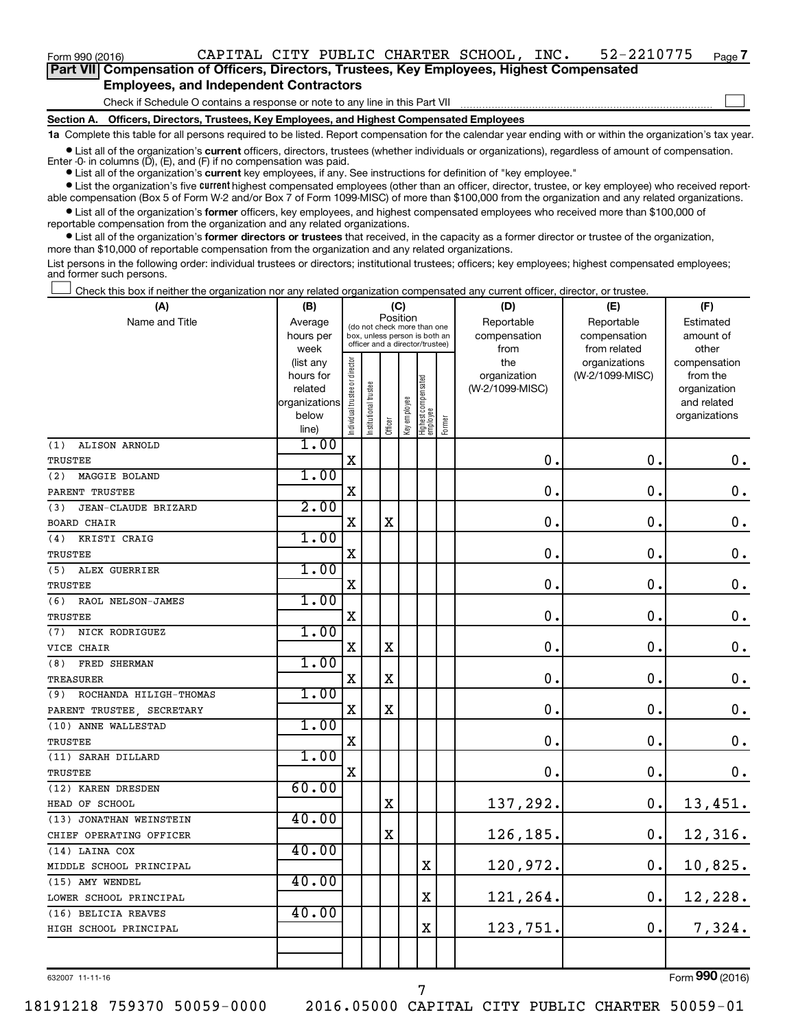Form 990 (2016) Page CAPITAL CITY PUBLIC CHARTER SCHOOL, INC. 52-2210775

| Part VII Compensation of Officers, Directors, Trustees, Key Employees, Highest Compensated |  |  |
|--------------------------------------------------------------------------------------------|--|--|
| <b>Employees, and Independent Contractors</b>                                              |  |  |

Check if Schedule O contains a response or note to any line in this Part VII

**Section A. Officers, Directors, Trustees, Key Employees, and Highest Compensated Employees**

**1a**  Complete this table for all persons required to be listed. Report compensation for the calendar year ending with or within the organization's tax year.

**•** List all of the organization's current officers, directors, trustees (whether individuals or organizations), regardless of amount of compensation. Enter -0- in columns  $(D)$ ,  $(E)$ , and  $(F)$  if no compensation was paid.

**•** List all of the organization's **current** key employees, if any. See instructions for definition of "key employee."

**•** List the organization's five current highest compensated employees (other than an officer, director, trustee, or key employee) who received reportable compensation (Box 5 of Form W-2 and/or Box 7 of Form 1099-MISC) of more than \$100,000 from the organization and any related organizations.

**•** List all of the organization's former officers, key employees, and highest compensated employees who received more than \$100,000 of reportable compensation from the organization and any related organizations.

**•** List all of the organization's former directors or trustees that received, in the capacity as a former director or trustee of the organization, more than \$10,000 of reportable compensation from the organization and any related organizations.

List persons in the following order: individual trustees or directors; institutional trustees; officers; key employees; highest compensated employees; and former such persons.

Check this box if neither the organization nor any related organization compensated any current officer, director, or trustee.  $\Box$ 

| (A)                           | (B)                    |                                         |                                                                  | (C)         |              |                                 |        | (D)                 | (E)                              | (F)                      |
|-------------------------------|------------------------|-----------------------------------------|------------------------------------------------------------------|-------------|--------------|---------------------------------|--------|---------------------|----------------------------------|--------------------------|
| Name and Title                | Average                | Position<br>(do not check more than one |                                                                  |             |              |                                 |        | Reportable          | Reportable                       | Estimated                |
|                               | hours per              |                                         | box, unless person is both an<br>officer and a director/trustee) |             |              |                                 |        | compensation        | compensation                     | amount of                |
|                               | week                   |                                         |                                                                  |             |              |                                 |        | from                | from related                     | other                    |
|                               | (list any<br>hours for |                                         |                                                                  |             |              |                                 |        | the<br>organization | organizations<br>(W-2/1099-MISC) | compensation<br>from the |
|                               | related                |                                         |                                                                  |             |              |                                 |        | (W-2/1099-MISC)     |                                  | organization             |
|                               | organizations          |                                         |                                                                  |             |              |                                 |        |                     |                                  | and related              |
|                               | below                  | ndividual trustee or director           | Institutional trustee                                            |             | Key employee | Highest compensated<br>employee |        |                     |                                  | organizations            |
|                               | line)                  |                                         |                                                                  | Officer     |              |                                 | Former |                     |                                  |                          |
| (1)<br>ALISON ARNOLD          | 1.00                   |                                         |                                                                  |             |              |                                 |        |                     |                                  |                          |
| TRUSTEE                       |                        | $\mathbf X$                             |                                                                  |             |              |                                 |        | $\mathbf 0$ .       | $\mathbf 0$ .                    | $\boldsymbol{0}$ .       |
| MAGGIE BOLAND<br>(2)          | 1.00                   |                                         |                                                                  |             |              |                                 |        |                     |                                  |                          |
| PARENT TRUSTEE                |                        | X                                       |                                                                  |             |              |                                 |        | 0.                  | $\mathbf 0$ .                    | $\mathbf 0$ .            |
| JEAN-CLAUDE BRIZARD<br>(3)    | 2.00                   |                                         |                                                                  |             |              |                                 |        |                     |                                  |                          |
| <b>BOARD CHAIR</b>            |                        | х                                       |                                                                  | $\mathbf X$ |              |                                 |        | $\mathbf 0$         | 0.                               | $\mathbf 0$ .            |
| KRISTI CRAIG<br>(4)           | 1.00                   |                                         |                                                                  |             |              |                                 |        |                     |                                  |                          |
| TRUSTEE                       |                        | X                                       |                                                                  |             |              |                                 |        | $\mathbf 0$ .       | $\mathbf 0$ .                    | $\boldsymbol{0}$ .       |
| ALEX GUERRIER<br>(5)          | 1.00                   |                                         |                                                                  |             |              |                                 |        |                     |                                  |                          |
| TRUSTEE                       |                        | X                                       |                                                                  |             |              |                                 |        | 0.                  | $\mathbf 0$ .                    | $\mathbf 0$ .            |
| (6)<br>RAOL NELSON-JAMES      | 1.00                   |                                         |                                                                  |             |              |                                 |        |                     |                                  |                          |
| <b>TRUSTEE</b>                |                        | $\mathbf X$                             |                                                                  |             |              |                                 |        | $\mathbf 0$ .       | $\mathbf 0$ .                    | $\boldsymbol{0}$ .       |
| NICK RODRIGUEZ<br>(7)         | 1.00                   |                                         |                                                                  |             |              |                                 |        |                     |                                  |                          |
| VICE CHAIR                    |                        | X                                       |                                                                  | $\mathbf X$ |              |                                 |        | 0.                  | $\mathbf 0$ .                    | $\mathbf 0$ .            |
| FRED SHERMAN<br>(8)           | 1.00                   |                                         |                                                                  |             |              |                                 |        |                     |                                  |                          |
| <b>TREASURER</b>              |                        | X                                       |                                                                  | $\rm X$     |              |                                 |        | 0.                  | $\mathbf 0$ .                    | $\mathbf 0$ .            |
| ROCHANDA HILIGH-THOMAS<br>(9) | 1.00                   |                                         |                                                                  |             |              |                                 |        |                     |                                  |                          |
| PARENT TRUSTEE, SECRETARY     |                        | X                                       |                                                                  | $\mathbf X$ |              |                                 |        | 0.                  | $\mathbf 0$ .                    | $\mathbf 0$ .            |
| (10) ANNE WALLESTAD           | 1.00                   |                                         |                                                                  |             |              |                                 |        |                     |                                  |                          |
| TRUSTEE                       |                        | $\mathbf X$                             |                                                                  |             |              |                                 |        | 0.                  | $\mathbf 0$ .                    | $\mathbf 0$ .            |
| (11) SARAH DILLARD            | 1.00                   |                                         |                                                                  |             |              |                                 |        |                     |                                  |                          |
| TRUSTEE                       |                        | X                                       |                                                                  |             |              |                                 |        | 0.                  | $\mathbf 0$ .                    | 0.                       |
| (12) KAREN DRESDEN            | 60.00                  |                                         |                                                                  |             |              |                                 |        |                     |                                  |                          |
| HEAD OF SCHOOL                |                        |                                         |                                                                  | X           |              |                                 |        | 137,292.            | 0.                               | 13,451.                  |
| (13) JONATHAN WEINSTEIN       | 40.00                  |                                         |                                                                  |             |              |                                 |        |                     |                                  |                          |
| CHIEF OPERATING OFFICER       |                        |                                         |                                                                  | $\mathbf X$ |              |                                 |        | 126,185.            | 0.                               | 12,316.                  |
| (14) LAINA COX                | 40.00                  |                                         |                                                                  |             |              |                                 |        |                     |                                  |                          |
| MIDDLE SCHOOL PRINCIPAL       |                        |                                         |                                                                  |             |              | X                               |        | 120,972.            | $\mathbf 0$ .                    | 10,825.                  |
| (15) AMY WENDEL               | 40.00                  |                                         |                                                                  |             |              |                                 |        |                     |                                  |                          |
| LOWER SCHOOL PRINCIPAL        |                        |                                         |                                                                  |             |              | X                               |        | 121,264.            | $\mathbf 0$ .                    | 12,228.                  |
| (16) BELICIA REAVES           | 40.00                  |                                         |                                                                  |             |              |                                 |        |                     |                                  |                          |
| HIGH SCHOOL PRINCIPAL         |                        |                                         |                                                                  |             |              | X                               |        | 123,751.            | 0.                               | 7,324.                   |
|                               |                        |                                         |                                                                  |             |              |                                 |        |                     |                                  |                          |
|                               |                        |                                         |                                                                  |             |              |                                 |        |                     |                                  |                          |

632007 11-11-16

**7**

 $\Box$ 

7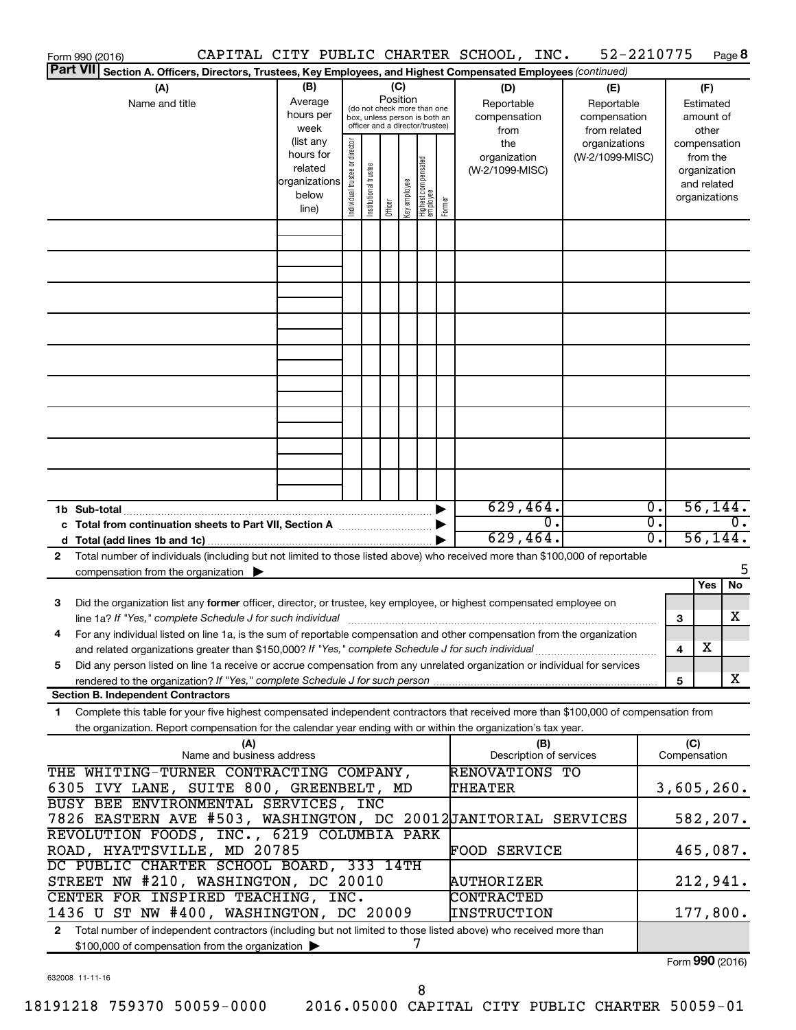|    | Form 990 (2016)                                                                                                                                                                                                                                                                                                                                               |                                                                                                                                                                                                        |                                |                       |         |              |                                  |        | CAPITAL CITY PUBLIC CHARTER SCHOOL, INC.                |                                  | 52-2210775                             | Page 8                                                                   |
|----|---------------------------------------------------------------------------------------------------------------------------------------------------------------------------------------------------------------------------------------------------------------------------------------------------------------------------------------------------------------|--------------------------------------------------------------------------------------------------------------------------------------------------------------------------------------------------------|--------------------------------|-----------------------|---------|--------------|----------------------------------|--------|---------------------------------------------------------|----------------------------------|----------------------------------------|--------------------------------------------------------------------------|
|    | Part VII Section A. Officers, Directors, Trustees, Key Employees, and Highest Compensated Employees (continued)                                                                                                                                                                                                                                               |                                                                                                                                                                                                        |                                |                       |         |              |                                  |        |                                                         |                                  |                                        |                                                                          |
|    | (A)<br>Name and title                                                                                                                                                                                                                                                                                                                                         | (B)<br>(C)<br>(D)<br>Position<br>Average<br>Reportable<br>(do not check more than one<br>hours per<br>compensation<br>box, unless person is both an<br>officer and a director/trustee)<br>week<br>from |                                |                       |         |              |                                  |        | (E)<br>Reportable<br>compensation<br>from related       |                                  | (F)<br>Estimated<br>amount of<br>other |                                                                          |
|    |                                                                                                                                                                                                                                                                                                                                                               | (list any<br>hours for<br>related<br>organizations<br>below<br>line)                                                                                                                                   | Individual trustee or director | Institutional trustee | Officer | Key employee | Highest compensated<br> employee | Former | the<br>organization<br>(W-2/1099-MISC)                  | organizations<br>(W-2/1099-MISC) |                                        | compensation<br>from the<br>organization<br>and related<br>organizations |
|    |                                                                                                                                                                                                                                                                                                                                                               |                                                                                                                                                                                                        |                                |                       |         |              |                                  |        |                                                         |                                  |                                        |                                                                          |
|    |                                                                                                                                                                                                                                                                                                                                                               |                                                                                                                                                                                                        |                                |                       |         |              |                                  |        |                                                         |                                  |                                        |                                                                          |
|    |                                                                                                                                                                                                                                                                                                                                                               |                                                                                                                                                                                                        |                                |                       |         |              |                                  |        |                                                         |                                  |                                        |                                                                          |
|    |                                                                                                                                                                                                                                                                                                                                                               |                                                                                                                                                                                                        |                                |                       |         |              |                                  |        |                                                         |                                  |                                        |                                                                          |
|    |                                                                                                                                                                                                                                                                                                                                                               |                                                                                                                                                                                                        |                                |                       |         |              |                                  |        |                                                         |                                  |                                        |                                                                          |
|    |                                                                                                                                                                                                                                                                                                                                                               |                                                                                                                                                                                                        |                                |                       |         |              |                                  |        | 629,464.                                                |                                  | $\overline{0}$ .                       | 56, 144.                                                                 |
|    | c Total from continuation sheets to Part VII, Section A manuscription of                                                                                                                                                                                                                                                                                      |                                                                                                                                                                                                        |                                |                       |         |              |                                  |        | σ.<br>629,464.                                          |                                  | $\overline{0}$ .<br>$\overline{0}$ .   | $\overline{0}$ .<br>56, 144.                                             |
| 2  | Total number of individuals (including but not limited to those listed above) who received more than \$100,000 of reportable<br>compensation from the organization $\blacktriangleright$                                                                                                                                                                      |                                                                                                                                                                                                        |                                |                       |         |              |                                  |        |                                                         |                                  |                                        | 5<br>Yes<br>No                                                           |
| 3  | Did the organization list any former officer, director, or trustee, key employee, or highest compensated employee on<br>line 1a? If "Yes," complete Schedule J for such individual manufactured contains and the set of the schedule J                                                                                                                        |                                                                                                                                                                                                        |                                |                       |         |              |                                  |        |                                                         |                                  | 3                                      | х                                                                        |
| 5  | For any individual listed on line 1a, is the sum of reportable compensation and other compensation from the organization<br>and related organizations greater than \$150,000? If "Yes," complete Schedule J for such individual<br>Did any person listed on line 1a receive or accrue compensation from any unrelated organization or individual for services |                                                                                                                                                                                                        |                                |                       |         |              |                                  |        |                                                         |                                  | 4                                      | X                                                                        |
|    | <b>Section B. Independent Contractors</b>                                                                                                                                                                                                                                                                                                                     |                                                                                                                                                                                                        |                                |                       |         |              |                                  |        |                                                         |                                  | 5                                      | х                                                                        |
| 1. | Complete this table for your five highest compensated independent contractors that received more than \$100,000 of compensation from<br>the organization. Report compensation for the calendar year ending with or within the organization's tax year.                                                                                                        |                                                                                                                                                                                                        |                                |                       |         |              |                                  |        |                                                         |                                  |                                        |                                                                          |
|    | (A)<br>Name and business address                                                                                                                                                                                                                                                                                                                              |                                                                                                                                                                                                        |                                |                       |         |              |                                  |        | (B)<br>Description of services<br><b>RENOVATIONS TO</b> |                                  | (C)<br>Compensation                    |                                                                          |
|    | THE WHITING-TURNER CONTRACTING COMPANY,<br>6305 IVY LANE, SUITE 800, GREENBELT, MD<br>BUSY BEE ENVIRONMENTAL SERVICES, INC                                                                                                                                                                                                                                    |                                                                                                                                                                                                        |                                |                       |         |              |                                  |        | THEATER                                                 |                                  |                                        | 3,605,260.                                                               |
|    | 7826 EASTERN AVE #503, WASHINGTON, DC 20012JANITORIAL SERVICES<br>REVOLUTION FOODS, INC., 6219 COLUMBIA PARK<br>ROAD, HYATTSVILLE, MD 20785                                                                                                                                                                                                                   |                                                                                                                                                                                                        |                                |                       |         |              |                                  |        |                                                         |                                  |                                        | 582, 207.                                                                |
|    | DC PUBLIC CHARTER SCHOOL BOARD, 333 14TH<br>STREET NW #210, WASHINGTON, DC 20010                                                                                                                                                                                                                                                                              |                                                                                                                                                                                                        |                                |                       |         |              |                                  |        | <b>FOOD SERVICE</b><br>AUTHORIZER                       |                                  |                                        | 465,087.<br>212,941.                                                     |
|    | CENTER FOR INSPIRED TEACHING, INC.<br>1436 U ST NW #400, WASHINGTON, DC 20009                                                                                                                                                                                                                                                                                 |                                                                                                                                                                                                        |                                |                       |         |              |                                  |        | CONTRACTED<br>INSTRUCTION                               |                                  |                                        | 177,800.                                                                 |
| 2  | Total number of independent contractors (including but not limited to those listed above) who received more than<br>\$100,000 of compensation from the organization >                                                                                                                                                                                         |                                                                                                                                                                                                        |                                |                       |         | 7            |                                  |        |                                                         |                                  |                                        | Form 990 (2016)                                                          |

632008 11-11-16

8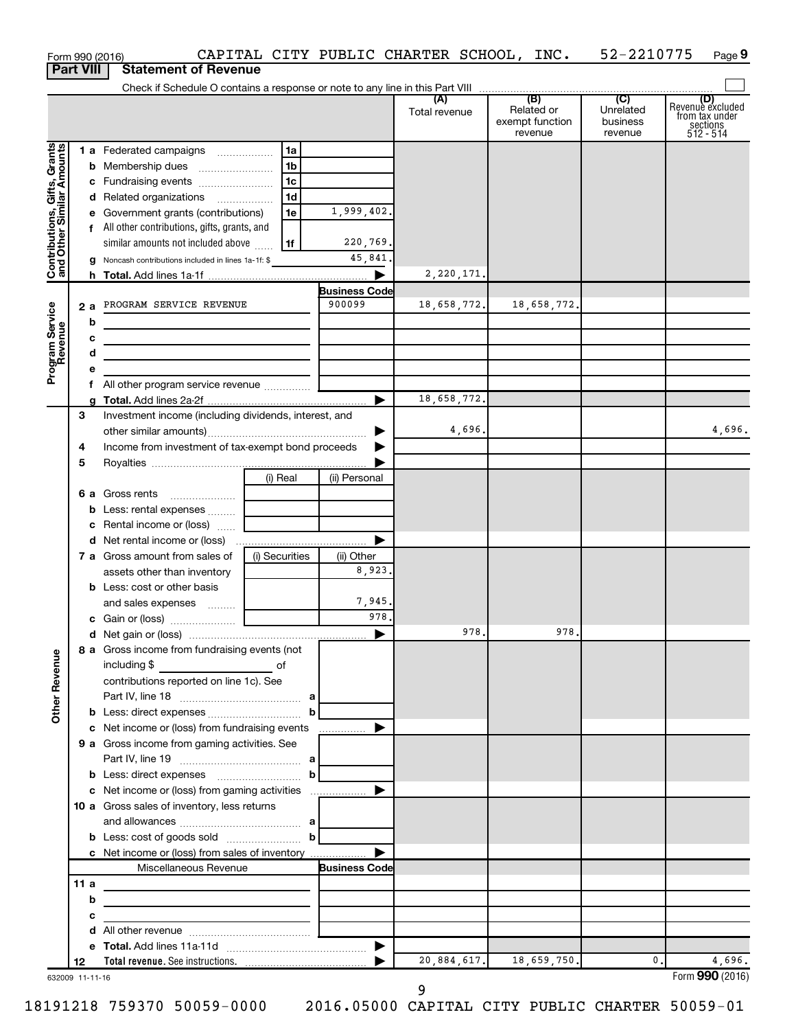|                                                           |      |     | Form 990 (2016)                                                                                                       |                |                      | CAPITAL CITY PUBLIC CHARTER SCHOOL, INC. |                                          | 52-2210775                                         | Page 9                                                      |
|-----------------------------------------------------------|------|-----|-----------------------------------------------------------------------------------------------------------------------|----------------|----------------------|------------------------------------------|------------------------------------------|----------------------------------------------------|-------------------------------------------------------------|
| <b>Part VIII</b>                                          |      |     | <b>Statement of Revenue</b>                                                                                           |                |                      |                                          |                                          |                                                    |                                                             |
|                                                           |      |     |                                                                                                                       |                |                      |                                          | (B)                                      |                                                    |                                                             |
|                                                           |      |     |                                                                                                                       |                |                      | (A)<br>Total revenue                     | Related or<br>exempt function<br>revenue | $\overline{C}$<br>Unrelated<br>business<br>revenue | Revenue excluded<br>from tax under<br>sections<br>512 - 514 |
|                                                           |      |     | 1 a Federated campaigns                                                                                               | 1a             |                      |                                          |                                          |                                                    |                                                             |
| Contributions, Gifts, Grants<br>and Other Similar Amounts |      |     | <b>b</b> Membership dues                                                                                              | 1 <sub>b</sub> |                      |                                          |                                          |                                                    |                                                             |
|                                                           |      |     | c Fundraising events                                                                                                  | l 1c           |                      |                                          |                                          |                                                    |                                                             |
|                                                           |      |     | d Related organizations                                                                                               | 1 <sub>d</sub> |                      |                                          |                                          |                                                    |                                                             |
|                                                           |      |     | e Government grants (contributions)                                                                                   | 1e             | 1,999,402.           |                                          |                                          |                                                    |                                                             |
|                                                           |      |     | f All other contributions, gifts, grants, and                                                                         |                |                      |                                          |                                          |                                                    |                                                             |
|                                                           |      |     | similar amounts not included above                                                                                    | 1f             | 220,769.             |                                          |                                          |                                                    |                                                             |
|                                                           |      |     | g Noncash contributions included in lines 1a-1f: \$                                                                   |                | 45,841.              |                                          |                                          |                                                    |                                                             |
|                                                           |      |     |                                                                                                                       |                |                      | 2,220,171.                               |                                          |                                                    |                                                             |
|                                                           |      |     |                                                                                                                       |                | <b>Business Code</b> |                                          |                                          |                                                    |                                                             |
|                                                           |      | 2 a | PROGRAM SERVICE REVENUE                                                                                               |                | 900099               | 18,658,772.                              | 18,658,772.                              |                                                    |                                                             |
|                                                           |      | b   | <u> 1980 - Johann Barbara, martin a</u>                                                                               |                |                      |                                          |                                          |                                                    |                                                             |
|                                                           |      | с   | <u> 1989 - Johann Barbara, martin amerikan basar dan berasal dalam basar dalam basar dalam basar dalam basar dala</u> |                |                      |                                          |                                          |                                                    |                                                             |
|                                                           |      | d   |                                                                                                                       |                |                      |                                          |                                          |                                                    |                                                             |
| Program Service<br>Revenue                                |      |     |                                                                                                                       |                |                      |                                          |                                          |                                                    |                                                             |
|                                                           |      |     |                                                                                                                       |                |                      |                                          |                                          |                                                    |                                                             |
|                                                           |      |     |                                                                                                                       |                | ▶                    | 18,658,772.                              |                                          |                                                    |                                                             |
|                                                           | 3    |     | Investment income (including dividends, interest, and                                                                 |                |                      |                                          |                                          |                                                    |                                                             |
|                                                           |      |     |                                                                                                                       |                | ▶                    | 4,696.                                   |                                          |                                                    | 4,696.                                                      |
|                                                           | 4    |     | Income from investment of tax-exempt bond proceeds                                                                    |                |                      |                                          |                                          |                                                    |                                                             |
|                                                           | 5    |     |                                                                                                                       |                |                      |                                          |                                          |                                                    |                                                             |
|                                                           |      |     |                                                                                                                       | (i) Real       | (ii) Personal        |                                          |                                          |                                                    |                                                             |
|                                                           |      |     |                                                                                                                       |                |                      |                                          |                                          |                                                    |                                                             |
|                                                           |      |     |                                                                                                                       |                |                      |                                          |                                          |                                                    |                                                             |
|                                                           |      |     | c Rental income or (loss)                                                                                             |                |                      |                                          |                                          |                                                    |                                                             |
|                                                           |      |     |                                                                                                                       |                | ▶                    |                                          |                                          |                                                    |                                                             |
|                                                           |      |     | 7 a Gross amount from sales of                                                                                        | (i) Securities | (ii) Other           |                                          |                                          |                                                    |                                                             |
|                                                           |      |     | assets other than inventory                                                                                           |                | 8,923.               |                                          |                                          |                                                    |                                                             |
|                                                           |      |     | <b>b</b> Less: cost or other basis                                                                                    |                |                      |                                          |                                          |                                                    |                                                             |
|                                                           |      |     | and sales expenses                                                                                                    |                | 7,945.<br>978.       |                                          |                                          |                                                    |                                                             |
|                                                           |      |     |                                                                                                                       |                |                      | 978.                                     |                                          |                                                    |                                                             |
|                                                           |      |     |                                                                                                                       |                |                      |                                          | 978.                                     |                                                    |                                                             |
|                                                           |      |     | 8 a Gross income from fundraising events (not<br>including \$                                                         |                |                      |                                          |                                          |                                                    |                                                             |
|                                                           |      |     | $\overline{\phantom{a}}$ of<br>contributions reported on line 1c). See                                                |                |                      |                                          |                                          |                                                    |                                                             |
| <b>Other Revenue</b>                                      |      |     |                                                                                                                       |                |                      |                                          |                                          |                                                    |                                                             |
|                                                           |      |     |                                                                                                                       | b              |                      |                                          |                                          |                                                    |                                                             |
|                                                           |      |     | c Net income or (loss) from fundraising events                                                                        |                |                      |                                          |                                          |                                                    |                                                             |
|                                                           |      |     | 9 a Gross income from gaming activities. See                                                                          |                |                      |                                          |                                          |                                                    |                                                             |
|                                                           |      |     |                                                                                                                       |                |                      |                                          |                                          |                                                    |                                                             |
|                                                           |      |     | <b>b</b> Less: direct expenses <b>contained b</b>                                                                     |                |                      |                                          |                                          |                                                    |                                                             |
|                                                           |      |     |                                                                                                                       |                |                      |                                          |                                          |                                                    |                                                             |
|                                                           |      |     | 10 a Gross sales of inventory, less returns                                                                           |                |                      |                                          |                                          |                                                    |                                                             |
|                                                           |      |     |                                                                                                                       |                |                      |                                          |                                          |                                                    |                                                             |
|                                                           |      |     | <b>b</b> Less: cost of goods sold $\ldots$ <b>b</b>                                                                   |                |                      |                                          |                                          |                                                    |                                                             |
|                                                           |      |     |                                                                                                                       |                |                      |                                          |                                          |                                                    |                                                             |
|                                                           |      |     | Miscellaneous Revenue                                                                                                 |                | <b>Business Code</b> |                                          |                                          |                                                    |                                                             |
|                                                           | 11 a |     | the control of the control of the control of the control of the control of                                            |                |                      |                                          |                                          |                                                    |                                                             |
|                                                           |      | b   | <u> 1989 - Johann Stein, mars an deutscher Stein († 1958)</u>                                                         |                |                      |                                          |                                          |                                                    |                                                             |
|                                                           |      | с   | <u> 1989 - Johann Barn, mars et al. (b. 1989)</u>                                                                     |                |                      |                                          |                                          |                                                    |                                                             |
|                                                           |      | d   |                                                                                                                       |                |                      |                                          |                                          |                                                    |                                                             |
|                                                           |      |     |                                                                                                                       |                |                      |                                          |                                          |                                                    |                                                             |
|                                                           | 12   |     |                                                                                                                       |                |                      | 20,884,617.                              | 18,659,750.                              | 0.                                                 | 4,696.                                                      |
| 632009 11-11-16                                           |      |     |                                                                                                                       |                |                      |                                          |                                          |                                                    | Form 990 (2016)                                             |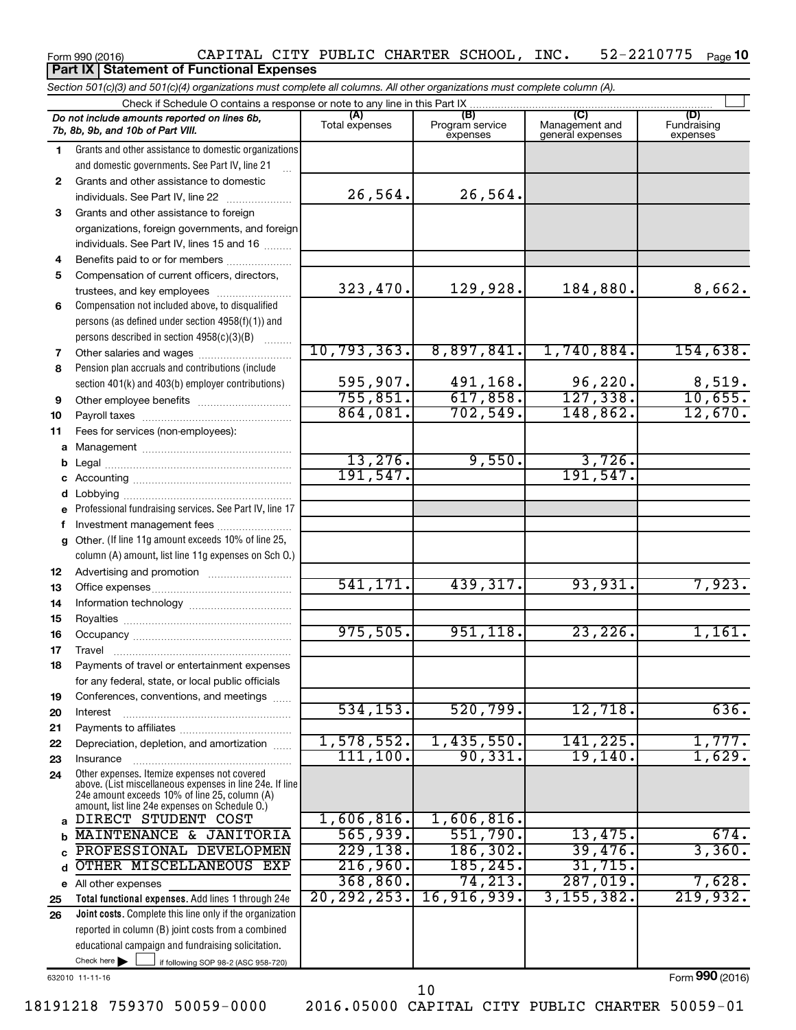## 52-2210775 <sub>Page</sub> 10

**Total functional expenses.**  Add lines 1 through 24e **Joint costs.** Complete this line only if the organization **(A) (B) (C) (D)** Fundraising **1 2 3** Grants and other assistance to foreign **4 5 6 7 8 9 10 11 a** Management ~~~~~~~~~~~~~~~~ **b c d e f g 12 13 14 15 16 17 18 19 20 21 22 23 24 a b c d e** All other expenses **25 26** *Section 501(c)(3) and 501(c)(4) organizations must complete all columns. All other organizations must complete column (A).* Grants and other assistance to domestic organizations and domestic governments. See Part IV, line 21 Compensation not included above, to disqualified persons (as defined under section 4958(f)(1)) and persons described in section  $4958(c)(3)(B)$   $\ldots$ Pension plan accruals and contributions (include section 401(k) and 403(b) employer contributions) Professional fundraising services. See Part IV, line 17 Other. (If line 11g amount exceeds 10% of line 25, column (A) amount, list line 11g expenses on Sch O.) Other expenses. Itemize expenses not covered above. (List miscellaneous expenses in line 24e. If line 24e amount exceeds 10% of line 25, column (A) amount, list line 24e expenses on Schedule O.) reported in column (B) joint costs from a combined Form 990 (2016)  $\,$  CAPITAL CITY PUBLIC CHARTER SCHOOL, INC.  $\,$  52-2210775  $\,$  Page Check if Schedule O contains a response or note to any line in this Part IX Total expenses Program service expenses Management and general expenses expenses .<br>... Grants and other assistance to domestic  $individuals. See Part IV, line 22$  ............. organizations, foreign governments, and foreign individuals. See Part IV, lines 15 and 16  $\ldots$ Benefits paid to or for members .................... Compensation of current officers, directors, trustees, and key employees ........................ Other salaries and wages ~~~~~~~~~~ Other employee benefits ~~~~~~~~~~ Payroll taxes ~~~~~~~~~~~~~~~~ Fees for services (non-employees): Legal ~~~~~~~~~~~~~~~~~~~~ Accounting ~~~~~~~~~~~~~~~~~ Lobbying ~~~~~~~~~~~~~~~~~~ Investment management fees ........................ Advertising and promotion ........................... Office expenses ~~~~~~~~~~~~~~~ Information technology ~~~~~~~~~~~ Royalties ~~~~~~~~~~~~~~~~~~ Occupancy ~~~~~~~~~~~~~~~~~ Travel ~~~~~~~~~~~~~~~~~~~ Payments of travel or entertainment expenses for any federal, state, or local public officials Conferences, conventions, and meetings Interest ~~~~~~~~~~~~~~~~~~ Payments to affiliates ~~~~~~~~~~~~ Depreciation, depletion, and amortization ...... Insurance ~~~~~~~~~~~~~~~~~ *Do not include amounts reported on lines 6b, 7b, 8b, 9b, and 10b of Part VIII.* **Part IX Statement of Functional Expenses**  $\Box$ 26,564. 26,564. 323,470. 129,928. 184,880. 8,662. 10,793,363. 8,897,841. 1,740,884. 154,638. 595,907. 491,168. 96,220. 8,519. 755,851. 617,858. 127,338. 10,655. 864,081. 702,549. 148,862. 12,670.  $13,276.$  9,550. 3,726. 191,547. 191,547. 541,171. 439,317. 93,931. 7,923. 975,505. 951,118. 23,226. 1,161. 534,153. 520,799. 12,718. 636. 1,578,552. 1,435,550. 141,225. 1,777. 111,100. 90,331. 19,140. 1,629. DIRECT STUDENT COST | 1,606,816. 1,606,816. MAINTENANCE & JANITORIA | 565,939. | 551,790. | 13,475. | 674. PROFESSIONAL DEVELOPMEN 229,138. 186,302. 39,476. 3,360. OTHER MISCELLANEOUS EXP | 216,960. 185,245. 31,715. 368,860. 74,213. 287,019. 7,628. 20,292,253. 16,916,939. 3,155,382. 219,932.

632010 11-11-16

Check here |

Form (2016) **990**

10

18191218 759370 50059-0000 2016.05000 CAPITAL CITY PUBLIC CHARTER 50059-01

Check here  $\begin{array}{c} \begin{array}{|c} \hline \end{array} \end{array}$  if following SOP 98-2 (ASC 958-720)

educational campaign and fundraising solicitation.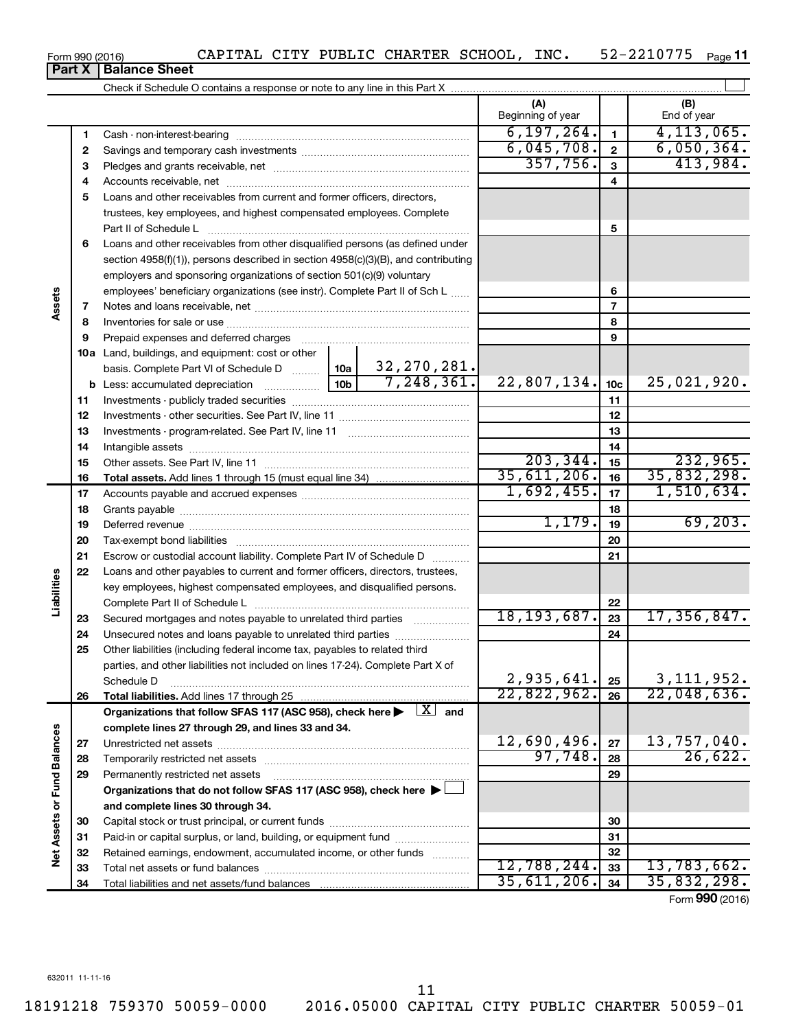18191218 759370 50059-0000 2016.05000 CAPITAL CITY PUBLIC CHARTER 50059-01 11

# **Part X Balance Sheet**<br>**Part X Balance Sheet**

|                             |          |                                                                                                                                |           | (A)<br>Beginning of year |                         | (B)<br>End of year |
|-----------------------------|----------|--------------------------------------------------------------------------------------------------------------------------------|-----------|--------------------------|-------------------------|--------------------|
|                             | 1        |                                                                                                                                |           | 6, 197, 264.             | $\mathbf{1}$            | 4, 113, 065.       |
|                             | 2        |                                                                                                                                |           | 6,045,708.               | $\overline{\mathbf{2}}$ | 6,050,364.         |
|                             | З        |                                                                                                                                |           | 357,756.                 | $\overline{\mathbf{3}}$ | 413,984.           |
|                             | 4        |                                                                                                                                |           |                          | 4                       |                    |
|                             | 5        | Loans and other receivables from current and former officers, directors,                                                       |           |                          |                         |                    |
|                             |          | trustees, key employees, and highest compensated employees. Complete                                                           |           |                          |                         |                    |
|                             |          | Part II of Schedule L                                                                                                          |           |                          | 5                       |                    |
|                             | 6        | Loans and other receivables from other disqualified persons (as defined under                                                  |           |                          |                         |                    |
|                             |          | section 4958(f)(1)), persons described in section 4958(c)(3)(B), and contributing                                              |           |                          |                         |                    |
| Assets                      |          | employers and sponsoring organizations of section 501(c)(9) voluntary                                                          |           |                          |                         |                    |
|                             |          | employees' beneficiary organizations (see instr). Complete Part II of Sch L                                                    |           |                          | 6                       |                    |
|                             | 7        |                                                                                                                                |           | $\overline{7}$           |                         |                    |
|                             | 8        |                                                                                                                                |           | 8                        |                         |                    |
|                             | 9        | Prepaid expenses and deferred charges                                                                                          |           |                          | 9                       |                    |
|                             |          | 10a Land, buildings, and equipment: cost or other                                                                              |           |                          |                         |                    |
|                             |          | $\vert$ 10a $\vert$ 32, 270, 281.<br>basis. Complete Part VI of Schedule D                                                     |           |                          |                         |                    |
|                             |          | 7,248,361.<br>10 <sub>b</sub>                                                                                                  |           | 22,807,134.              | 10 <sub>c</sub>         | 25,021,920.        |
|                             | 11       |                                                                                                                                |           | 11                       |                         |                    |
|                             | 12       |                                                                                                                                |           |                          | 12                      |                    |
|                             | 13       |                                                                                                                                |           |                          | 13                      |                    |
|                             | 14       |                                                                                                                                |           | 14                       |                         |                    |
|                             | 15       |                                                                                                                                | 203, 344. | 15                       | 232,965.                |                    |
|                             |          |                                                                                                                                |           | 35,611,206.              | 16                      | 35,832,298.        |
|                             | 16<br>17 |                                                                                                                                |           | 1,692,455.               | 17                      | 1,510,634.         |
|                             | 18       |                                                                                                                                |           | 18                       |                         |                    |
|                             | 19       |                                                                                                                                |           | 1,179.                   | 19                      | 69, 203.           |
|                             | 20       |                                                                                                                                |           |                          | 20                      |                    |
|                             |          |                                                                                                                                |           |                          | 21                      |                    |
|                             | 21       | Escrow or custodial account liability. Complete Part IV of Schedule D                                                          |           |                          |                         |                    |
| Liabilities                 | 22       | Loans and other payables to current and former officers, directors, trustees,                                                  |           |                          |                         |                    |
|                             |          | key employees, highest compensated employees, and disqualified persons.                                                        |           |                          | 22                      |                    |
|                             |          |                                                                                                                                |           | 18, 193, 687.            | 23                      | 17,356,847.        |
|                             | 23<br>24 | Secured mortgages and notes payable to unrelated third parties<br>Unsecured notes and loans payable to unrelated third parties |           |                          | 24                      |                    |
|                             | 25       | Other liabilities (including federal income tax, payables to related third                                                     |           |                          |                         |                    |
|                             |          | parties, and other liabilities not included on lines 17-24). Complete Part X of                                                |           |                          |                         |                    |
|                             |          | Schedule D                                                                                                                     |           | 2,935,641.               | 25                      | 3, 111, 952.       |
|                             | 26       |                                                                                                                                |           | 22,822,962.              | 26                      | 22,048,636.        |
|                             |          | Organizations that follow SFAS 117 (ASC 958), check here $\blacktriangleright \begin{array}{c} \boxed{X} \\ \end{array}$ and   |           |                          |                         |                    |
|                             |          | complete lines 27 through 29, and lines 33 and 34.                                                                             |           |                          |                         |                    |
|                             | 27       |                                                                                                                                |           | 12,690,496.              | 27                      | 13,757,040.        |
|                             | 28       |                                                                                                                                |           | 97,748.                  | 28                      | 26,622.            |
|                             | 29       | Permanently restricted net assets                                                                                              |           |                          | 29                      |                    |
|                             |          | Organizations that do not follow SFAS 117 (ASC 958), check here ▶ □                                                            |           |                          |                         |                    |
|                             |          | and complete lines 30 through 34.                                                                                              |           |                          |                         |                    |
|                             | 30       |                                                                                                                                |           |                          | 30                      |                    |
|                             | 31       | Paid-in or capital surplus, or land, building, or equipment fund                                                               |           |                          | 31                      |                    |
| Net Assets or Fund Balances | 32       | Retained earnings, endowment, accumulated income, or other funds                                                               |           |                          | 32                      |                    |
|                             | 33       |                                                                                                                                |           | 12,788,244.              | 33                      | 13,783,662.        |
|                             | 34       |                                                                                                                                |           | 35,611,206.              | 34                      | 35,832,298.        |
|                             |          |                                                                                                                                |           |                          |                         |                    |

Form 990 (2016)  $\,$  CAPITAL CITY PUBLIC CHARTER SCHOOL, INC.  $\,$  52-2210775  $\,$  Page 52-2210775 Page 11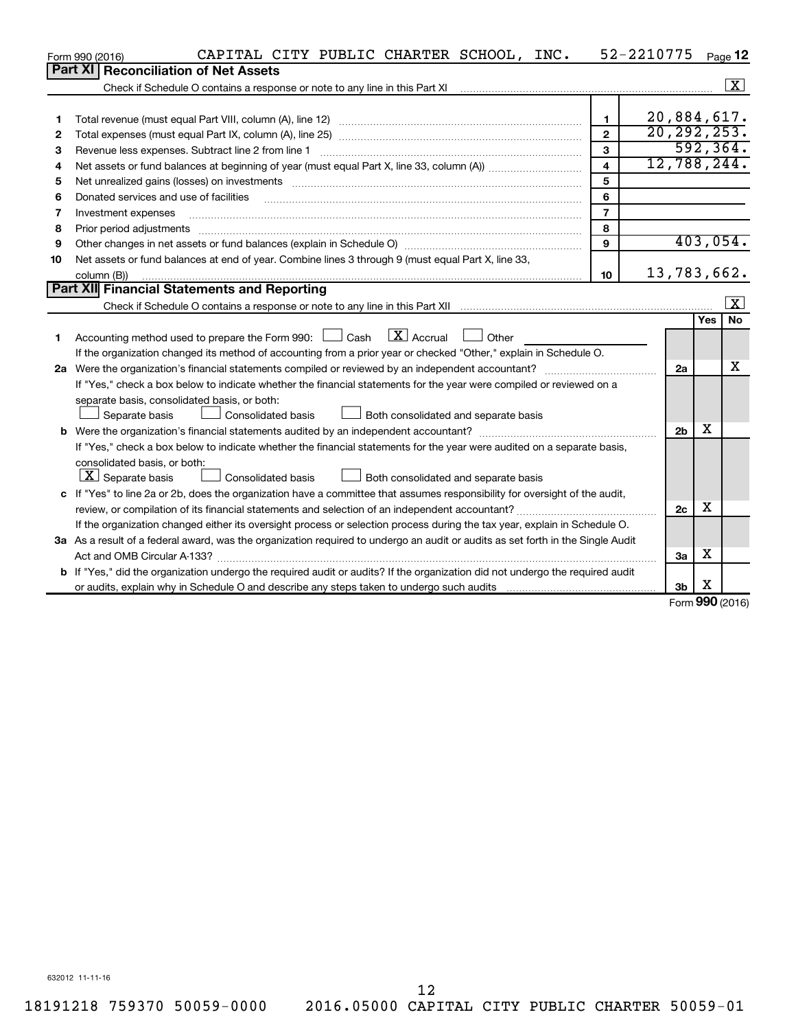|    | CAPITAL CITY PUBLIC CHARTER SCHOOL, INC.<br>Form 990 (2016)                                                                     |                         | 52-2210775     |          | Page 12                 |
|----|---------------------------------------------------------------------------------------------------------------------------------|-------------------------|----------------|----------|-------------------------|
|    | <b>Part XI</b><br><b>Reconciliation of Net Assets</b>                                                                           |                         |                |          |                         |
|    |                                                                                                                                 |                         |                |          | X                       |
|    |                                                                                                                                 |                         |                |          |                         |
| 1  |                                                                                                                                 | $\blacksquare$          | 20,884,617.    |          |                         |
| 2  |                                                                                                                                 | $\mathbf{2}$            | 20, 292, 253.  |          |                         |
| 3  | Revenue less expenses. Subtract line 2 from line 1                                                                              | 3                       |                |          | 592, 364.               |
| 4  |                                                                                                                                 | $\overline{\mathbf{4}}$ | 12,788,244.    |          |                         |
| 5  |                                                                                                                                 | 5                       |                |          |                         |
| 6  | Donated services and use of facilities                                                                                          | 6                       |                |          |                         |
| 7  | Investment expenses                                                                                                             | $\overline{7}$          |                |          |                         |
| 8  | Prior period adjustments                                                                                                        | 8                       |                |          |                         |
| 9  |                                                                                                                                 | 9                       |                |          | 403,054.                |
| 10 | Net assets or fund balances at end of year. Combine lines 3 through 9 (must equal Part X, line 33,                              |                         |                |          |                         |
|    | column (B))                                                                                                                     | 10                      | 13,783,662.    |          |                         |
|    | Part XII Financial Statements and Reporting                                                                                     |                         |                |          |                         |
|    |                                                                                                                                 |                         |                |          | $\overline{\mathbf{x}}$ |
|    |                                                                                                                                 |                         |                | Yes      | <b>No</b>               |
| 1. | $\boxed{\mathbf{X}}$ Accrual<br>Accounting method used to prepare the Form 990: [130] Cash<br>$\Box$ Other                      |                         |                |          |                         |
|    | If the organization changed its method of accounting from a prior year or checked "Other," explain in Schedule O.               |                         |                |          |                         |
|    |                                                                                                                                 |                         | 2a             |          | x                       |
|    | If "Yes," check a box below to indicate whether the financial statements for the year were compiled or reviewed on a            |                         |                |          |                         |
|    | separate basis, consolidated basis, or both:                                                                                    |                         |                |          |                         |
|    | Separate basis<br>Consolidated basis<br>Both consolidated and separate basis                                                    |                         |                |          |                         |
|    |                                                                                                                                 |                         | 2 <sub>b</sub> | х        |                         |
|    | If "Yes," check a box below to indicate whether the financial statements for the year were audited on a separate basis,         |                         |                |          |                         |
|    | consolidated basis, or both:                                                                                                    |                         |                |          |                         |
|    | $\lfloor \underline{X} \rfloor$ Separate basis<br><b>Consolidated basis</b><br>Both consolidated and separate basis             |                         |                |          |                         |
|    | c If "Yes" to line 2a or 2b, does the organization have a committee that assumes responsibility for oversight of the audit,     |                         |                |          |                         |
|    |                                                                                                                                 |                         | 2c             | х        |                         |
|    | If the organization changed either its oversight process or selection process during the tax year, explain in Schedule O.       |                         |                |          |                         |
|    | 3a As a result of a federal award, was the organization required to undergo an audit or audits as set forth in the Single Audit |                         |                |          |                         |
|    |                                                                                                                                 |                         | 3a             | x        |                         |
|    | b If "Yes," did the organization undergo the required audit or audits? If the organization did not undergo the required audit   |                         |                |          |                         |
|    |                                                                                                                                 |                         | 3 <sub>b</sub> | х<br>ההח |                         |

Form (2016) **990**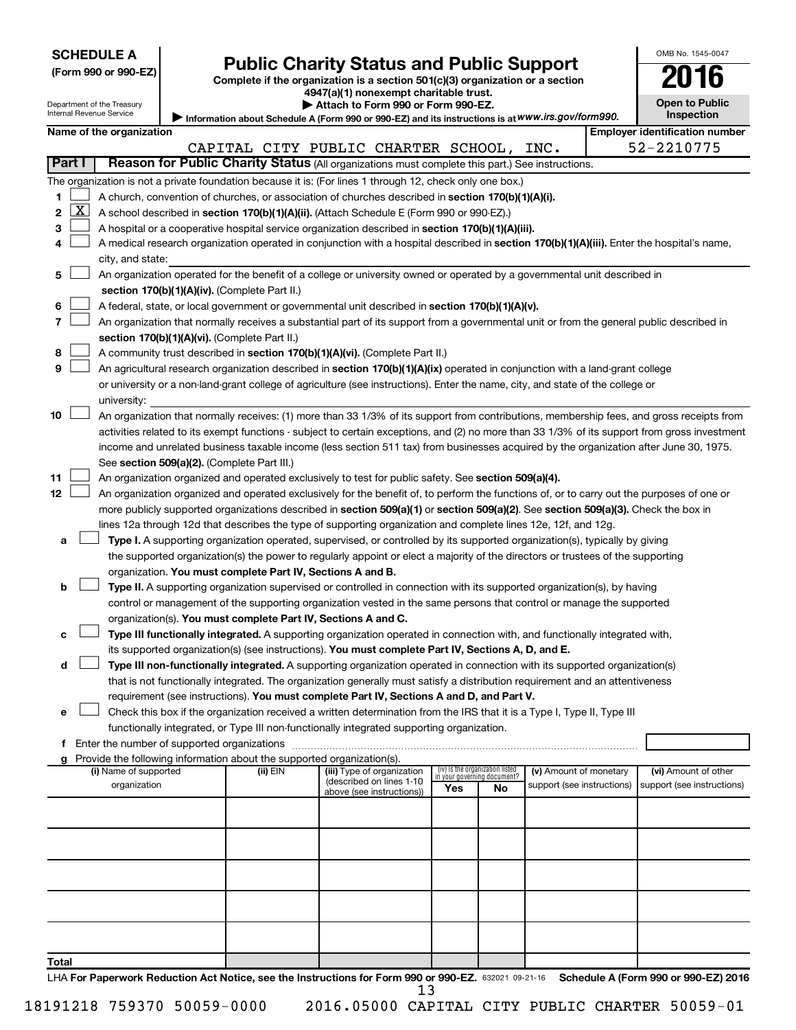## **Public Charity Status and Public Support 2016**

**(Form 990 or 990-EZ) Complete if the organization is a section 501(c)(3) organization or a section**

**4947(a)(1) nonexempt charitable trust.**

| ΖU<br>10                                   |  |
|--------------------------------------------|--|
| <b>Open to Public</b><br><b>Inspection</b> |  |

OMB No. 1545-0047

| Department of the Treasury | $\blacktriangleright$ Attach to Form 990 or Form 990-EZ.                                          | <b>Open to Public</b>          |
|----------------------------|---------------------------------------------------------------------------------------------------|--------------------------------|
| Internal Revenue Service   | Information about Schedule A (Form 990 or 990-EZ) and its instructions is at WWW.irs.gov/form990. | Inspection                     |
| Name of the organization   |                                                                                                   | Emplover identification number |

| Attach to Form 990 or Form 990-EZ.                                                                |  |
|---------------------------------------------------------------------------------------------------|--|
| Information about Schedule A (Form 990 or 990-EZ) and its instructions is at WWW.irs.gov/form990. |  |

|                |          |                                                                                                                                                                                       |          | CAPITAL CITY PUBLIC CHARTER SCHOOL, INC.               |                                                                |    |                            | 52-2210775                 |
|----------------|----------|---------------------------------------------------------------------------------------------------------------------------------------------------------------------------------------|----------|--------------------------------------------------------|----------------------------------------------------------------|----|----------------------------|----------------------------|
| Part I         |          | Reason for Public Charity Status (All organizations must complete this part.) See instructions.                                                                                       |          |                                                        |                                                                |    |                            |                            |
|                |          | The organization is not a private foundation because it is: (For lines 1 through 12, check only one box.)                                                                             |          |                                                        |                                                                |    |                            |                            |
| 1.             |          | A church, convention of churches, or association of churches described in section 170(b)(1)(A)(i).                                                                                    |          |                                                        |                                                                |    |                            |                            |
| 2              | <u>x</u> | A school described in section 170(b)(1)(A)(ii). (Attach Schedule E (Form 990 or 990-EZ).)                                                                                             |          |                                                        |                                                                |    |                            |                            |
| З              |          | A hospital or a cooperative hospital service organization described in section 170(b)(1)(A)(iii).                                                                                     |          |                                                        |                                                                |    |                            |                            |
| 4              |          | A medical research organization operated in conjunction with a hospital described in section 170(b)(1)(A)(iii). Enter the hospital's name,                                            |          |                                                        |                                                                |    |                            |                            |
|                |          | city, and state:                                                                                                                                                                      |          |                                                        |                                                                |    |                            |                            |
| 5              |          | An organization operated for the benefit of a college or university owned or operated by a governmental unit described in                                                             |          |                                                        |                                                                |    |                            |                            |
|                |          | section 170(b)(1)(A)(iv). (Complete Part II.)                                                                                                                                         |          |                                                        |                                                                |    |                            |                            |
| 6              |          | A federal, state, or local government or governmental unit described in section 170(b)(1)(A)(v).                                                                                      |          |                                                        |                                                                |    |                            |                            |
| $\overline{7}$ |          | An organization that normally receives a substantial part of its support from a governmental unit or from the general public described in                                             |          |                                                        |                                                                |    |                            |                            |
|                |          | section 170(b)(1)(A)(vi). (Complete Part II.)                                                                                                                                         |          |                                                        |                                                                |    |                            |                            |
| 8              |          | A community trust described in section 170(b)(1)(A)(vi). (Complete Part II.)                                                                                                          |          |                                                        |                                                                |    |                            |                            |
| 9              |          | An agricultural research organization described in section 170(b)(1)(A)(ix) operated in conjunction with a land-grant college                                                         |          |                                                        |                                                                |    |                            |                            |
|                |          | or university or a non-land-grant college of agriculture (see instructions). Enter the name, city, and state of the college or                                                        |          |                                                        |                                                                |    |                            |                            |
|                |          | university:                                                                                                                                                                           |          |                                                        |                                                                |    |                            |                            |
| 10             |          | An organization that normally receives: (1) more than 33 1/3% of its support from contributions, membership fees, and gross receipts from                                             |          |                                                        |                                                                |    |                            |                            |
|                |          | activities related to its exempt functions - subject to certain exceptions, and (2) no more than 33 1/3% of its support from gross investment                                         |          |                                                        |                                                                |    |                            |                            |
|                |          | income and unrelated business taxable income (less section 511 tax) from businesses acquired by the organization after June 30, 1975.                                                 |          |                                                        |                                                                |    |                            |                            |
|                |          | See section 509(a)(2). (Complete Part III.)                                                                                                                                           |          |                                                        |                                                                |    |                            |                            |
| 11             |          | An organization organized and operated exclusively to test for public safety. See section 509(a)(4).                                                                                  |          |                                                        |                                                                |    |                            |                            |
| 12             |          | An organization organized and operated exclusively for the benefit of, to perform the functions of, or to carry out the purposes of one or                                            |          |                                                        |                                                                |    |                            |                            |
|                |          | more publicly supported organizations described in section 509(a)(1) or section 509(a)(2). See section 509(a)(3). Check the box in                                                    |          |                                                        |                                                                |    |                            |                            |
|                |          | lines 12a through 12d that describes the type of supporting organization and complete lines 12e, 12f, and 12g.                                                                        |          |                                                        |                                                                |    |                            |                            |
| a              |          | Type I. A supporting organization operated, supervised, or controlled by its supported organization(s), typically by giving                                                           |          |                                                        |                                                                |    |                            |                            |
|                |          | the supported organization(s) the power to regularly appoint or elect a majority of the directors or trustees of the supporting                                                       |          |                                                        |                                                                |    |                            |                            |
|                |          | organization. You must complete Part IV, Sections A and B.<br>Type II. A supporting organization supervised or controlled in connection with its supported organization(s), by having |          |                                                        |                                                                |    |                            |                            |
| b              |          | control or management of the supporting organization vested in the same persons that control or manage the supported                                                                  |          |                                                        |                                                                |    |                            |                            |
|                |          | organization(s). You must complete Part IV, Sections A and C.                                                                                                                         |          |                                                        |                                                                |    |                            |                            |
| с              |          | Type III functionally integrated. A supporting organization operated in connection with, and functionally integrated with,                                                            |          |                                                        |                                                                |    |                            |                            |
|                |          | its supported organization(s) (see instructions). You must complete Part IV, Sections A, D, and E.                                                                                    |          |                                                        |                                                                |    |                            |                            |
| d              |          | Type III non-functionally integrated. A supporting organization operated in connection with its supported organization(s)                                                             |          |                                                        |                                                                |    |                            |                            |
|                |          | that is not functionally integrated. The organization generally must satisfy a distribution requirement and an attentiveness                                                          |          |                                                        |                                                                |    |                            |                            |
|                |          | requirement (see instructions). You must complete Part IV, Sections A and D, and Part V.                                                                                              |          |                                                        |                                                                |    |                            |                            |
| е              |          | Check this box if the organization received a written determination from the IRS that it is a Type I, Type II, Type III                                                               |          |                                                        |                                                                |    |                            |                            |
|                |          | functionally integrated, or Type III non-functionally integrated supporting organization.                                                                                             |          |                                                        |                                                                |    |                            |                            |
|                |          | f Enter the number of supported organizations                                                                                                                                         |          |                                                        |                                                                |    |                            |                            |
| g              |          | Provide the following information about the supported organization(s).                                                                                                                |          |                                                        |                                                                |    |                            |                            |
|                |          | (i) Name of supported                                                                                                                                                                 | (ii) EIN | (iii) Type of organization<br>(described on lines 1-10 | (iv) Is the organization listed<br>in your governing document? |    | (v) Amount of monetary     | (vi) Amount of other       |
|                |          | organization                                                                                                                                                                          |          | above (see instructions))                              | Yes                                                            | No | support (see instructions) | support (see instructions) |
|                |          |                                                                                                                                                                                       |          |                                                        |                                                                |    |                            |                            |
|                |          |                                                                                                                                                                                       |          |                                                        |                                                                |    |                            |                            |
|                |          |                                                                                                                                                                                       |          |                                                        |                                                                |    |                            |                            |
|                |          |                                                                                                                                                                                       |          |                                                        |                                                                |    |                            |                            |
|                |          |                                                                                                                                                                                       |          |                                                        |                                                                |    |                            |                            |
|                |          |                                                                                                                                                                                       |          |                                                        |                                                                |    |                            |                            |
|                |          |                                                                                                                                                                                       |          |                                                        |                                                                |    |                            |                            |
|                |          |                                                                                                                                                                                       |          |                                                        |                                                                |    |                            |                            |
|                |          |                                                                                                                                                                                       |          |                                                        |                                                                |    |                            |                            |
|                |          |                                                                                                                                                                                       |          |                                                        |                                                                |    |                            |                            |
| Total          |          |                                                                                                                                                                                       |          |                                                        |                                                                |    |                            |                            |

LHA For Paperwork Reduction Act Notice, see the Instructions for Form 990 or 990-EZ. 632021 09-21-16 Schedule A (Form 990 or 990-EZ) 2016 13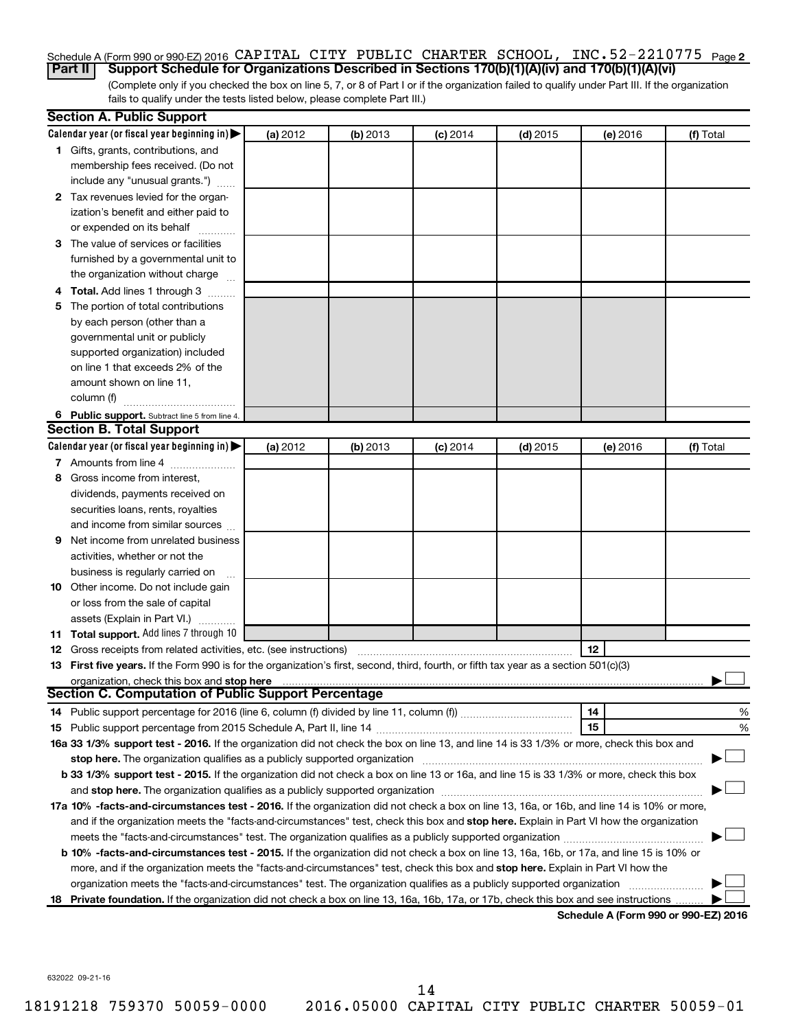#### **2** Schedule A (Form 990 or 990-EZ) 2016 Page **Part II Support Schedule for Organizations Described in Sections 170(b)(1)(A)(iv) and 170(b)(1)(A)(vi)** CAPITAL CITY PUBLIC CHARTER SCHOOL, INC.52-2210775

(Complete only if you checked the box on line 5, 7, or 8 of Part I or if the organization failed to qualify under Part III. If the organization fails to qualify under the tests listed below, please complete Part III.)

|   | <b>Section A. Public Support</b>                                                                                                                                                                                           |          |          |            |            |          |                                      |
|---|----------------------------------------------------------------------------------------------------------------------------------------------------------------------------------------------------------------------------|----------|----------|------------|------------|----------|--------------------------------------|
|   | Calendar year (or fiscal year beginning in)                                                                                                                                                                                | (a) 2012 | (b) 2013 | $(c)$ 2014 | $(d)$ 2015 | (e) 2016 | (f) Total                            |
|   | 1 Gifts, grants, contributions, and                                                                                                                                                                                        |          |          |            |            |          |                                      |
|   | membership fees received. (Do not                                                                                                                                                                                          |          |          |            |            |          |                                      |
|   | include any "unusual grants.")                                                                                                                                                                                             |          |          |            |            |          |                                      |
|   | 2 Tax revenues levied for the organ-                                                                                                                                                                                       |          |          |            |            |          |                                      |
|   | ization's benefit and either paid to                                                                                                                                                                                       |          |          |            |            |          |                                      |
|   | or expended on its behalf                                                                                                                                                                                                  |          |          |            |            |          |                                      |
|   | 3 The value of services or facilities                                                                                                                                                                                      |          |          |            |            |          |                                      |
|   | furnished by a governmental unit to                                                                                                                                                                                        |          |          |            |            |          |                                      |
|   | the organization without charge                                                                                                                                                                                            |          |          |            |            |          |                                      |
|   | 4 Total. Add lines 1 through 3                                                                                                                                                                                             |          |          |            |            |          |                                      |
|   | 5 The portion of total contributions                                                                                                                                                                                       |          |          |            |            |          |                                      |
|   | by each person (other than a                                                                                                                                                                                               |          |          |            |            |          |                                      |
|   | governmental unit or publicly                                                                                                                                                                                              |          |          |            |            |          |                                      |
|   | supported organization) included                                                                                                                                                                                           |          |          |            |            |          |                                      |
|   | on line 1 that exceeds 2% of the                                                                                                                                                                                           |          |          |            |            |          |                                      |
|   | amount shown on line 11,                                                                                                                                                                                                   |          |          |            |            |          |                                      |
|   | column (f)                                                                                                                                                                                                                 |          |          |            |            |          |                                      |
|   | 6 Public support. Subtract line 5 from line 4.                                                                                                                                                                             |          |          |            |            |          |                                      |
|   | <b>Section B. Total Support</b>                                                                                                                                                                                            |          |          |            |            |          |                                      |
|   | Calendar year (or fiscal year beginning in)                                                                                                                                                                                | (a) 2012 | (b) 2013 | $(c)$ 2014 | $(d)$ 2015 | (e) 2016 | (f) Total                            |
|   | 7 Amounts from line 4                                                                                                                                                                                                      |          |          |            |            |          |                                      |
|   | 8 Gross income from interest,                                                                                                                                                                                              |          |          |            |            |          |                                      |
|   | dividends, payments received on                                                                                                                                                                                            |          |          |            |            |          |                                      |
|   | securities loans, rents, royalties                                                                                                                                                                                         |          |          |            |            |          |                                      |
|   | and income from similar sources                                                                                                                                                                                            |          |          |            |            |          |                                      |
| 9 | Net income from unrelated business                                                                                                                                                                                         |          |          |            |            |          |                                      |
|   | activities, whether or not the                                                                                                                                                                                             |          |          |            |            |          |                                      |
|   | business is regularly carried on                                                                                                                                                                                           |          |          |            |            |          |                                      |
|   | 10 Other income. Do not include gain                                                                                                                                                                                       |          |          |            |            |          |                                      |
|   | or loss from the sale of capital                                                                                                                                                                                           |          |          |            |            |          |                                      |
|   | assets (Explain in Part VI.)                                                                                                                                                                                               |          |          |            |            |          |                                      |
|   | 11 Total support. Add lines 7 through 10                                                                                                                                                                                   |          |          |            |            |          |                                      |
|   | <b>12</b> Gross receipts from related activities, etc. (see instructions)                                                                                                                                                  |          |          |            |            | 12       |                                      |
|   | 13 First five years. If the Form 990 is for the organization's first, second, third, fourth, or fifth tax year as a section 501(c)(3)                                                                                      |          |          |            |            |          |                                      |
|   | organization, check this box and stop here                                                                                                                                                                                 |          |          |            |            |          |                                      |
|   | <b>Section C. Computation of Public Support Percentage</b>                                                                                                                                                                 |          |          |            |            |          |                                      |
|   |                                                                                                                                                                                                                            |          |          |            |            | 14       | %                                    |
|   |                                                                                                                                                                                                                            |          |          |            |            | 15       | %                                    |
|   | 16a 33 1/3% support test - 2016. If the organization did not check the box on line 13, and line 14 is 33 1/3% or more, check this box and                                                                                  |          |          |            |            |          |                                      |
|   | stop here. The organization qualifies as a publicly supported organization                                                                                                                                                 |          |          |            |            |          |                                      |
|   | b 33 1/3% support test - 2015. If the organization did not check a box on line 13 or 16a, and line 15 is 33 1/3% or more, check this box                                                                                   |          |          |            |            |          |                                      |
|   | and stop here. The organization qualifies as a publicly supported organization [11] manuscription manuscription manuscription manuscription and stop here. The organization qualifies as a publicly supported organization |          |          |            |            |          |                                      |
|   | 17a 10% -facts-and-circumstances test - 2016. If the organization did not check a box on line 13, 16a, or 16b, and line 14 is 10% or more,                                                                                 |          |          |            |            |          |                                      |
|   | and if the organization meets the "facts-and-circumstances" test, check this box and stop here. Explain in Part VI how the organization                                                                                    |          |          |            |            |          |                                      |
|   | meets the "facts-and-circumstances" test. The organization qualifies as a publicly supported organization <i>manumumumumum</i>                                                                                             |          |          |            |            |          |                                      |
|   | b 10% -facts-and-circumstances test - 2015. If the organization did not check a box on line 13, 16a, 16b, or 17a, and line 15 is 10% or                                                                                    |          |          |            |            |          |                                      |
|   | more, and if the organization meets the "facts-and-circumstances" test, check this box and stop here. Explain in Part VI how the                                                                                           |          |          |            |            |          |                                      |
|   | organization meets the "facts-and-circumstances" test. The organization qualifies as a publicly supported organization                                                                                                     |          |          |            |            |          |                                      |
|   | 18 Private foundation. If the organization did not check a box on line 13, 16a, 16b, 17a, or 17b, check this box and see instructions                                                                                      |          |          |            |            |          |                                      |
|   |                                                                                                                                                                                                                            |          |          |            |            |          | Schedule A (Form 990 or 990-F7) 2016 |

**Schedule A (Form 990 or 990-EZ) 2016**

632022 09-21-16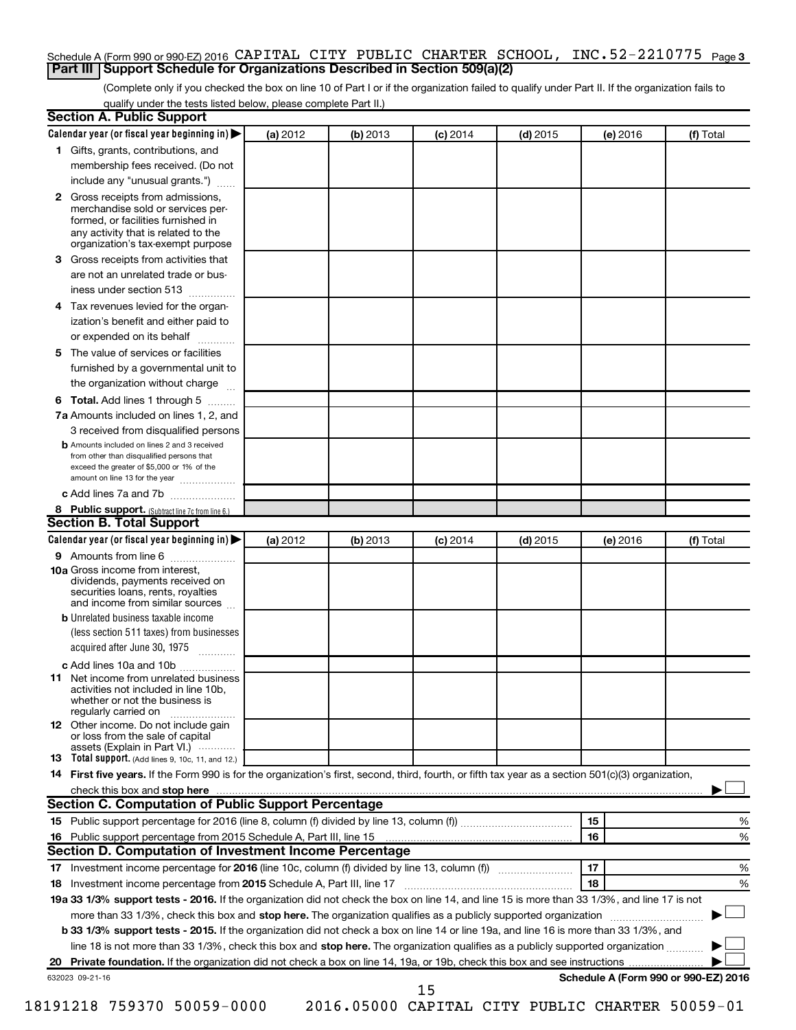## Schedule A (Form 990 or 990-EZ) 2016 CAPITAL CITY PUBLIC CHARTER SCHOOL, INC.52-2210775 <sub>Page 3</sub> **Part III Support Schedule for Organizations Described in Section 509(a)(2)**

(Complete only if you checked the box on line 10 of Part I or if the organization failed to qualify under Part II. If the organization fails to qualify under the tests listed below, please complete Part II.)

| <b>Section A. Public Support</b>                                                                                                                                                 |          |          |            |            |          |                                      |
|----------------------------------------------------------------------------------------------------------------------------------------------------------------------------------|----------|----------|------------|------------|----------|--------------------------------------|
| Calendar year (or fiscal year beginning in)                                                                                                                                      | (a) 2012 | (b) 2013 | $(c)$ 2014 | $(d)$ 2015 | (e) 2016 | (f) Total                            |
| 1 Gifts, grants, contributions, and                                                                                                                                              |          |          |            |            |          |                                      |
| membership fees received. (Do not                                                                                                                                                |          |          |            |            |          |                                      |
| include any "unusual grants.")                                                                                                                                                   |          |          |            |            |          |                                      |
| 2 Gross receipts from admissions,<br>merchandise sold or services per-<br>formed, or facilities furnished in<br>any activity that is related to the                              |          |          |            |            |          |                                      |
| organization's tax-exempt purpose                                                                                                                                                |          |          |            |            |          |                                      |
| <b>3</b> Gross receipts from activities that                                                                                                                                     |          |          |            |            |          |                                      |
| are not an unrelated trade or bus-                                                                                                                                               |          |          |            |            |          |                                      |
| iness under section 513                                                                                                                                                          |          |          |            |            |          |                                      |
| 4 Tax revenues levied for the organ-<br>ization's benefit and either paid to                                                                                                     |          |          |            |            |          |                                      |
| or expended on its behalf                                                                                                                                                        |          |          |            |            |          |                                      |
| 5 The value of services or facilities                                                                                                                                            |          |          |            |            |          |                                      |
| furnished by a governmental unit to                                                                                                                                              |          |          |            |            |          |                                      |
| the organization without charge                                                                                                                                                  |          |          |            |            |          |                                      |
| <b>6 Total.</b> Add lines 1 through 5                                                                                                                                            |          |          |            |            |          |                                      |
| 7a Amounts included on lines 1, 2, and                                                                                                                                           |          |          |            |            |          |                                      |
| 3 received from disqualified persons                                                                                                                                             |          |          |            |            |          |                                      |
| <b>b</b> Amounts included on lines 2 and 3 received<br>from other than disqualified persons that<br>exceed the greater of \$5,000 or 1% of the<br>amount on line 13 for the year |          |          |            |            |          |                                      |
| c Add lines 7a and 7b                                                                                                                                                            |          |          |            |            |          |                                      |
| 8 Public support. (Subtract line 7c from line 6.)                                                                                                                                |          |          |            |            |          |                                      |
| <b>Section B. Total Support</b>                                                                                                                                                  |          |          |            |            |          |                                      |
| Calendar year (or fiscal year beginning in)                                                                                                                                      | (a) 2012 | (b) 2013 | $(c)$ 2014 | $(d)$ 2015 | (e) 2016 | (f) Total                            |
| <b>9</b> Amounts from line 6                                                                                                                                                     |          |          |            |            |          |                                      |
| <b>10a</b> Gross income from interest,<br>dividends, payments received on<br>securities loans, rents, royalties<br>and income from similar sources                               |          |          |            |            |          |                                      |
| <b>b</b> Unrelated business taxable income                                                                                                                                       |          |          |            |            |          |                                      |
| (less section 511 taxes) from businesses<br>acquired after June 30, 1975                                                                                                         |          |          |            |            |          |                                      |
| c Add lines 10a and 10b                                                                                                                                                          |          |          |            |            |          |                                      |
| <b>11</b> Net income from unrelated business<br>activities not included in line 10b.<br>whether or not the business is<br>regularly carried on                                   |          |          |            |            |          |                                      |
| <b>12</b> Other income. Do not include gain<br>or loss from the sale of capital<br>assets (Explain in Part VI.)                                                                  |          |          |            |            |          |                                      |
| <b>13</b> Total support. (Add lines 9, 10c, 11, and 12.)                                                                                                                         |          |          |            |            |          |                                      |
| 14 First five years. If the Form 990 is for the organization's first, second, third, fourth, or fifth tax year as a section 501(c)(3) organization,                              |          |          |            |            |          |                                      |
|                                                                                                                                                                                  |          |          |            |            |          |                                      |
| Section C. Computation of Public Support Percentage                                                                                                                              |          |          |            |            |          |                                      |
|                                                                                                                                                                                  |          |          |            |            | 15       | ℅                                    |
| 16 Public support percentage from 2015 Schedule A, Part III, line 15                                                                                                             |          |          |            |            | 16       | %                                    |
| Section D. Computation of Investment Income Percentage                                                                                                                           |          |          |            |            |          |                                      |
|                                                                                                                                                                                  |          |          |            |            | 17       | %                                    |
| 18 Investment income percentage from 2015 Schedule A, Part III, line 17                                                                                                          |          |          |            |            | 18       | %                                    |
| 19a 33 1/3% support tests - 2016. If the organization did not check the box on line 14, and line 15 is more than 33 1/3%, and line 17 is not                                     |          |          |            |            |          |                                      |
| more than 33 1/3%, check this box and stop here. The organization qualifies as a publicly supported organization                                                                 |          |          |            |            |          |                                      |
| b 33 1/3% support tests - 2015. If the organization did not check a box on line 14 or line 19a, and line 16 is more than 33 1/3%, and                                            |          |          |            |            |          |                                      |
| line 18 is not more than 33 1/3%, check this box and stop here. The organization qualifies as a publicly supported organization                                                  |          |          |            |            |          |                                      |
|                                                                                                                                                                                  |          |          |            |            |          |                                      |
| 632023 09-21-16                                                                                                                                                                  |          |          |            |            |          | Schedule A (Form 990 or 990-EZ) 2016 |
|                                                                                                                                                                                  |          |          | 15         |            |          |                                      |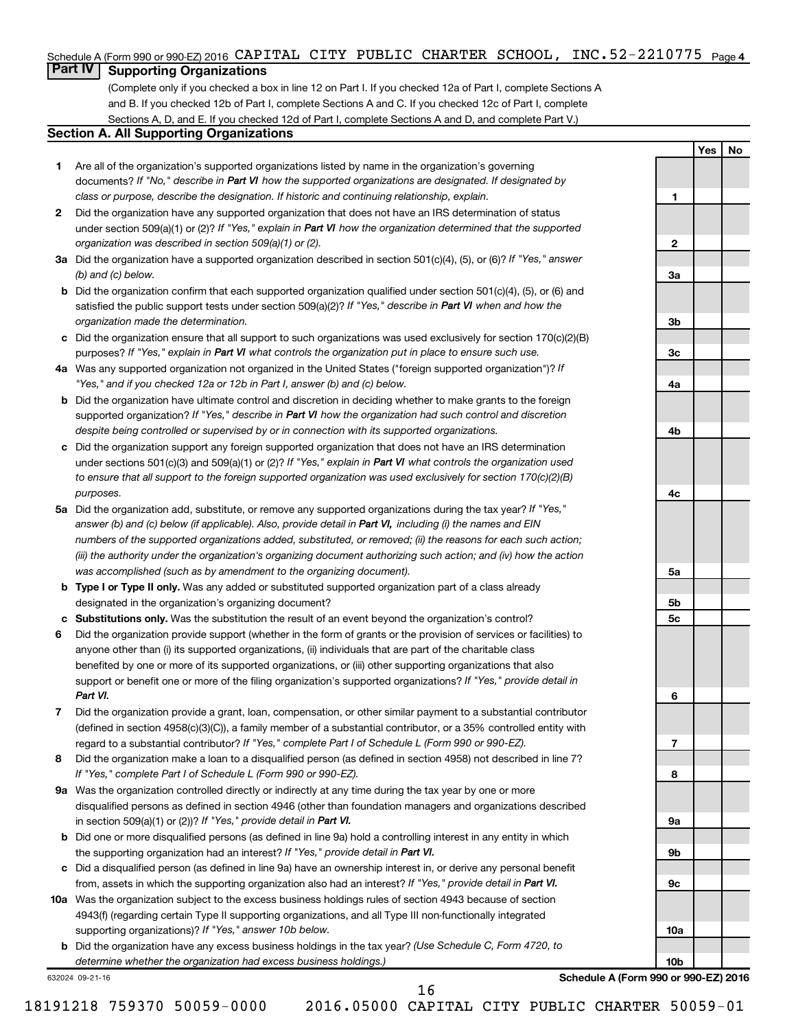## Schedule A (Form 990 or 990-EZ) 2016 CAPITAL CITY PUBLIC CHARTER SCHOOL, INC.52-2210775 <sub>Page 4</sub>

## **Part IV Supporting Organizations**

(Complete only if you checked a box in line 12 on Part I. If you checked 12a of Part I, complete Sections A and B. If you checked 12b of Part I, complete Sections A and C. If you checked 12c of Part I, complete Sections A, D, and E. If you checked 12d of Part I, complete Sections A and D, and complete Part V.)

## **Section A. All Supporting Organizations**

- **1** Are all of the organization's supported organizations listed by name in the organization's governing documents? If "No," describe in Part VI how the supported organizations are designated. If designated by *class or purpose, describe the designation. If historic and continuing relationship, explain.*
- **2** Did the organization have any supported organization that does not have an IRS determination of status under section 509(a)(1) or (2)? If "Yes," explain in Part VI how the organization determined that the supported *organization was described in section 509(a)(1) or (2).*
- **3a** Did the organization have a supported organization described in section 501(c)(4), (5), or (6)? If "Yes," answer *(b) and (c) below.*
- **b** Did the organization confirm that each supported organization qualified under section 501(c)(4), (5), or (6) and satisfied the public support tests under section 509(a)(2)? If "Yes," describe in Part VI when and how the *organization made the determination.*
- **c** Did the organization ensure that all support to such organizations was used exclusively for section 170(c)(2)(B) purposes? If "Yes," explain in Part VI what controls the organization put in place to ensure such use.
- **4 a** *If* Was any supported organization not organized in the United States ("foreign supported organization")? *"Yes," and if you checked 12a or 12b in Part I, answer (b) and (c) below.*
- **b** Did the organization have ultimate control and discretion in deciding whether to make grants to the foreign supported organization? If "Yes," describe in Part VI how the organization had such control and discretion *despite being controlled or supervised by or in connection with its supported organizations.*
- **c** Did the organization support any foreign supported organization that does not have an IRS determination under sections 501(c)(3) and 509(a)(1) or (2)? If "Yes," explain in Part VI what controls the organization used *to ensure that all support to the foreign supported organization was used exclusively for section 170(c)(2)(B) purposes.*
- **5a** Did the organization add, substitute, or remove any supported organizations during the tax year? If "Yes," answer (b) and (c) below (if applicable). Also, provide detail in Part VI, including (i) the names and EIN *numbers of the supported organizations added, substituted, or removed; (ii) the reasons for each such action; (iii) the authority under the organization's organizing document authorizing such action; and (iv) how the action was accomplished (such as by amendment to the organizing document).*
- **b** Type I or Type II only. Was any added or substituted supported organization part of a class already designated in the organization's organizing document?
- **c Substitutions only.**  Was the substitution the result of an event beyond the organization's control?
- **6** Did the organization provide support (whether in the form of grants or the provision of services or facilities) to support or benefit one or more of the filing organization's supported organizations? If "Yes," provide detail in anyone other than (i) its supported organizations, (ii) individuals that are part of the charitable class benefited by one or more of its supported organizations, or (iii) other supporting organizations that also *Part VI.*
- **7** Did the organization provide a grant, loan, compensation, or other similar payment to a substantial contributor regard to a substantial contributor? If "Yes," complete Part I of Schedule L (Form 990 or 990-EZ). (defined in section 4958(c)(3)(C)), a family member of a substantial contributor, or a 35% controlled entity with
- **8** Did the organization make a loan to a disqualified person (as defined in section 4958) not described in line 7? *If "Yes," complete Part I of Schedule L (Form 990 or 990-EZ).*
- **9 a** Was the organization controlled directly or indirectly at any time during the tax year by one or more in section 509(a)(1) or (2))? If "Yes," provide detail in Part VI. disqualified persons as defined in section 4946 (other than foundation managers and organizations described
- **b** Did one or more disqualified persons (as defined in line 9a) hold a controlling interest in any entity in which the supporting organization had an interest? If "Yes," provide detail in Part VI.
- **c** Did a disqualified person (as defined in line 9a) have an ownership interest in, or derive any personal benefit from, assets in which the supporting organization also had an interest? If "Yes," provide detail in Part VI.
- **10 a** Was the organization subject to the excess business holdings rules of section 4943 because of section supporting organizations)? If "Yes," answer 10b below. 4943(f) (regarding certain Type II supporting organizations, and all Type III non-functionally integrated
	- **b** Did the organization have any excess business holdings in the tax year? (Use Schedule C, Form 4720, to *determine whether the organization had excess business holdings.)*

632024 09-21-16

**Schedule A (Form 990 or 990-EZ) 2016**

**Yes No**

**1**

**2**

**3a**

**3b**

**3c**

**4a**

**4b**

**4c**

**5a**

**5b 5c**

**6**

**7**

**8**

**9a**

**9b**

**9c**

**10a**

**10b**

18191218 759370 50059-0000 2016.05000 CAPITAL CITY PUBLIC CHARTER 50059-01

16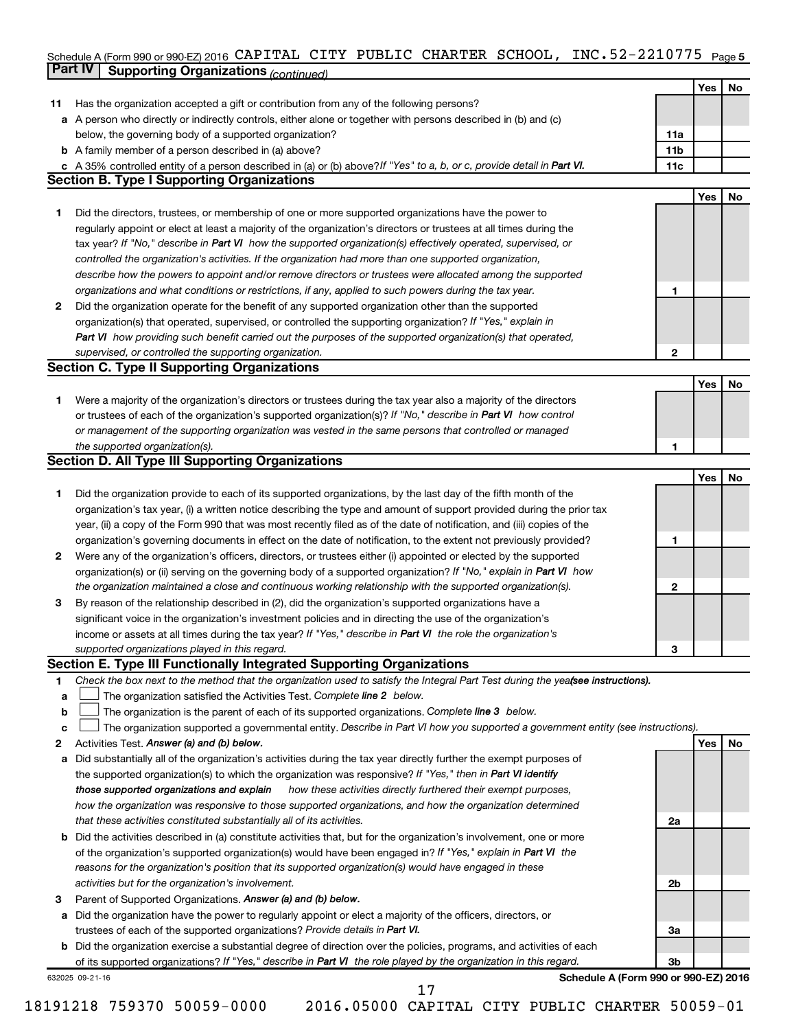### **5** Schedule A (Form 990 or 990-EZ) 2016 Page **Part IV Supporting Organizations** *(continued)* CAPITAL CITY PUBLIC CHARTER SCHOOL, INC.52-2210775

|              | - - - - - ອ                                                                                                                                                             |                |            |    |
|--------------|-------------------------------------------------------------------------------------------------------------------------------------------------------------------------|----------------|------------|----|
|              |                                                                                                                                                                         |                | Yes        | No |
| 11           | Has the organization accepted a gift or contribution from any of the following persons?                                                                                 |                |            |    |
|              | a A person who directly or indirectly controls, either alone or together with persons described in (b) and (c)                                                          |                |            |    |
|              | below, the governing body of a supported organization?                                                                                                                  | <b>11a</b>     |            |    |
|              | <b>b</b> A family member of a person described in (a) above?                                                                                                            | 11b            |            |    |
|              | c A 35% controlled entity of a person described in (a) or (b) above? If "Yes" to a, b, or c, provide detail in Part VI.                                                 | 11c            |            |    |
|              | <b>Section B. Type I Supporting Organizations</b>                                                                                                                       |                |            |    |
|              |                                                                                                                                                                         |                | Yes        | No |
| 1.           | Did the directors, trustees, or membership of one or more supported organizations have the power to                                                                     |                |            |    |
|              | regularly appoint or elect at least a majority of the organization's directors or trustees at all times during the                                                      |                |            |    |
|              | tax year? If "No," describe in Part VI how the supported organization(s) effectively operated, supervised, or                                                           |                |            |    |
|              | controlled the organization's activities. If the organization had more than one supported organization,                                                                 |                |            |    |
|              | describe how the powers to appoint and/or remove directors or trustees were allocated among the supported                                                               |                |            |    |
|              | organizations and what conditions or restrictions, if any, applied to such powers during the tax year.                                                                  | 1              |            |    |
| $\mathbf{2}$ | Did the organization operate for the benefit of any supported organization other than the supported                                                                     |                |            |    |
|              | organization(s) that operated, supervised, or controlled the supporting organization? If "Yes," explain in                                                              |                |            |    |
|              | Part VI how providing such benefit carried out the purposes of the supported organization(s) that operated,                                                             |                |            |    |
|              | supervised, or controlled the supporting organization.                                                                                                                  | $\overline{2}$ |            |    |
|              | <b>Section C. Type II Supporting Organizations</b>                                                                                                                      |                |            |    |
|              |                                                                                                                                                                         |                | <b>Yes</b> | No |
| 1.           | Were a majority of the organization's directors or trustees during the tax year also a majority of the directors                                                        |                |            |    |
|              | or trustees of each of the organization's supported organization(s)? If "No," describe in Part VI how control                                                           |                |            |    |
|              | or management of the supporting organization was vested in the same persons that controlled or managed                                                                  |                |            |    |
|              | the supported organization(s).                                                                                                                                          | 1              |            |    |
|              | <b>Section D. All Type III Supporting Organizations</b>                                                                                                                 |                |            |    |
|              |                                                                                                                                                                         |                | <b>Yes</b> | No |
| 1.           | Did the organization provide to each of its supported organizations, by the last day of the fifth month of the                                                          |                |            |    |
|              | organization's tax year, (i) a written notice describing the type and amount of support provided during the prior tax                                                   |                |            |    |
|              | year, (ii) a copy of the Form 990 that was most recently filed as of the date of notification, and (iii) copies of the                                                  |                |            |    |
|              | organization's governing documents in effect on the date of notification, to the extent not previously provided?                                                        | 1              |            |    |
| 2            | Were any of the organization's officers, directors, or trustees either (i) appointed or elected by the supported                                                        |                |            |    |
|              | organization(s) or (ii) serving on the governing body of a supported organization? If "No," explain in Part VI how                                                      |                |            |    |
|              | the organization maintained a close and continuous working relationship with the supported organization(s).                                                             | 2              |            |    |
| 3            | By reason of the relationship described in (2), did the organization's supported organizations have a                                                                   |                |            |    |
|              | significant voice in the organization's investment policies and in directing the use of the organization's                                                              |                |            |    |
|              | income or assets at all times during the tax year? If "Yes," describe in Part VI the role the organization's                                                            |                |            |    |
|              | supported organizations played in this regard.<br>Section E. Type III Functionally Integrated Supporting Organizations                                                  | з              |            |    |
|              |                                                                                                                                                                         |                |            |    |
| 1            | Check the box next to the method that the organization used to satisfy the Integral Part Test during the yea(see instructions).                                         |                |            |    |
| а            | The organization satisfied the Activities Test. Complete line 2 below.<br>The organization is the parent of each of its supported organizations. Complete line 3 below. |                |            |    |
| b<br>c       | The organization supported a governmental entity. Describe in Part VI how you supported a government entity (see instructions).                                         |                |            |    |
| 2            | Activities Test. Answer (a) and (b) below.                                                                                                                              |                | Yes        | No |
| a            | Did substantially all of the organization's activities during the tax year directly further the exempt purposes of                                                      |                |            |    |
|              | the supported organization(s) to which the organization was responsive? If "Yes," then in Part VI identify                                                              |                |            |    |
|              | how these activities directly furthered their exempt purposes,<br>those supported organizations and explain                                                             |                |            |    |
|              | how the organization was responsive to those supported organizations, and how the organization determined                                                               |                |            |    |
|              | that these activities constituted substantially all of its activities.                                                                                                  | 2a             |            |    |
|              | <b>b</b> Did the activities described in (a) constitute activities that, but for the organization's involvement, one or more                                            |                |            |    |
|              | of the organization's supported organization(s) would have been engaged in? If "Yes," explain in Part VI the                                                            |                |            |    |
|              | reasons for the organization's position that its supported organization(s) would have engaged in these                                                                  |                |            |    |
|              | activities but for the organization's involvement.                                                                                                                      | 2b             |            |    |
| з            | Parent of Supported Organizations. Answer (a) and (b) below.                                                                                                            |                |            |    |
| а            | Did the organization have the power to regularly appoint or elect a majority of the officers, directors, or                                                             |                |            |    |
|              | trustees of each of the supported organizations? Provide details in Part VI.                                                                                            | За             |            |    |
|              | <b>b</b> Did the organization exercise a substantial degree of direction over the policies, programs, and activities of each                                            |                |            |    |
|              | of its supported organizations? If "Yes," describe in Part VI the role played by the organization in this regard.                                                       | 3 <sub>b</sub> |            |    |
|              | Schedule A (Form 990 or 990-EZ) 2016<br>632025 09-21-16                                                                                                                 |                |            |    |
|              | 17                                                                                                                                                                      |                |            |    |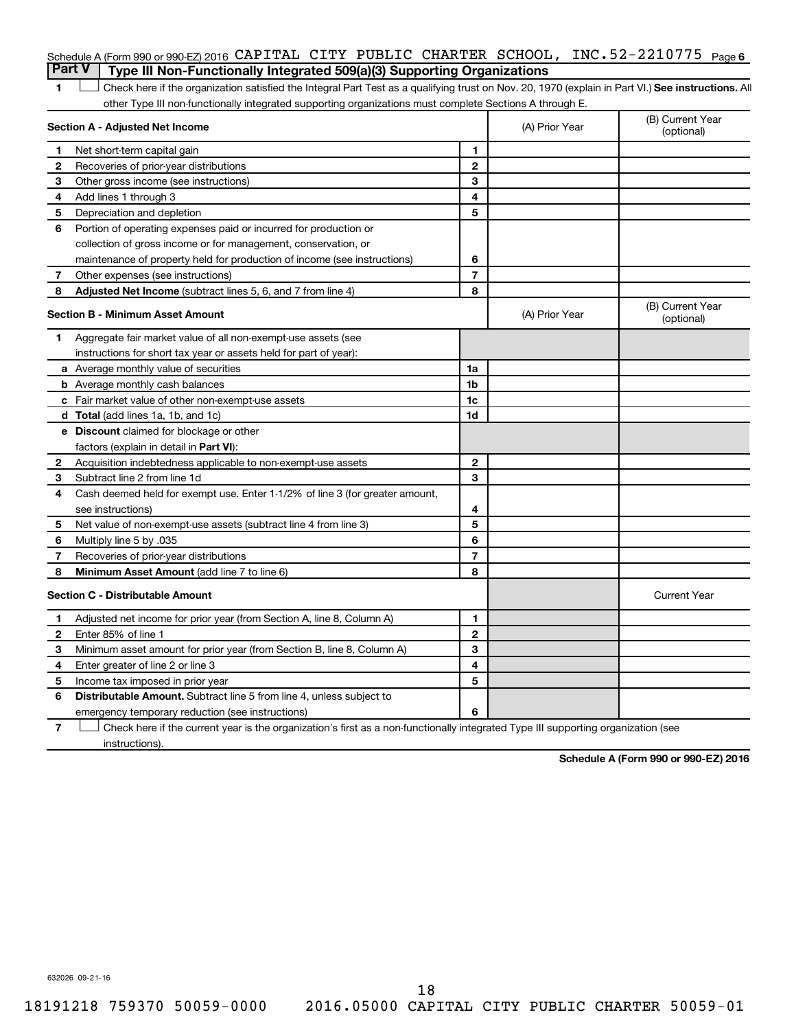|                                                                                       |  |  | Schedule A (Form 990 or 990-EZ) 2016 CAPITAL CITY PUBLIC CHARTER SCHOOL, INC. $52-2210775$ Page 6 |  |
|---------------------------------------------------------------------------------------|--|--|---------------------------------------------------------------------------------------------------|--|
| <b>Part V</b> Type III Non-Functionally Integrated 509(a)(3) Supporting Organizations |  |  |                                                                                                   |  |

1 **Letter See instructions.** All Check here if the organization satisfied the Integral Part Test as a qualifying trust on Nov. 20, 1970 (explain in Part VI.) See instructions. All other Type III non-functionally integrated supporting organizations must complete Sections A through E.

|              | Section A - Adjusted Net Income                                              |                | (A) Prior Year | (B) Current Year<br>(optional) |  |
|--------------|------------------------------------------------------------------------------|----------------|----------------|--------------------------------|--|
| 1            | Net short-term capital gain                                                  | 1              |                |                                |  |
| 2            | Recoveries of prior-year distributions                                       | $\mathbf{2}$   |                |                                |  |
| З            | Other gross income (see instructions)                                        | 3              |                |                                |  |
| 4            | Add lines 1 through 3                                                        | 4              |                |                                |  |
| 5            | Depreciation and depletion                                                   | 5              |                |                                |  |
| 6            | Portion of operating expenses paid or incurred for production or             |                |                |                                |  |
|              | collection of gross income or for management, conservation, or               |                |                |                                |  |
|              | maintenance of property held for production of income (see instructions)     | 6              |                |                                |  |
| 7            | Other expenses (see instructions)                                            | $\overline{7}$ |                |                                |  |
| 8            | Adjusted Net Income (subtract lines 5, 6, and 7 from line 4)                 | 8              |                |                                |  |
|              | <b>Section B - Minimum Asset Amount</b>                                      |                | (A) Prior Year | (B) Current Year<br>(optional) |  |
| 1            | Aggregate fair market value of all non-exempt-use assets (see                |                |                |                                |  |
|              | instructions for short tax year or assets held for part of year):            |                |                |                                |  |
|              | <b>a</b> Average monthly value of securities                                 | 1a             |                |                                |  |
|              | <b>b</b> Average monthly cash balances                                       | 1b             |                |                                |  |
|              | <b>c</b> Fair market value of other non-exempt-use assets                    | 1c             |                |                                |  |
|              | d Total (add lines 1a, 1b, and 1c)                                           | 1d             |                |                                |  |
|              | e Discount claimed for blockage or other                                     |                |                |                                |  |
|              | factors (explain in detail in <b>Part VI</b> ):                              |                |                |                                |  |
| $\mathbf{2}$ | Acquisition indebtedness applicable to non-exempt-use assets                 | $\mathbf{2}$   |                |                                |  |
| 3            | Subtract line 2 from line 1d                                                 | 3              |                |                                |  |
| 4            | Cash deemed held for exempt use. Enter 1-1/2% of line 3 (for greater amount, |                |                |                                |  |
|              | see instructions)                                                            | 4              |                |                                |  |
| 5            | Net value of non-exempt-use assets (subtract line 4 from line 3)             | 5              |                |                                |  |
| 6            | Multiply line 5 by .035                                                      | 6              |                |                                |  |
| 7            | Recoveries of prior-year distributions                                       | $\overline{7}$ |                |                                |  |
| 8            | Minimum Asset Amount (add line 7 to line 6)                                  | 8              |                |                                |  |
|              | <b>Section C - Distributable Amount</b>                                      |                |                | <b>Current Year</b>            |  |
| 1            | Adjusted net income for prior year (from Section A, line 8, Column A)        | 1              |                |                                |  |
| $\mathbf{2}$ | Enter 85% of line 1                                                          | $\mathbf{2}$   |                |                                |  |
| 3            | Minimum asset amount for prior year (from Section B, line 8, Column A)       | 3              |                |                                |  |
| 4            | Enter greater of line 2 or line 3                                            | 4              |                |                                |  |
| 5            | Income tax imposed in prior year                                             | 5              |                |                                |  |
| 6            | <b>Distributable Amount.</b> Subtract line 5 from line 4, unless subject to  |                |                |                                |  |
|              | emergency temporary reduction (see instructions)                             | 6              |                |                                |  |
|              |                                                                              |                |                |                                |  |

**7** Check here if the current year is the organization's first as a non-functionally integrated Type III supporting organization (see † instructions).

**Schedule A (Form 990 or 990-EZ) 2016**

632026 09-21-16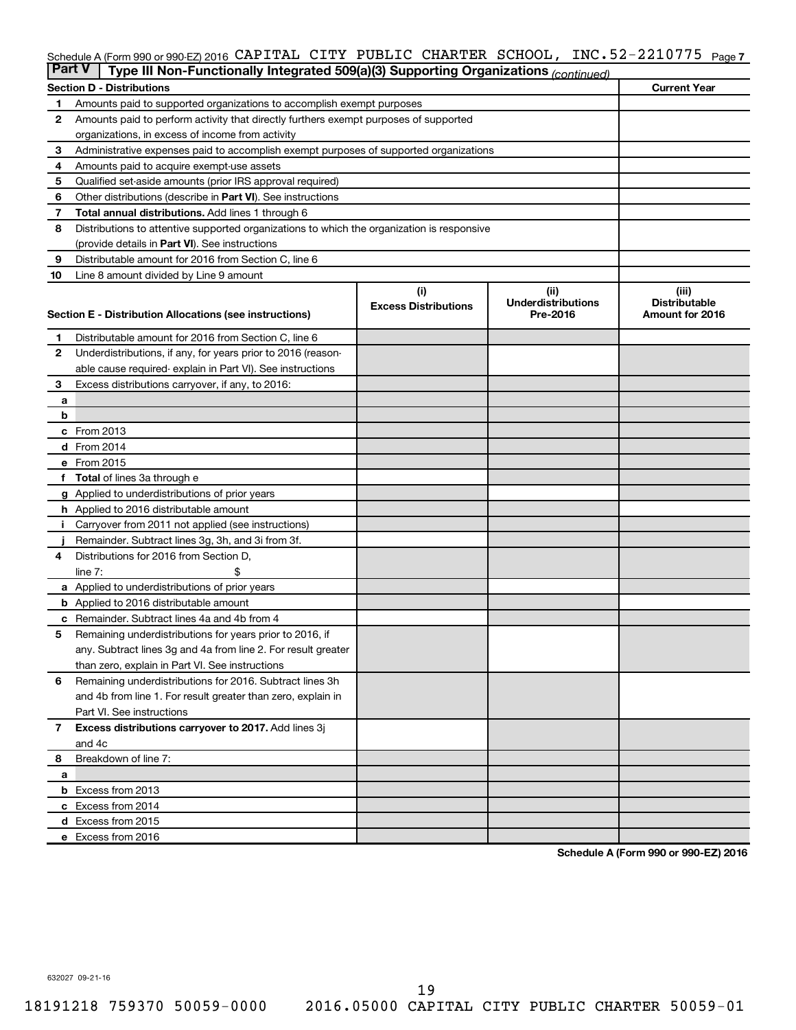## Schedule A (Form 990 or 990-EZ) 2016 CAPITAL CITY PUBLIC CHARTER SCHOOL, INC.52-2210775 <sub>Page 7</sub>

| <b>Part V</b> | Type III Non-Functionally Integrated 509(a)(3) Supporting Organizations (continued)         |                             |                                       |                                         |
|---------------|---------------------------------------------------------------------------------------------|-----------------------------|---------------------------------------|-----------------------------------------|
|               | <b>Section D - Distributions</b>                                                            |                             |                                       | <b>Current Year</b>                     |
| 1             | Amounts paid to supported organizations to accomplish exempt purposes                       |                             |                                       |                                         |
| 2             | Amounts paid to perform activity that directly furthers exempt purposes of supported        |                             |                                       |                                         |
|               | organizations, in excess of income from activity                                            |                             |                                       |                                         |
| 3             | Administrative expenses paid to accomplish exempt purposes of supported organizations       |                             |                                       |                                         |
| 4             | Amounts paid to acquire exempt-use assets                                                   |                             |                                       |                                         |
| 5             | Qualified set-aside amounts (prior IRS approval required)                                   |                             |                                       |                                         |
| 6             | Other distributions (describe in Part VI). See instructions                                 |                             |                                       |                                         |
| 7             | <b>Total annual distributions.</b> Add lines 1 through 6                                    |                             |                                       |                                         |
| 8             | Distributions to attentive supported organizations to which the organization is responsive  |                             |                                       |                                         |
|               | (provide details in Part VI). See instructions                                              |                             |                                       |                                         |
| 9             | Distributable amount for 2016 from Section C, line 6                                        |                             |                                       |                                         |
| 10            | Line 8 amount divided by Line 9 amount                                                      |                             |                                       |                                         |
|               |                                                                                             | (i)                         | (ii)                                  | (iii)                                   |
|               | Section E - Distribution Allocations (see instructions)                                     | <b>Excess Distributions</b> | <b>Underdistributions</b><br>Pre-2016 | <b>Distributable</b><br>Amount for 2016 |
|               |                                                                                             |                             |                                       |                                         |
| 1             | Distributable amount for 2016 from Section C, line 6                                        |                             |                                       |                                         |
| $\mathbf{2}$  | Underdistributions, if any, for years prior to 2016 (reason-                                |                             |                                       |                                         |
|               | able cause required- explain in Part VI). See instructions                                  |                             |                                       |                                         |
| 3             | Excess distributions carryover, if any, to 2016:                                            |                             |                                       |                                         |
| а             |                                                                                             |                             |                                       |                                         |
| b             |                                                                                             |                             |                                       |                                         |
|               | c From 2013                                                                                 |                             |                                       |                                         |
|               | <b>d</b> From 2014                                                                          |                             |                                       |                                         |
|               | e From 2015                                                                                 |                             |                                       |                                         |
|               | f Total of lines 3a through e                                                               |                             |                                       |                                         |
|               | <b>g</b> Applied to underdistributions of prior years                                       |                             |                                       |                                         |
|               | <b>h</b> Applied to 2016 distributable amount                                               |                             |                                       |                                         |
|               | Carryover from 2011 not applied (see instructions)                                          |                             |                                       |                                         |
|               | Remainder. Subtract lines 3g, 3h, and 3i from 3f.<br>Distributions for 2016 from Section D, |                             |                                       |                                         |
| 4             | $line 7$ :                                                                                  |                             |                                       |                                         |
|               | a Applied to underdistributions of prior years                                              |                             |                                       |                                         |
|               | <b>b</b> Applied to 2016 distributable amount                                               |                             |                                       |                                         |
| с             | Remainder. Subtract lines 4a and 4b from 4                                                  |                             |                                       |                                         |
| 5             | Remaining underdistributions for years prior to 2016, if                                    |                             |                                       |                                         |
|               | any. Subtract lines 3g and 4a from line 2. For result greater                               |                             |                                       |                                         |
|               | than zero, explain in Part VI. See instructions                                             |                             |                                       |                                         |
| 6             | Remaining underdistributions for 2016. Subtract lines 3h                                    |                             |                                       |                                         |
|               | and 4b from line 1. For result greater than zero, explain in                                |                             |                                       |                                         |
|               | Part VI. See instructions                                                                   |                             |                                       |                                         |
| $\mathbf{7}$  | Excess distributions carryover to 2017. Add lines 3j                                        |                             |                                       |                                         |
|               | and 4c                                                                                      |                             |                                       |                                         |
| 8             | Breakdown of line 7:                                                                        |                             |                                       |                                         |
| a             |                                                                                             |                             |                                       |                                         |
|               | <b>b</b> Excess from 2013                                                                   |                             |                                       |                                         |
|               | c Excess from 2014                                                                          |                             |                                       |                                         |
|               | d Excess from 2015                                                                          |                             |                                       |                                         |
|               | e Excess from 2016                                                                          |                             |                                       |                                         |

**Schedule A (Form 990 or 990-EZ) 2016**

632027 09-21-16

18191218 759370 50059-0000 2016.05000 CAPITAL CITY PUBLIC CHARTER 50059-01 19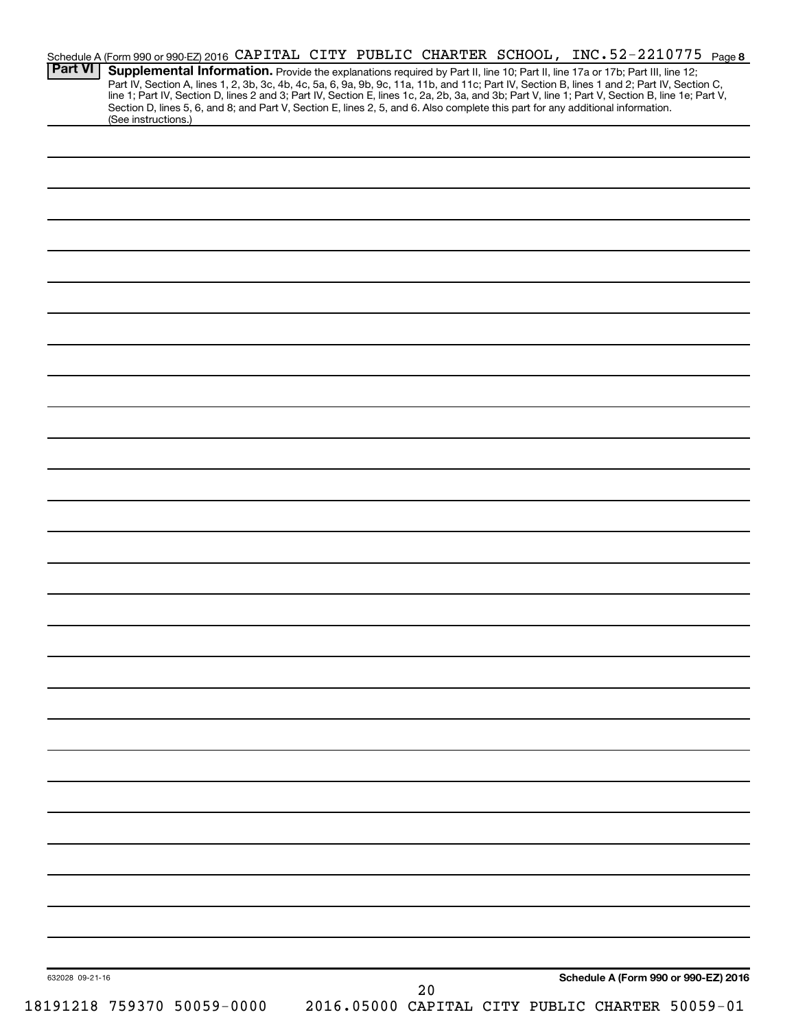| <b>Part VI</b>  | Schedule A (Form 990 or 990-EZ) 2016 CAPITAL CITY PUBLIC CHARTER SCHOOL, INC.52-2210775 Page 8<br>Supplemental Information. Provide the explanations required by Part II, line 10; Part II, line 17a or 17b; Part III, line 12;<br>Part IV, Section A, lines 1, 2, 3b, 3c, 4b, 4c, 5a, 6, 9a, 9b, 9c, 11a, 11b, and 11c; Part IV, Section B, lines 1 and 2; Part IV, Section C, |  |  |                                                 |  |                                      |  |
|-----------------|---------------------------------------------------------------------------------------------------------------------------------------------------------------------------------------------------------------------------------------------------------------------------------------------------------------------------------------------------------------------------------|--|--|-------------------------------------------------|--|--------------------------------------|--|
|                 | line 1; Part IV, Section D, lines 2 and 3; Part IV, Section E, lines 1c, 2a, 2b, 3a, and 3b; Part V, line 1; Part V, Section B, line 1e; Part V,<br>Section D, lines 5, 6, and 8; and Part V, Section E, lines 2, 5, and 6. Also complete this part for any additional information.<br>(See instructions.)                                                                      |  |  |                                                 |  |                                      |  |
|                 |                                                                                                                                                                                                                                                                                                                                                                                 |  |  |                                                 |  |                                      |  |
|                 |                                                                                                                                                                                                                                                                                                                                                                                 |  |  |                                                 |  |                                      |  |
|                 |                                                                                                                                                                                                                                                                                                                                                                                 |  |  |                                                 |  |                                      |  |
|                 |                                                                                                                                                                                                                                                                                                                                                                                 |  |  |                                                 |  |                                      |  |
|                 |                                                                                                                                                                                                                                                                                                                                                                                 |  |  |                                                 |  |                                      |  |
|                 |                                                                                                                                                                                                                                                                                                                                                                                 |  |  |                                                 |  |                                      |  |
|                 |                                                                                                                                                                                                                                                                                                                                                                                 |  |  |                                                 |  |                                      |  |
|                 |                                                                                                                                                                                                                                                                                                                                                                                 |  |  |                                                 |  |                                      |  |
|                 |                                                                                                                                                                                                                                                                                                                                                                                 |  |  |                                                 |  |                                      |  |
|                 |                                                                                                                                                                                                                                                                                                                                                                                 |  |  |                                                 |  |                                      |  |
|                 |                                                                                                                                                                                                                                                                                                                                                                                 |  |  |                                                 |  |                                      |  |
|                 |                                                                                                                                                                                                                                                                                                                                                                                 |  |  |                                                 |  |                                      |  |
|                 |                                                                                                                                                                                                                                                                                                                                                                                 |  |  |                                                 |  |                                      |  |
|                 |                                                                                                                                                                                                                                                                                                                                                                                 |  |  |                                                 |  |                                      |  |
|                 |                                                                                                                                                                                                                                                                                                                                                                                 |  |  |                                                 |  |                                      |  |
|                 |                                                                                                                                                                                                                                                                                                                                                                                 |  |  |                                                 |  |                                      |  |
|                 |                                                                                                                                                                                                                                                                                                                                                                                 |  |  |                                                 |  |                                      |  |
|                 |                                                                                                                                                                                                                                                                                                                                                                                 |  |  |                                                 |  |                                      |  |
|                 |                                                                                                                                                                                                                                                                                                                                                                                 |  |  |                                                 |  |                                      |  |
|                 |                                                                                                                                                                                                                                                                                                                                                                                 |  |  |                                                 |  |                                      |  |
|                 |                                                                                                                                                                                                                                                                                                                                                                                 |  |  |                                                 |  |                                      |  |
|                 |                                                                                                                                                                                                                                                                                                                                                                                 |  |  |                                                 |  |                                      |  |
|                 |                                                                                                                                                                                                                                                                                                                                                                                 |  |  |                                                 |  |                                      |  |
|                 |                                                                                                                                                                                                                                                                                                                                                                                 |  |  |                                                 |  |                                      |  |
|                 |                                                                                                                                                                                                                                                                                                                                                                                 |  |  |                                                 |  |                                      |  |
|                 |                                                                                                                                                                                                                                                                                                                                                                                 |  |  |                                                 |  |                                      |  |
|                 |                                                                                                                                                                                                                                                                                                                                                                                 |  |  |                                                 |  |                                      |  |
| 632028 09-21-16 |                                                                                                                                                                                                                                                                                                                                                                                 |  |  | 20                                              |  | Schedule A (Form 990 or 990-EZ) 2016 |  |
|                 | 18191218 759370 50059-0000                                                                                                                                                                                                                                                                                                                                                      |  |  | 2016.05000 CAPITAL CITY PUBLIC CHARTER 50059-01 |  |                                      |  |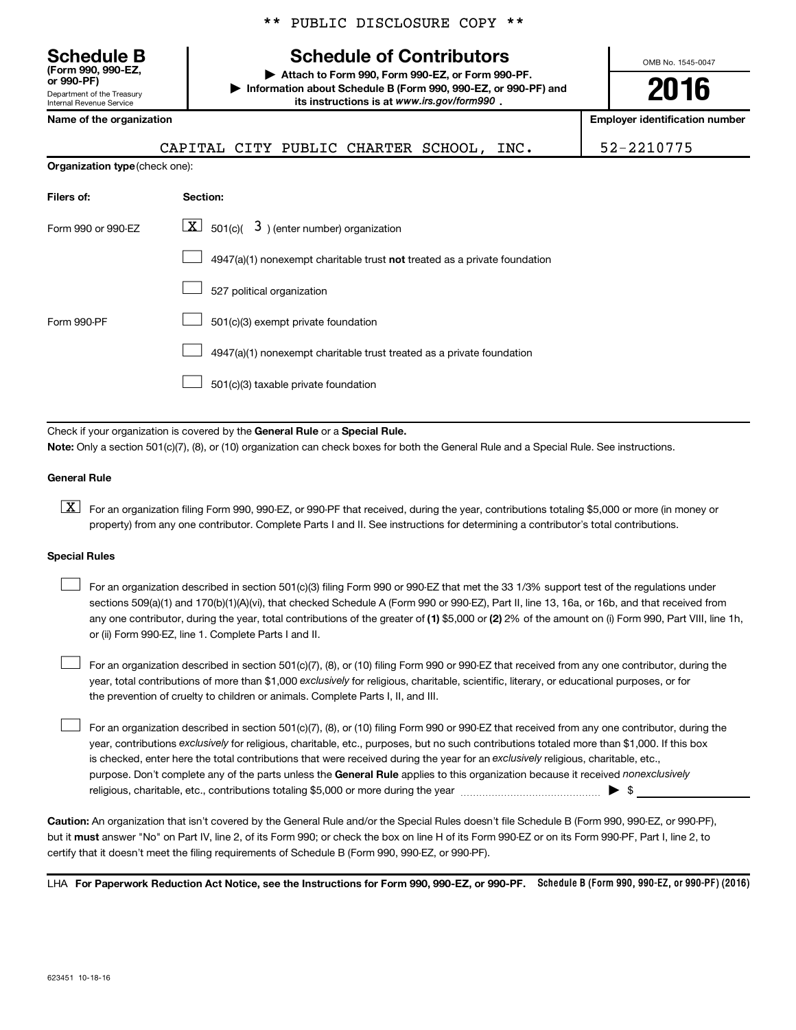\*\* PUBLIC DISCLOSURE COPY \*\*

## **Schedule B Schedule of Contributors**

**or 990-PF) | Attach to Form 990, Form 990-EZ, or Form 990-PF. | Information about Schedule B (Form 990, 990-EZ, or 990-PF) and its instructions is at www.irs.gov/form990.** *www.irs.gov/form990*

OMB No. 1545-0047

**2016**

| Internal Revenue Service              | its instructions is at www.irs.gov/form990.                               |                                       |
|---------------------------------------|---------------------------------------------------------------------------|---------------------------------------|
| Name of the organization              |                                                                           | <b>Employer identification number</b> |
|                                       | CAPITAL CITY PUBLIC CHARTER SCHOOL, INC.                                  | 52-2210775                            |
| <b>Organization type (check one):</b> |                                                                           |                                       |
| Filers of:                            | Section:                                                                  |                                       |
| Form 990 or 990-EZ                    | $\lfloor x \rfloor$ 501(c)( 3) (enter number) organization                |                                       |
|                                       | 4947(a)(1) nonexempt charitable trust not treated as a private foundation |                                       |
|                                       | 527 political organization                                                |                                       |
| Form 990-PF                           | 501(c)(3) exempt private foundation                                       |                                       |
|                                       | 4947(a)(1) nonexempt charitable trust treated as a private foundation     |                                       |
|                                       | 501(c)(3) taxable private foundation                                      |                                       |
|                                       |                                                                           |                                       |

Check if your organization is covered by the General Rule or a Special Rule. **Note:**  Only a section 501(c)(7), (8), or (10) organization can check boxes for both the General Rule and a Special Rule. See instructions.

## **General Rule**

Department of the Treasury

**(Form 990, 990-EZ,**

**K** For an organization filing Form 990, 990-EZ, or 990-PF that received, during the year, contributions totaling \$5,000 or more (in money or property) from any one contributor. Complete Parts I and II. See instructions for determining a contributor's total contributions.

## **Special Rules**

 $\Box$ 

any one contributor, during the year, total contributions of the greater of **(1)** \$5,000 or **(2)** 2% of the amount on (i) Form 990, Part VIII, line 1h, For an organization described in section 501(c)(3) filing Form 990 or 990-EZ that met the 33 1/3% support test of the regulations under sections 509(a)(1) and 170(b)(1)(A)(vi), that checked Schedule A (Form 990 or 990-EZ), Part II, line 13, 16a, or 16b, and that received from or (ii) Form 990-EZ, line 1. Complete Parts I and II.  $\Box$ 

year, total contributions of more than \$1,000 *exclusively* for religious, charitable, scientific, literary, or educational purposes, or for For an organization described in section 501(c)(7), (8), or (10) filing Form 990 or 990-EZ that received from any one contributor, during the the prevention of cruelty to children or animals. Complete Parts I, II, and III.  $\Box$ 

purpose. Don't complete any of the parts unless the General Rule applies to this organization because it received nonexclusively year, contributions exclusively for religious, charitable, etc., purposes, but no such contributions totaled more than \$1,000. If this box is checked, enter here the total contributions that were received during the year for an exclusively religious, charitable, etc., For an organization described in section 501(c)(7), (8), or (10) filing Form 990 or 990-EZ that received from any one contributor, during the religious, charitable, etc., contributions totaling \$5,000 or more during the year  $\ldots$  $\ldots$  $\ldots$  $\ldots$  $\ldots$  $\ldots$ 

**Caution:**  An organization that isn't covered by the General Rule and/or the Special Rules doesn't file Schedule B (Form 990, 990-EZ, or 990-PF),  **must** but it answer "No" on Part IV, line 2, of its Form 990; or check the box on line H of its Form 990-EZ or on its Form 990-PF, Part I, line 2, to certify that it doesn't meet the filing requirements of Schedule B (Form 990, 990-EZ, or 990-PF).

LHA For Paperwork Reduction Act Notice, see the Instructions for Form 990, 990-EZ, or 990-PF. Schedule B (Form 990, 990-EZ, or 990-PF) (2016)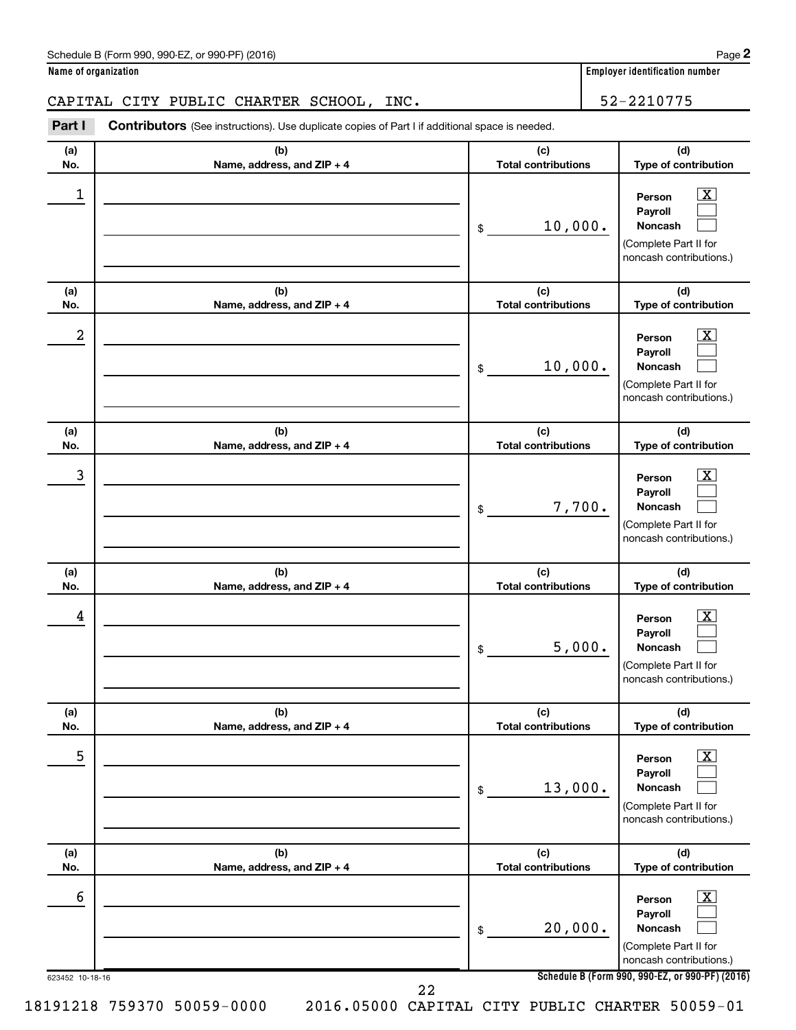| Schedule B (Form 990, 990-EZ, or 990-PF) (2016)<br>$\sqrt{2}$ , $\sqrt{2}$ , $\sqrt{2}$ , $\sqrt{2}$ , $\sqrt{2}$ | Page |
|-------------------------------------------------------------------------------------------------------------------|------|
|-------------------------------------------------------------------------------------------------------------------|------|

**Person Payroll Noncash**

**(d) Type of contribution**

> $\boxed{\textbf{X}}$  $\Box$  $\Box$

**(d) Type of contribution**

(Complete Part II for

**(a) No. (b) Name, address, and ZIP + 4 (c) Total contributions (a) No. (b) Name, address, and ZIP + 4 (c) Total contributions Part I** Contributors (See instructions). Use duplicate copies of Part I if additional space is needed. \$ noncash contributions.) \$ CAPITAL CITY PUBLIC CHARTER SCHOOL, INC. | 52-2210775  $\begin{array}{|c|c|c|c|c|}\hline \ \text{1} & \text{Person} & \text{X} \ \hline \end{array}$ 10,000. 10,000.

| $\boldsymbol{2}$ |                                   | 10,000.<br>\$                                   | $\overline{\textbf{X}}$<br>Person<br>Payroll<br>Noncash<br>(Complete Part II for<br>noncash contributions.) |
|------------------|-----------------------------------|-------------------------------------------------|-------------------------------------------------------------------------------------------------------------|
| (a)<br>No.       | (b)<br>Name, address, and ZIP + 4 | (c)<br><b>Total contributions</b>               | (d)<br>Type of contribution                                                                                 |
| 3                |                                   | 7,700.<br>\$                                    | $\overline{\text{X}}$<br>Person<br>Payroll<br>Noncash<br>(Complete Part II for<br>noncash contributions.)   |
| (a)<br>No.       | (b)<br>Name, address, and ZIP + 4 | (c)<br><b>Total contributions</b>               | (d)<br>Type of contribution                                                                                 |
| 4                |                                   | 5,000.<br>\$                                    | $\overline{\text{X}}$<br>Person<br>Payroll<br>Noncash<br>(Complete Part II for<br>noncash contributions.)   |
| (a)<br>No.       | (b)<br>Name, address, and ZIP + 4 | (c)<br><b>Total contributions</b>               | (d)<br>Type of contribution                                                                                 |
| 5                |                                   | 13,000.<br>\$                                   | х<br>Person<br>Payroll<br><b>Noncash</b><br>(Complete Part II for<br>noncash contributions.)                |
| (a)<br>No.       | (b)<br>Name, address, and ZIP + 4 | (c)<br><b>Total contributions</b>               | (d)<br>Type of contribution                                                                                 |
| 6                |                                   | 20,000.<br>\$                                   | $\overline{\text{X}}$<br>Person<br>Payroll<br>Noncash<br>(Complete Part II for<br>noncash contributions.)   |
| 623452 10-18-16  |                                   | 22                                              | Schedule B (Form 990, 990-EZ, or 990-PF) (2016)                                                             |
|                  | 18191218 759370 50059-0000        | 2016.05000 CAPITAL CITY PUBLIC CHARTER 50059-01 |                                                                                                             |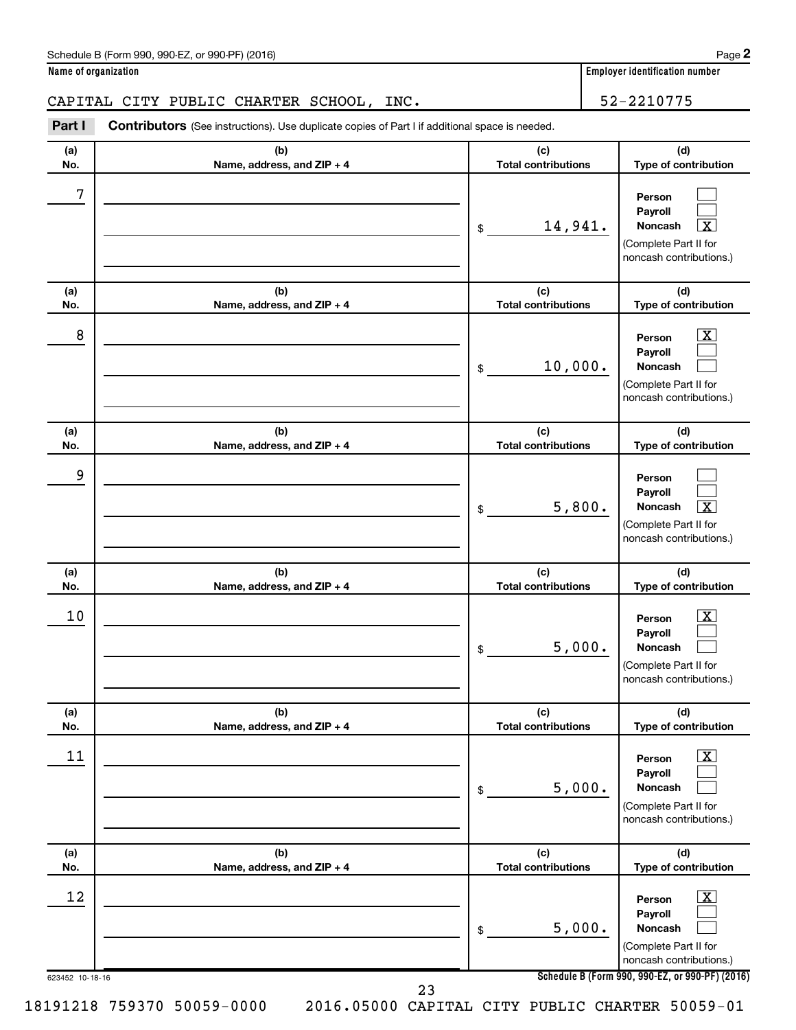| Schedule B (Form 990, 990-EZ, or 990-PF) (2016)<br>$\sqrt{2}$ , $\sqrt{2}$ , $\sqrt{2}$ , $\sqrt{2}$ , $\sqrt{2}$ | Page |
|-------------------------------------------------------------------------------------------------------------------|------|
|-------------------------------------------------------------------------------------------------------------------|------|

**Name of organization Employer identification number**

## CAPITAL CITY PUBLIC CHARTER SCHOOL, INC. 452-2210775

**Part I** Contributors (See instructions). Use duplicate copies of Part I if additional space is needed.

| (a)<br>No.            | (b)<br>Name, address, and ZIP + 4 | (c)<br><b>Total contributions</b> | (d)<br>Type of contribution                                                                                                                                 |
|-----------------------|-----------------------------------|-----------------------------------|-------------------------------------------------------------------------------------------------------------------------------------------------------------|
| 7                     |                                   | 14,941.<br>\$                     | Person<br>Payroll<br>Noncash<br>X<br>(Complete Part II for<br>noncash contributions.)                                                                       |
| (a)<br>No.            | (b)<br>Name, address, and ZIP + 4 | (c)<br><b>Total contributions</b> | (d)<br>Type of contribution                                                                                                                                 |
| 8                     |                                   | 10,000.<br>\$                     | $\overline{\mathbf{X}}$<br>Person<br>Payroll<br>Noncash<br>(Complete Part II for<br>noncash contributions.)                                                 |
| (a)<br>No.            | (b)<br>Name, address, and ZIP + 4 | (c)<br><b>Total contributions</b> | (d)<br>Type of contribution                                                                                                                                 |
| 9                     |                                   | 5,800.<br>\$                      | Person<br>Payroll<br>Noncash<br>х<br>(Complete Part II for<br>noncash contributions.)                                                                       |
| (a)<br>No.            | (b)<br>Name, address, and ZIP + 4 | (c)<br><b>Total contributions</b> | (d)<br>Type of contribution                                                                                                                                 |
| 10                    |                                   | 5,000.<br>\$                      | $\overline{\text{X}}$<br>Person<br>Payroll<br>Noncash<br>(Complete Part II for<br>noncash contributions.)                                                   |
| (a)<br>No.            | (b)<br>Name, address, and ZIP + 4 | (c)<br><b>Total contributions</b> | (d)<br>Type of contribution                                                                                                                                 |
| 11                    |                                   | 5,000.<br>\$                      | $\boxed{\text{X}}$<br>Person<br>Payroll<br>Noncash<br>(Complete Part II for<br>noncash contributions.)                                                      |
| (a)<br>No.            | (b)<br>Name, address, and ZIP + 4 | (c)<br><b>Total contributions</b> | (d)<br>Type of contribution                                                                                                                                 |
| 12<br>623452 10-18-16 |                                   | 5,000.<br>\$                      | $\boxed{\textbf{X}}$<br>Person<br>Payroll<br>Noncash<br>(Complete Part II for<br>noncash contributions.)<br>Schedule B (Form 990, 990-EZ, or 990-PF) (2016) |
|                       | 23                                |                                   |                                                                                                                                                             |

**2**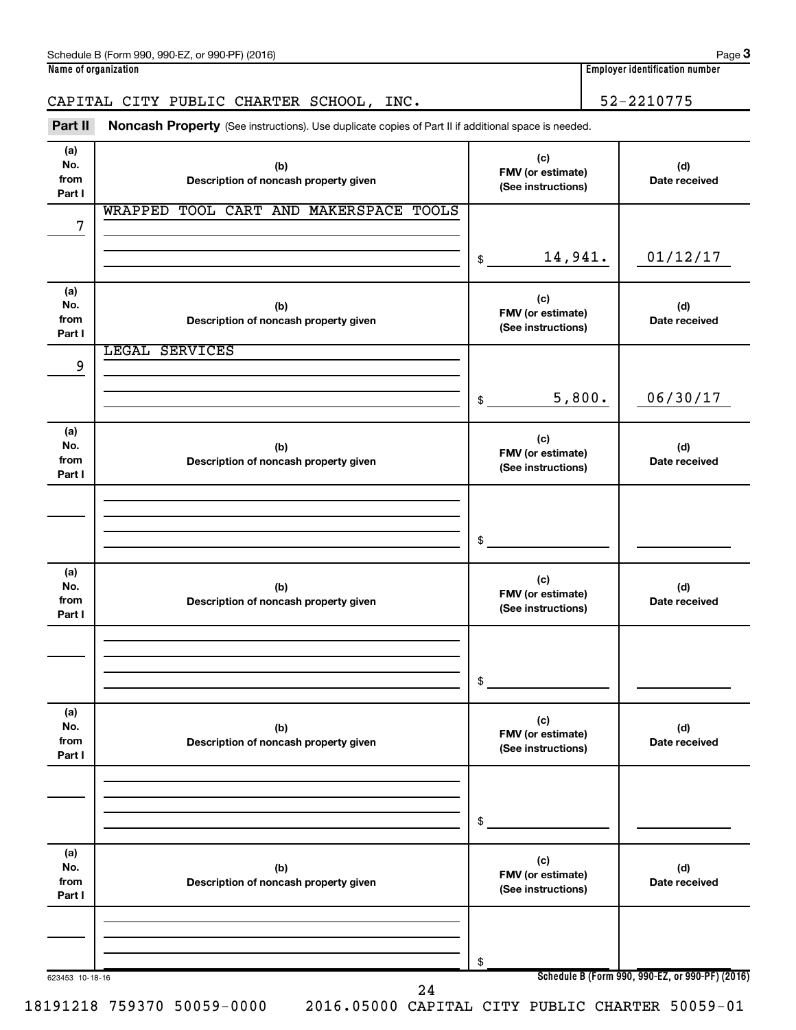CAPITAL CITY PUBLIC CHARTER SCHOOL, INC.  $\vert$  52-2210775

#### 623453 10-18-16 **Schedule B (Form 990, 990-EZ, or 990-PF) (2016) (a) No. from Part I (c) FMV (or estimate) (See instructions) (b) Description of noncash property given (d) Date received (a) No. from Part I (c) FMV (or estimate) (See instructions) (b) Description of noncash property given (d) Date received (a) No. from Part I (c) FMV (or estimate) (See instructions) (b) Description of noncash property given (d) Date received (a) No. from Part I (c) FMV (or estimate) (See instructions) (b) Description of noncash property given (d) Date received (a) No. from Part I (c) FMV (or estimate) (See instructions) (b) Description of noncash property given (d) Date received (a) No. from Part I (c) FMV (or estimate) (See instructions) (b) Description of noncash property given (d) Date received** Part II Noncash Property (See instructions). Use duplicate copies of Part II if additional space is needed. \$ \$ \$ \$ \$ \$ WRAPPED TOOL CART AND MAKERSPACE TOOLS 7 14,941. 01/12/17 LEGAL SERVICES 9 5,800. 06/30/17 24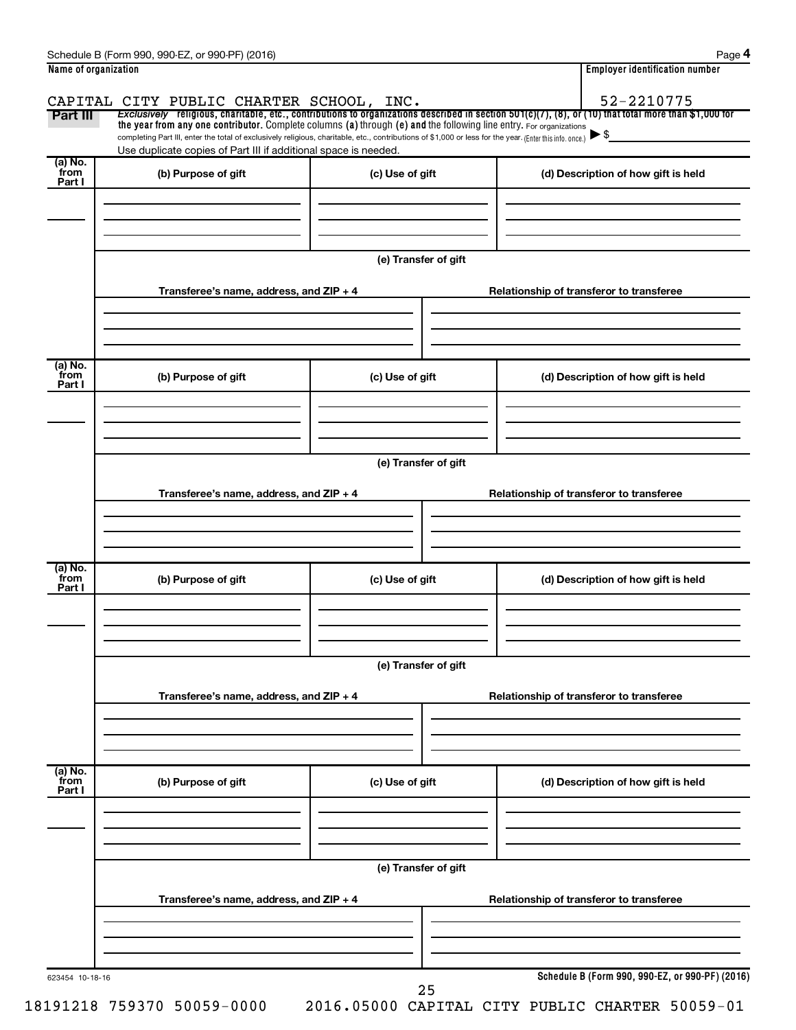| Name of organization      |                                                                                                                                                                                                                                                                                 |                      |                                          | <b>Employer identification number</b>           |  |  |  |  |  |
|---------------------------|---------------------------------------------------------------------------------------------------------------------------------------------------------------------------------------------------------------------------------------------------------------------------------|----------------------|------------------------------------------|-------------------------------------------------|--|--|--|--|--|
|                           | CAPITAL CITY PUBLIC CHARTER SCHOOL, INC.                                                                                                                                                                                                                                        |                      |                                          | 52-2210775                                      |  |  |  |  |  |
| Part III                  | Exclusively religious, charitable, etc., contributions to organizations described in section 501(c)(7), (8), or (10) that total more than \$1,000 for                                                                                                                           |                      |                                          |                                                 |  |  |  |  |  |
|                           | the year from any one contributor. Complete columns (a) through (e) and the following line entry. For organizations<br>completing Part III, enter the total of exclusively religious, charitable, etc., contributions of \$1,000 or less for the year. (Enter this info. once,) |                      |                                          | ▶\$                                             |  |  |  |  |  |
|                           | Use duplicate copies of Part III if additional space is needed.                                                                                                                                                                                                                 |                      |                                          |                                                 |  |  |  |  |  |
| (a) No.<br>from           | (b) Purpose of gift                                                                                                                                                                                                                                                             | (c) Use of gift      |                                          | (d) Description of how gift is held             |  |  |  |  |  |
| Part I                    |                                                                                                                                                                                                                                                                                 |                      |                                          |                                                 |  |  |  |  |  |
|                           |                                                                                                                                                                                                                                                                                 |                      |                                          |                                                 |  |  |  |  |  |
|                           |                                                                                                                                                                                                                                                                                 |                      |                                          |                                                 |  |  |  |  |  |
|                           |                                                                                                                                                                                                                                                                                 |                      |                                          |                                                 |  |  |  |  |  |
|                           |                                                                                                                                                                                                                                                                                 | (e) Transfer of gift |                                          |                                                 |  |  |  |  |  |
|                           | Transferee's name, address, and ZIP + 4                                                                                                                                                                                                                                         |                      |                                          | Relationship of transferor to transferee        |  |  |  |  |  |
|                           |                                                                                                                                                                                                                                                                                 |                      |                                          |                                                 |  |  |  |  |  |
|                           |                                                                                                                                                                                                                                                                                 |                      |                                          |                                                 |  |  |  |  |  |
|                           |                                                                                                                                                                                                                                                                                 |                      |                                          |                                                 |  |  |  |  |  |
| (a) No.<br>from           |                                                                                                                                                                                                                                                                                 |                      |                                          |                                                 |  |  |  |  |  |
| Part I                    | (b) Purpose of gift                                                                                                                                                                                                                                                             | (c) Use of gift      |                                          | (d) Description of how gift is held             |  |  |  |  |  |
|                           |                                                                                                                                                                                                                                                                                 |                      |                                          |                                                 |  |  |  |  |  |
|                           |                                                                                                                                                                                                                                                                                 |                      |                                          |                                                 |  |  |  |  |  |
|                           |                                                                                                                                                                                                                                                                                 |                      |                                          |                                                 |  |  |  |  |  |
|                           | (e) Transfer of gift                                                                                                                                                                                                                                                            |                      |                                          |                                                 |  |  |  |  |  |
|                           |                                                                                                                                                                                                                                                                                 |                      |                                          |                                                 |  |  |  |  |  |
|                           | Transferee's name, address, and ZIP + 4                                                                                                                                                                                                                                         |                      |                                          | Relationship of transferor to transferee        |  |  |  |  |  |
|                           |                                                                                                                                                                                                                                                                                 |                      |                                          |                                                 |  |  |  |  |  |
|                           |                                                                                                                                                                                                                                                                                 |                      |                                          |                                                 |  |  |  |  |  |
|                           |                                                                                                                                                                                                                                                                                 |                      |                                          |                                                 |  |  |  |  |  |
| (a) No.<br>from<br>Part I | (b) Purpose of gift                                                                                                                                                                                                                                                             | (c) Use of gift      |                                          | (d) Description of how gift is held             |  |  |  |  |  |
|                           |                                                                                                                                                                                                                                                                                 |                      |                                          |                                                 |  |  |  |  |  |
|                           |                                                                                                                                                                                                                                                                                 |                      |                                          |                                                 |  |  |  |  |  |
|                           |                                                                                                                                                                                                                                                                                 |                      |                                          |                                                 |  |  |  |  |  |
|                           | (e) Transfer of gift                                                                                                                                                                                                                                                            |                      |                                          |                                                 |  |  |  |  |  |
|                           |                                                                                                                                                                                                                                                                                 |                      |                                          |                                                 |  |  |  |  |  |
|                           | Transferee's name, address, and ZIP + 4                                                                                                                                                                                                                                         |                      | Relationship of transferor to transferee |                                                 |  |  |  |  |  |
|                           |                                                                                                                                                                                                                                                                                 |                      |                                          |                                                 |  |  |  |  |  |
|                           |                                                                                                                                                                                                                                                                                 |                      |                                          |                                                 |  |  |  |  |  |
|                           |                                                                                                                                                                                                                                                                                 |                      |                                          |                                                 |  |  |  |  |  |
| (a) No.<br>from<br>Part I | (b) Purpose of gift                                                                                                                                                                                                                                                             | (c) Use of gift      |                                          | (d) Description of how gift is held             |  |  |  |  |  |
|                           |                                                                                                                                                                                                                                                                                 |                      |                                          |                                                 |  |  |  |  |  |
|                           |                                                                                                                                                                                                                                                                                 |                      |                                          |                                                 |  |  |  |  |  |
|                           |                                                                                                                                                                                                                                                                                 |                      |                                          |                                                 |  |  |  |  |  |
|                           | (e) Transfer of gift                                                                                                                                                                                                                                                            |                      |                                          |                                                 |  |  |  |  |  |
|                           |                                                                                                                                                                                                                                                                                 |                      |                                          |                                                 |  |  |  |  |  |
|                           | Transferee's name, address, and ZIP + 4                                                                                                                                                                                                                                         |                      |                                          | Relationship of transferor to transferee        |  |  |  |  |  |
|                           |                                                                                                                                                                                                                                                                                 |                      |                                          |                                                 |  |  |  |  |  |
|                           |                                                                                                                                                                                                                                                                                 |                      |                                          |                                                 |  |  |  |  |  |
|                           |                                                                                                                                                                                                                                                                                 |                      |                                          |                                                 |  |  |  |  |  |
|                           |                                                                                                                                                                                                                                                                                 |                      |                                          | Schedule B (Form 990, 990-EZ, or 990-PF) (2016) |  |  |  |  |  |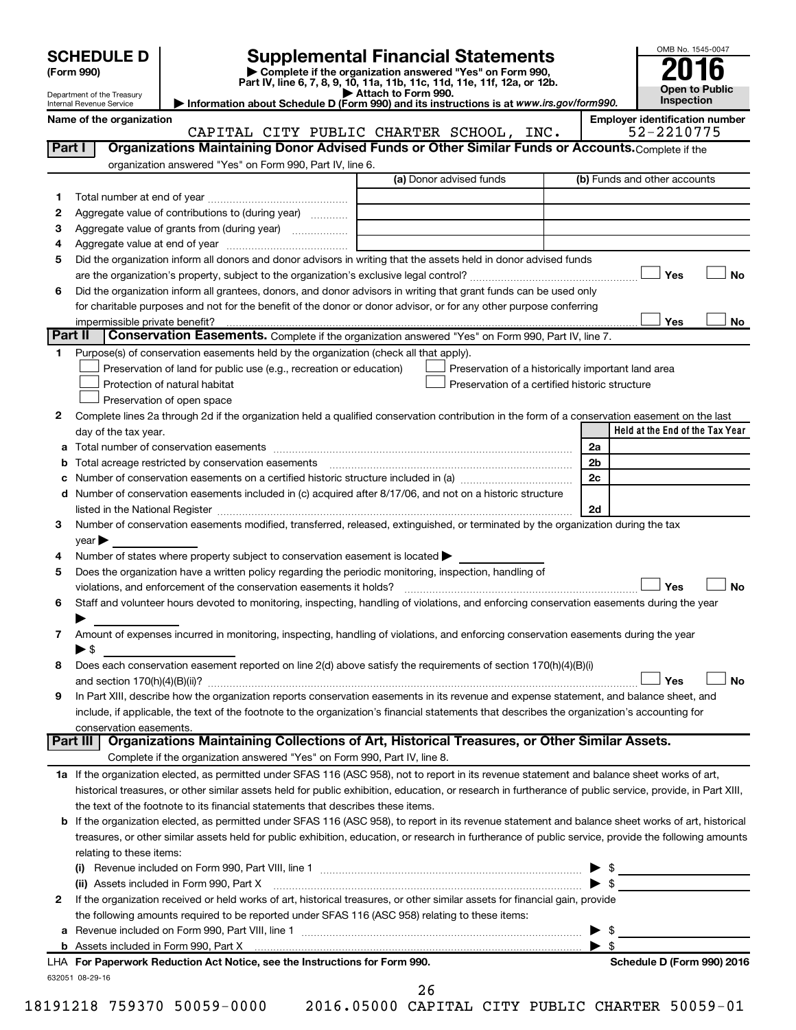| (Form 990) |  |
|------------|--|
|------------|--|

# **SCHEDULE D Supplemental Financial Statements**<br> **Form 990 2016**<br> **Part IV** line 6.7.8.9.10, 11a, 11b, 11d, 11d, 11d, 11d, 11d, 12a, 0r, 12b

**(Form 990) | Complete if the organization answered "Yes" on Form 990, Part IV, line 6, 7, 8, 9, 10, 11a, 11b, 11c, 11d, 11e, 11f, 12a, or 12b.**

**| Attach to Form 990. | Information about Schedule D (Form 990) and its instructions is at**  *www.irs.gov/form990.*



Department of the Treasury Internal Revenue Service

**Name of the organization**<br>CAPTTAI, CTTY PUBLIC CHARTER SCHOOL, TNC, 52-2210775

|         | CAPITAL CITY PUBLIC CHARTER SCHOOL, INC.                                                                                                                   |                                                    | 52-2210775                      |
|---------|------------------------------------------------------------------------------------------------------------------------------------------------------------|----------------------------------------------------|---------------------------------|
| Part I  | Organizations Maintaining Donor Advised Funds or Other Similar Funds or Accounts. Complete if the                                                          |                                                    |                                 |
|         | organization answered "Yes" on Form 990, Part IV, line 6.                                                                                                  |                                                    |                                 |
|         |                                                                                                                                                            | (a) Donor advised funds                            | (b) Funds and other accounts    |
| 1       |                                                                                                                                                            |                                                    |                                 |
| 2       | Aggregate value of contributions to (during year)                                                                                                          |                                                    |                                 |
| 3       | Aggregate value of grants from (during year)                                                                                                               |                                                    |                                 |
| 4       |                                                                                                                                                            |                                                    |                                 |
| 5       | Did the organization inform all donors and donor advisors in writing that the assets held in donor advised funds                                           |                                                    |                                 |
|         |                                                                                                                                                            |                                                    | Yes<br>No                       |
| 6       | Did the organization inform all grantees, donors, and donor advisors in writing that grant funds can be used only                                          |                                                    |                                 |
|         | for charitable purposes and not for the benefit of the donor or donor advisor, or for any other purpose conferring                                         |                                                    |                                 |
|         | impermissible private benefit?                                                                                                                             |                                                    | Yes<br>No                       |
| Part II | Conservation Easements. Complete if the organization answered "Yes" on Form 990, Part IV, line 7.                                                          |                                                    |                                 |
|         |                                                                                                                                                            |                                                    |                                 |
| 1.      | Purpose(s) of conservation easements held by the organization (check all that apply).                                                                      |                                                    |                                 |
|         | Preservation of land for public use (e.g., recreation or education)                                                                                        | Preservation of a historically important land area |                                 |
|         | Protection of natural habitat                                                                                                                              | Preservation of a certified historic structure     |                                 |
|         | Preservation of open space                                                                                                                                 |                                                    |                                 |
| 2       | Complete lines 2a through 2d if the organization held a qualified conservation contribution in the form of a conservation easement on the last             |                                                    |                                 |
|         | day of the tax year.                                                                                                                                       |                                                    | Held at the End of the Tax Year |
|         |                                                                                                                                                            |                                                    | 2a                              |
|         | Total acreage restricted by conservation easements                                                                                                         |                                                    | 2 <sub>b</sub>                  |
|         |                                                                                                                                                            |                                                    | 2c                              |
|         | d Number of conservation easements included in (c) acquired after 8/17/06, and not on a historic structure                                                 |                                                    |                                 |
|         | listed in the National Register [11, 2003] [12, 2014] The National Register [11, 2015] The National Register [                                             |                                                    | 2d                              |
| 3       | Number of conservation easements modified, transferred, released, extinguished, or terminated by the organization during the tax                           |                                                    |                                 |
|         | year                                                                                                                                                       |                                                    |                                 |
| 4       | Number of states where property subject to conservation easement is located >                                                                              |                                                    |                                 |
| 5       | Does the organization have a written policy regarding the periodic monitoring, inspection, handling of                                                     |                                                    |                                 |
|         | violations, and enforcement of the conservation easements it holds?                                                                                        |                                                    | Yes<br>No                       |
| 6       | Staff and volunteer hours devoted to monitoring, inspecting, handling of violations, and enforcing conservation easements during the year                  |                                                    |                                 |
|         |                                                                                                                                                            |                                                    |                                 |
| 7       | Amount of expenses incurred in monitoring, inspecting, handling of violations, and enforcing conservation easements during the year                        |                                                    |                                 |
|         | ► \$                                                                                                                                                       |                                                    |                                 |
| 8       | Does each conservation easement reported on line 2(d) above satisfy the requirements of section 170(h)(4)(B)(i)                                            |                                                    |                                 |
|         |                                                                                                                                                            |                                                    | Yes<br>No                       |
| 9       | In Part XIII, describe how the organization reports conservation easements in its revenue and expense statement, and balance sheet, and                    |                                                    |                                 |
|         | include, if applicable, the text of the footnote to the organization's financial statements that describes the organization's accounting for               |                                                    |                                 |
|         | conservation easements.                                                                                                                                    |                                                    |                                 |
|         | Organizations Maintaining Collections of Art, Historical Treasures, or Other Similar Assets.<br>Part III                                                   |                                                    |                                 |
|         | Complete if the organization answered "Yes" on Form 990, Part IV, line 8.                                                                                  |                                                    |                                 |
|         | 1a If the organization elected, as permitted under SFAS 116 (ASC 958), not to report in its revenue statement and balance sheet works of art,              |                                                    |                                 |
|         | historical treasures, or other similar assets held for public exhibition, education, or research in furtherance of public service, provide, in Part XIII,  |                                                    |                                 |
|         | the text of the footnote to its financial statements that describes these items.                                                                           |                                                    |                                 |
|         | <b>b</b> If the organization elected, as permitted under SFAS 116 (ASC 958), to report in its revenue statement and balance sheet works of art, historical |                                                    |                                 |
|         | treasures, or other similar assets held for public exhibition, education, or research in furtherance of public service, provide the following amounts      |                                                    |                                 |
|         | relating to these items:                                                                                                                                   |                                                    |                                 |
|         |                                                                                                                                                            |                                                    |                                 |
|         | (ii) Assets included in Form 990, Part X                                                                                                                   |                                                    | $\blacktriangleright$ s         |
| 2       | If the organization received or held works of art, historical treasures, or other similar assets for financial gain, provide                               |                                                    |                                 |
|         | the following amounts required to be reported under SFAS 116 (ASC 958) relating to these items:                                                            |                                                    |                                 |
| а       |                                                                                                                                                            |                                                    | \$<br>▶                         |
|         |                                                                                                                                                            |                                                    | $\blacktriangleright$ \$        |
|         | LHA For Paperwork Reduction Act Notice, see the Instructions for Form 990.                                                                                 |                                                    | Schedule D (Form 990) 2016      |
|         | 632051 08-29-16                                                                                                                                            |                                                    |                                 |

26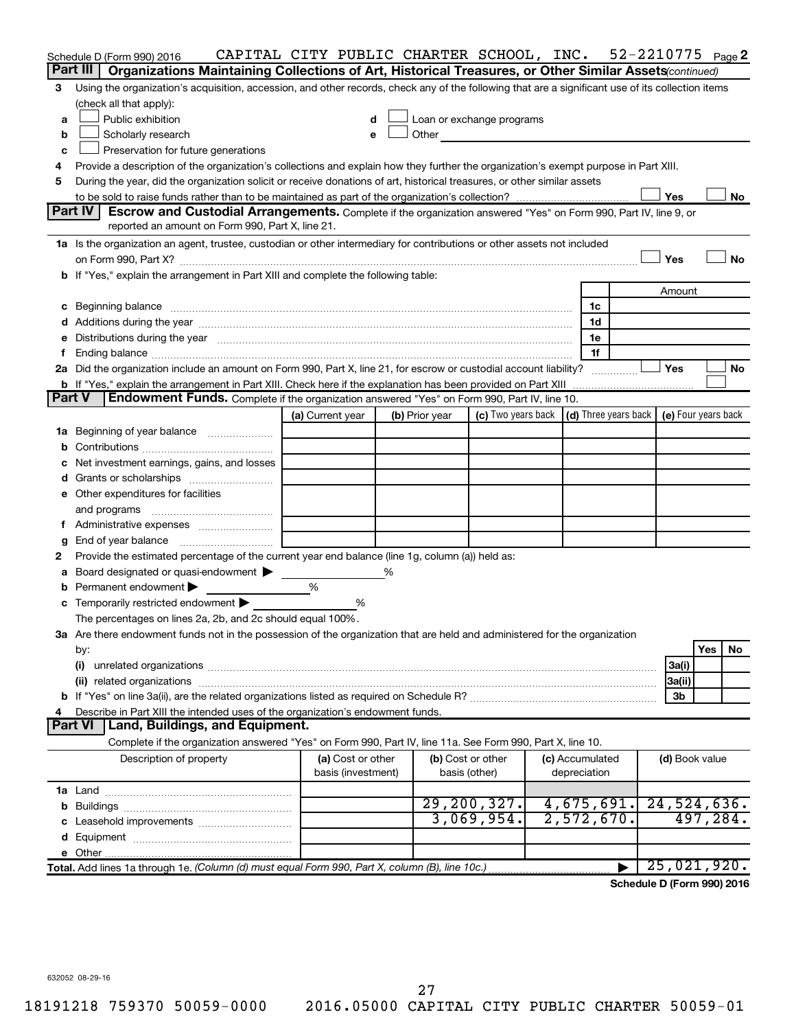|        | Schedule D (Form 990) 2016                                                                                                                                                                                                     | CAPITAL CITY PUBLIC CHARTER SCHOOL, INC. |                |                                                                                                                                                                                                                               |  |                                 |                       | 52-2210775 $_{Page}$ 2                                                      |           |  |  |  |
|--------|--------------------------------------------------------------------------------------------------------------------------------------------------------------------------------------------------------------------------------|------------------------------------------|----------------|-------------------------------------------------------------------------------------------------------------------------------------------------------------------------------------------------------------------------------|--|---------------------------------|-----------------------|-----------------------------------------------------------------------------|-----------|--|--|--|
|        | Part III<br>Organizations Maintaining Collections of Art, Historical Treasures, or Other Similar Assets(continued)                                                                                                             |                                          |                |                                                                                                                                                                                                                               |  |                                 |                       |                                                                             |           |  |  |  |
| З      | Using the organization's acquisition, accession, and other records, check any of the following that are a significant use of its collection items                                                                              |                                          |                |                                                                                                                                                                                                                               |  |                                 |                       |                                                                             |           |  |  |  |
|        | (check all that apply):                                                                                                                                                                                                        |                                          |                |                                                                                                                                                                                                                               |  |                                 |                       |                                                                             |           |  |  |  |
| a      | Public exhibition                                                                                                                                                                                                              | d                                        |                | Loan or exchange programs                                                                                                                                                                                                     |  |                                 |                       |                                                                             |           |  |  |  |
| b      | Scholarly research                                                                                                                                                                                                             | е                                        |                | Other and the contract of the contract of the contract of the contract of the contract of the contract of the contract of the contract of the contract of the contract of the contract of the contract of the contract of the |  |                                 |                       |                                                                             |           |  |  |  |
| c      | Preservation for future generations                                                                                                                                                                                            |                                          |                |                                                                                                                                                                                                                               |  |                                 |                       |                                                                             |           |  |  |  |
| 4      | Provide a description of the organization's collections and explain how they further the organization's exempt purpose in Part XIII.                                                                                           |                                          |                |                                                                                                                                                                                                                               |  |                                 |                       |                                                                             |           |  |  |  |
| 5      | During the year, did the organization solicit or receive donations of art, historical treasures, or other similar assets                                                                                                       |                                          |                |                                                                                                                                                                                                                               |  |                                 |                       |                                                                             |           |  |  |  |
|        | Yes<br>No                                                                                                                                                                                                                      |                                          |                |                                                                                                                                                                                                                               |  |                                 |                       |                                                                             |           |  |  |  |
|        | Part IV<br>Escrow and Custodial Arrangements. Complete if the organization answered "Yes" on Form 990, Part IV, line 9, or                                                                                                     |                                          |                |                                                                                                                                                                                                                               |  |                                 |                       |                                                                             |           |  |  |  |
|        | reported an amount on Form 990, Part X, line 21.                                                                                                                                                                               |                                          |                |                                                                                                                                                                                                                               |  |                                 |                       |                                                                             |           |  |  |  |
|        | 1a Is the organization an agent, trustee, custodian or other intermediary for contributions or other assets not included                                                                                                       |                                          |                |                                                                                                                                                                                                                               |  |                                 |                       |                                                                             |           |  |  |  |
|        |                                                                                                                                                                                                                                |                                          |                |                                                                                                                                                                                                                               |  |                                 |                       | Yes                                                                         | No        |  |  |  |
|        | b If "Yes," explain the arrangement in Part XIII and complete the following table:                                                                                                                                             |                                          |                |                                                                                                                                                                                                                               |  |                                 |                       |                                                                             |           |  |  |  |
|        |                                                                                                                                                                                                                                |                                          |                |                                                                                                                                                                                                                               |  |                                 |                       | Amount                                                                      |           |  |  |  |
|        | c Beginning balance measurements and the contract of the contract of the contract of the contract of the contract of the contract of the contract of the contract of the contract of the contract of the contract of the contr |                                          |                |                                                                                                                                                                                                                               |  | 1c<br>1d                        |                       |                                                                             |           |  |  |  |
|        |                                                                                                                                                                                                                                |                                          |                |                                                                                                                                                                                                                               |  | 1e                              |                       |                                                                             |           |  |  |  |
| f      | e Distributions during the year manufactured and an extraordinary of the year manufactured and all the year manufactured and all the statements of the statement of the statement of the statement of the statement of the sta |                                          |                |                                                                                                                                                                                                                               |  | 1f                              |                       |                                                                             |           |  |  |  |
|        | 2a Did the organization include an amount on Form 990, Part X, line 21, for escrow or custodial account liability?                                                                                                             |                                          |                |                                                                                                                                                                                                                               |  |                                 |                       | Yes                                                                         | <b>No</b> |  |  |  |
|        |                                                                                                                                                                                                                                |                                          |                |                                                                                                                                                                                                                               |  |                                 |                       |                                                                             |           |  |  |  |
| Part V | <b>Endowment Funds.</b> Complete if the organization answered "Yes" on Form 990, Part IV, line 10.                                                                                                                             |                                          |                |                                                                                                                                                                                                                               |  |                                 |                       |                                                                             |           |  |  |  |
|        |                                                                                                                                                                                                                                | (a) Current year                         | (b) Prior year |                                                                                                                                                                                                                               |  |                                 |                       | (c) Two years back $\vert$ (d) Three years back $\vert$ (e) Four years back |           |  |  |  |
|        | 1a Beginning of year balance                                                                                                                                                                                                   |                                          |                |                                                                                                                                                                                                                               |  |                                 |                       |                                                                             |           |  |  |  |
| b      |                                                                                                                                                                                                                                |                                          |                |                                                                                                                                                                                                                               |  |                                 |                       |                                                                             |           |  |  |  |
|        | Net investment earnings, gains, and losses                                                                                                                                                                                     |                                          |                |                                                                                                                                                                                                                               |  |                                 |                       |                                                                             |           |  |  |  |
|        |                                                                                                                                                                                                                                |                                          |                |                                                                                                                                                                                                                               |  |                                 |                       |                                                                             |           |  |  |  |
|        | e Other expenditures for facilities                                                                                                                                                                                            |                                          |                |                                                                                                                                                                                                                               |  |                                 |                       |                                                                             |           |  |  |  |
|        | and programs                                                                                                                                                                                                                   |                                          |                |                                                                                                                                                                                                                               |  |                                 |                       |                                                                             |           |  |  |  |
| t.     |                                                                                                                                                                                                                                |                                          |                |                                                                                                                                                                                                                               |  |                                 |                       |                                                                             |           |  |  |  |
| g      | End of year balance                                                                                                                                                                                                            |                                          |                |                                                                                                                                                                                                                               |  |                                 |                       |                                                                             |           |  |  |  |
| 2      | Provide the estimated percentage of the current year end balance (line 1g, column (a)) held as:                                                                                                                                |                                          |                |                                                                                                                                                                                                                               |  |                                 |                       |                                                                             |           |  |  |  |
| а      | Board designated or quasi-endowment >                                                                                                                                                                                          |                                          | ℅              |                                                                                                                                                                                                                               |  |                                 |                       |                                                                             |           |  |  |  |
| b      | Permanent endowment                                                                                                                                                                                                            | %                                        |                |                                                                                                                                                                                                                               |  |                                 |                       |                                                                             |           |  |  |  |
|        | c Temporarily restricted endowment $\blacktriangleright$                                                                                                                                                                       | %                                        |                |                                                                                                                                                                                                                               |  |                                 |                       |                                                                             |           |  |  |  |
|        | The percentages on lines 2a, 2b, and 2c should equal 100%.                                                                                                                                                                     |                                          |                |                                                                                                                                                                                                                               |  |                                 |                       |                                                                             |           |  |  |  |
|        | 3a Are there endowment funds not in the possession of the organization that are held and administered for the organization                                                                                                     |                                          |                |                                                                                                                                                                                                                               |  |                                 |                       |                                                                             |           |  |  |  |
|        | by:                                                                                                                                                                                                                            |                                          |                |                                                                                                                                                                                                                               |  |                                 |                       |                                                                             | Yes<br>No |  |  |  |
|        | (i)                                                                                                                                                                                                                            |                                          |                |                                                                                                                                                                                                                               |  |                                 |                       | 3a(i)                                                                       |           |  |  |  |
|        | (ii) related organizations                                                                                                                                                                                                     |                                          |                |                                                                                                                                                                                                                               |  |                                 |                       | 3a(ii)                                                                      |           |  |  |  |
|        |                                                                                                                                                                                                                                |                                          |                |                                                                                                                                                                                                                               |  |                                 |                       | 3 <sub>b</sub>                                                              |           |  |  |  |
|        | Describe in Part XIII the intended uses of the organization's endowment funds.                                                                                                                                                 |                                          |                |                                                                                                                                                                                                                               |  |                                 |                       |                                                                             |           |  |  |  |
|        | <b>Part VI</b><br>Land, Buildings, and Equipment.                                                                                                                                                                              |                                          |                |                                                                                                                                                                                                                               |  |                                 |                       |                                                                             |           |  |  |  |
|        | Complete if the organization answered "Yes" on Form 990, Part IV, line 11a. See Form 990, Part X, line 10.                                                                                                                     |                                          |                |                                                                                                                                                                                                                               |  |                                 |                       |                                                                             |           |  |  |  |
|        | Description of property                                                                                                                                                                                                        | (a) Cost or other<br>basis (investment)  |                | (b) Cost or other<br>basis (other)                                                                                                                                                                                            |  | (c) Accumulated<br>depreciation |                       | (d) Book value                                                              |           |  |  |  |
|        |                                                                                                                                                                                                                                |                                          |                |                                                                                                                                                                                                                               |  |                                 |                       |                                                                             |           |  |  |  |
|        |                                                                                                                                                                                                                                |                                          |                | 29, 200, 327.                                                                                                                                                                                                                 |  |                                 | 4,675,691.            | 24,524,636.                                                                 |           |  |  |  |
|        |                                                                                                                                                                                                                                |                                          |                | 3,069,954.                                                                                                                                                                                                                    |  |                                 | 2,572,670.            |                                                                             | 497, 284. |  |  |  |
|        |                                                                                                                                                                                                                                |                                          |                |                                                                                                                                                                                                                               |  |                                 |                       |                                                                             |           |  |  |  |
|        |                                                                                                                                                                                                                                |                                          |                |                                                                                                                                                                                                                               |  |                                 |                       |                                                                             |           |  |  |  |
|        | Total. Add lines 1a through 1e. (Column (d) must equal Form 990, Part X, column (B), line 10c.)                                                                                                                                |                                          |                |                                                                                                                                                                                                                               |  |                                 | $\blacktriangleright$ | 25,021,920.                                                                 |           |  |  |  |

**Schedule D (Form 990) 2016**

632052 08-29-16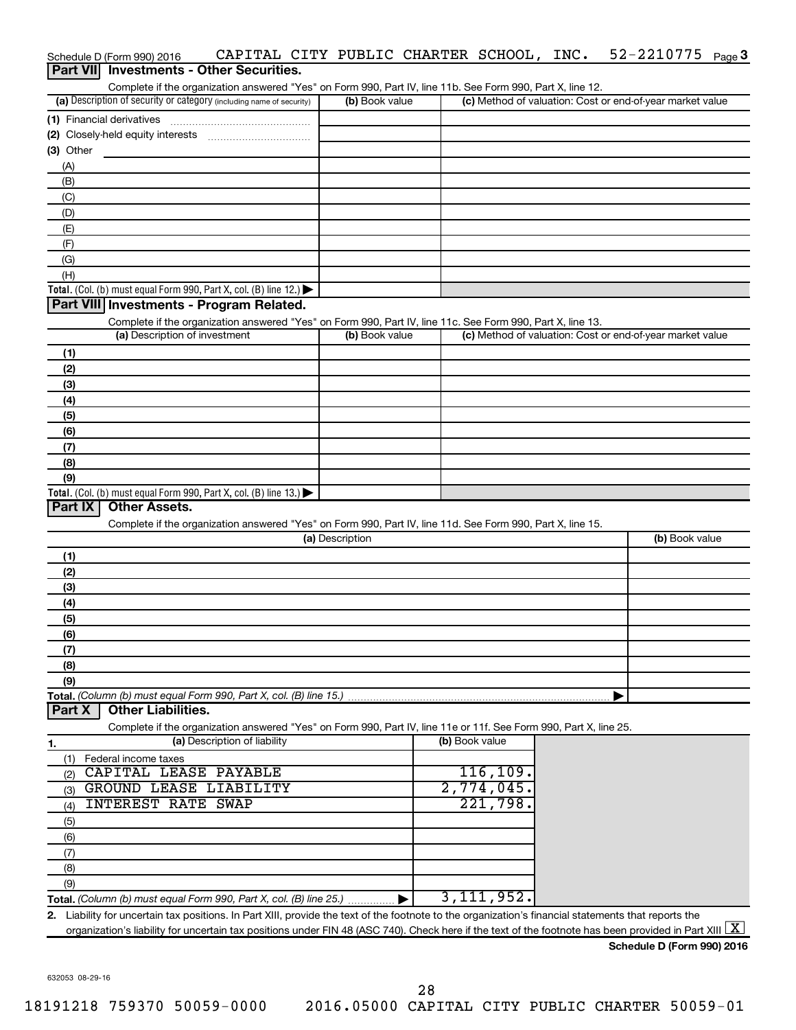|             | CAPITAL CITY PUBLIC CHARTER SCHOOL, INC.<br>Schedule D (Form 990) 2016                                            |                 |                | $52 - 2210775$ Page 3                                     |
|-------------|-------------------------------------------------------------------------------------------------------------------|-----------------|----------------|-----------------------------------------------------------|
|             | Part VII Investments - Other Securities.                                                                          |                 |                |                                                           |
|             | Complete if the organization answered "Yes" on Form 990, Part IV, line 11b. See Form 990, Part X, line 12.        |                 |                |                                                           |
|             | (a) Description of security or category (including name of security)                                              | (b) Book value  |                | (c) Method of valuation: Cost or end-of-year market value |
|             | (1) Financial derivatives                                                                                         |                 |                |                                                           |
|             |                                                                                                                   |                 |                |                                                           |
| $(3)$ Other |                                                                                                                   |                 |                |                                                           |
| (A)         |                                                                                                                   |                 |                |                                                           |
| (B)         |                                                                                                                   |                 |                |                                                           |
| (C)         |                                                                                                                   |                 |                |                                                           |
| (D)         |                                                                                                                   |                 |                |                                                           |
| (E)         |                                                                                                                   |                 |                |                                                           |
| (F)         |                                                                                                                   |                 |                |                                                           |
| (G)         |                                                                                                                   |                 |                |                                                           |
| (H)         |                                                                                                                   |                 |                |                                                           |
|             | Total. (Col. (b) must equal Form 990, Part X, col. (B) line 12.) $\blacktriangleright$                            |                 |                |                                                           |
|             | Part VIII Investments - Program Related.                                                                          |                 |                |                                                           |
|             | Complete if the organization answered "Yes" on Form 990, Part IV, line 11c. See Form 990, Part X, line 13.        |                 |                |                                                           |
|             | (a) Description of investment                                                                                     | (b) Book value  |                | (c) Method of valuation: Cost or end-of-year market value |
| (1)         |                                                                                                                   |                 |                |                                                           |
| (2)         |                                                                                                                   |                 |                |                                                           |
| (3)         |                                                                                                                   |                 |                |                                                           |
| (4)         |                                                                                                                   |                 |                |                                                           |
| (5)         |                                                                                                                   |                 |                |                                                           |
| (6)         |                                                                                                                   |                 |                |                                                           |
| (7)         |                                                                                                                   |                 |                |                                                           |
| (8)         |                                                                                                                   |                 |                |                                                           |
| (9)         |                                                                                                                   |                 |                |                                                           |
|             | Total. (Col. (b) must equal Form 990, Part X, col. (B) line 13.) $\blacktriangleright$                            |                 |                |                                                           |
| Part IX     | <b>Other Assets.</b>                                                                                              |                 |                |                                                           |
|             | Complete if the organization answered "Yes" on Form 990, Part IV, line 11d. See Form 990, Part X, line 15.        |                 |                |                                                           |
|             |                                                                                                                   | (a) Description |                | (b) Book value                                            |
| (1)         |                                                                                                                   |                 |                |                                                           |
| (2)         |                                                                                                                   |                 |                |                                                           |
| (3)         |                                                                                                                   |                 |                |                                                           |
| (4)         |                                                                                                                   |                 |                |                                                           |
| (5)         |                                                                                                                   |                 |                |                                                           |
| (6)         |                                                                                                                   |                 |                |                                                           |
| (7)         |                                                                                                                   |                 |                |                                                           |
| (8)         |                                                                                                                   |                 |                |                                                           |
| (9)         |                                                                                                                   |                 |                |                                                           |
|             | Total. (Column (b) must equal Form 990, Part X, col. (B) line 15.)                                                |                 |                |                                                           |
| Part X      | <b>Other Liabilities.</b>                                                                                         |                 |                |                                                           |
|             | Complete if the organization answered "Yes" on Form 990, Part IV, line 11e or 11f. See Form 990, Part X, line 25. |                 |                |                                                           |
| 1.          | (a) Description of liability                                                                                      |                 | (b) Book value |                                                           |
|             | (1) Federal income taxes                                                                                          |                 |                |                                                           |
| (2)         | CAPITAL LEASE PAYABLE                                                                                             |                 | 116, 109.      |                                                           |
| (3)         | <b>GROUND LEASE LIABILITY</b>                                                                                     |                 | 2,774,045.     |                                                           |
| (4)         | <b>INTEREST RATE SWAP</b>                                                                                         |                 | 221,798.       |                                                           |
| (5)         |                                                                                                                   |                 |                |                                                           |
|             |                                                                                                                   |                 |                |                                                           |

**Total.**  *(Column (b) must equal Form 990, Part X, col. (B) line 25.)* (9)  $\blacktriangleright$ 3,111,952.

**2.** Liability for uncertain tax positions. In Part XIII, provide the text of the footnote to the organization's financial statements that reports the organization's liability for uncertain tax positions under FIN 48 (ASC 740). Check here if the text of the footnote has been provided in Part XIII  $\boxed{\text{X}}$ 

**Schedule D (Form 990) 2016**

632053 08-29-16

(6) (7) (8)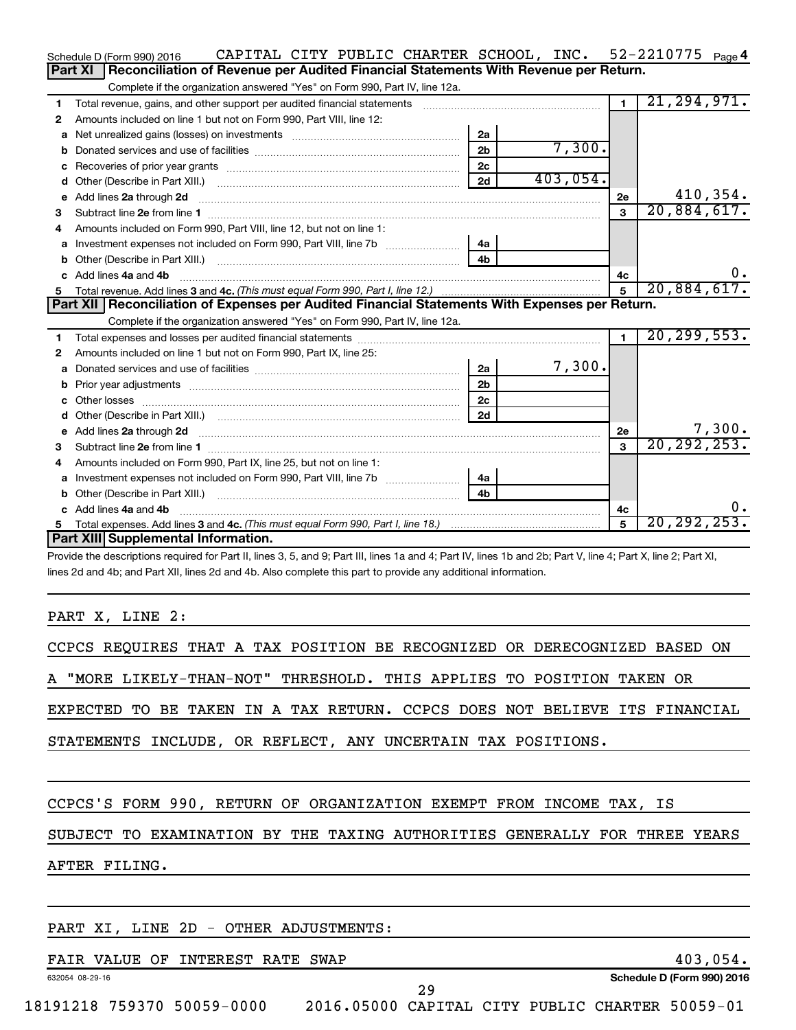|    | CAPITAL CITY PUBLIC CHARTER SCHOOL, INC. 52-2210775 Page 4<br>Schedule D (Form 990) 2016                                                                                                                                            |                |          |                |               |
|----|-------------------------------------------------------------------------------------------------------------------------------------------------------------------------------------------------------------------------------------|----------------|----------|----------------|---------------|
|    | Reconciliation of Revenue per Audited Financial Statements With Revenue per Return.<br>Part XI                                                                                                                                      |                |          |                |               |
|    | Complete if the organization answered "Yes" on Form 990, Part IV, line 12a.                                                                                                                                                         |                |          |                |               |
| 1  | Total revenue, gains, and other support per audited financial statements [11] [11] Total revenue, gains, and other support per audited financial statements                                                                         |                |          | $\blacksquare$ | 21, 294, 971. |
| 2  | Amounts included on line 1 but not on Form 990, Part VIII, line 12:                                                                                                                                                                 |                |          |                |               |
| a  |                                                                                                                                                                                                                                     | 2a             |          |                |               |
| b  |                                                                                                                                                                                                                                     | 2 <sub>b</sub> | 7,300.   |                |               |
|    |                                                                                                                                                                                                                                     | 2c             |          |                |               |
| d  |                                                                                                                                                                                                                                     | 2d             | 403,054. |                |               |
| е  | Add lines 2a through 2d                                                                                                                                                                                                             |                |          | 2e             | 410,354.      |
| 3  | Subtract line 2e from line 1                                                                                                                                                                                                        |                |          | $\mathbf{a}$   | 20,884,617.   |
| 4  | Amounts included on Form 990, Part VIII, line 12, but not on line 1:                                                                                                                                                                |                |          |                |               |
| a  | Investment expenses not included on Form 990, Part VIII, line 7b [11, 111, 111, 111]                                                                                                                                                | 4a             |          |                |               |
|    |                                                                                                                                                                                                                                     |                |          |                |               |
|    | c Add lines 4a and 4b                                                                                                                                                                                                               |                |          | 4c             | 0.            |
| 5. |                                                                                                                                                                                                                                     |                |          | 5              | 20,884,617.   |
|    | Part XII   Reconciliation of Expenses per Audited Financial Statements With Expenses per Return.                                                                                                                                    |                |          |                |               |
|    | Complete if the organization answered "Yes" on Form 990, Part IV, line 12a.                                                                                                                                                         |                |          |                |               |
| 1  |                                                                                                                                                                                                                                     |                |          | $\overline{1}$ | 20, 299, 553. |
| 2  | Amounts included on line 1 but not on Form 990, Part IX, line 25:                                                                                                                                                                   |                |          |                |               |
|    |                                                                                                                                                                                                                                     | 2a             | 7,300.   |                |               |
| b  |                                                                                                                                                                                                                                     | 2 <sub>b</sub> |          |                |               |
| c  |                                                                                                                                                                                                                                     | 2 <sub>c</sub> |          |                |               |
| d  |                                                                                                                                                                                                                                     | 2d             |          |                |               |
| е  | Add lines 2a through 2d <b>contained a contained a contained a contained a</b> contained a contained a contained a contained a contained a contact a contact a contact a contact a contact a contact a contact a contact a contact  |                |          | 2e             | 7,300.        |
| 3  |                                                                                                                                                                                                                                     |                |          | 3              | 20, 292, 253. |
| 4  | Amounts included on Form 990, Part IX, line 25, but not on line 1:                                                                                                                                                                  |                |          |                |               |
| a  | Investment expenses not included on Form 990, Part VIII, line 7b [11, 11, 11, 11, 11]                                                                                                                                               | 4a             |          |                |               |
| b  | Other (Describe in Part XIII.) <b>2000</b> 2000 2010 2010 2010 2010 2011 2012 2013 2014 2014 2015 2016 2017 2018 2019 2016 2017 2018 2019 2016 2017 2018 2019 2016 2017 2018 2019 2018 2019 2019 2016 2017 2018 2019 2018 2019 2019 | 4 <sub>b</sub> |          |                |               |
| C. | Add lines 4a and 4b                                                                                                                                                                                                                 |                |          | 4c             | υ.            |
|    |                                                                                                                                                                                                                                     |                |          | 5              | 20, 292, 253. |
|    | Part XIII Supplemental Information.                                                                                                                                                                                                 |                |          |                |               |
|    | Drovide the descriptions required for Dart II, lines 3, 5, and Q: Dart III, lines 1a and A: Dart IV, lines 1b and 2b: Dart V, line A: Dart Y, line 2: Dart YI                                                                       |                |          |                |               |

de the descriptions required for Part II, lines 3, 5, and 9; Part III, lines 1a and 4; Part IV, lines 1b and 2b; Part V, line 4; Part X, line 2; Part XI, lines 2d and 4b; and Part XII, lines 2d and 4b. Also complete this part to provide any additional information.

PART X, LINE 2:

|  |  |  | CCPCS REQUIRES THAT A TAX POSITION BE RECOGNIZED OR DERECOGNIZED BASED ON |  |                                                                            |
|--|--|--|---------------------------------------------------------------------------|--|----------------------------------------------------------------------------|
|  |  |  | A "MORE LIKELY-THAN-NOT" THRESHOLD. THIS APPLIES TO POSITION TAKEN OR     |  |                                                                            |
|  |  |  |                                                                           |  | EXPECTED TO BE TAKEN IN A TAX RETURN. CCPCS DOES NOT BELIEVE ITS FINANCIAL |
|  |  |  | STATEMENTS INCLUDE, OR REFLECT, ANY UNCERTAIN TAX POSITIONS.              |  |                                                                            |
|  |  |  |                                                                           |  |                                                                            |
|  |  |  | CCPCS'S FORM 990, RETURN OF ORGANIZATION EXEMPT FROM INCOME TAX, IS       |  |                                                                            |
|  |  |  |                                                                           |  |                                                                            |

SUBJECT TO EXAMINATION BY THE TAXING AUTHORITIES GENERALLY FOR THREE YEARS

AFTER FILING.

## PART XI, LINE 2D - OTHER ADJUSTMENTS:

| VALUE<br>OF<br>FAIR | <b>INTEREST RATE</b> | SWAP                       |
|---------------------|----------------------|----------------------------|
| 632054 08-29-16     |                      | Schedule D (Form 990) 2016 |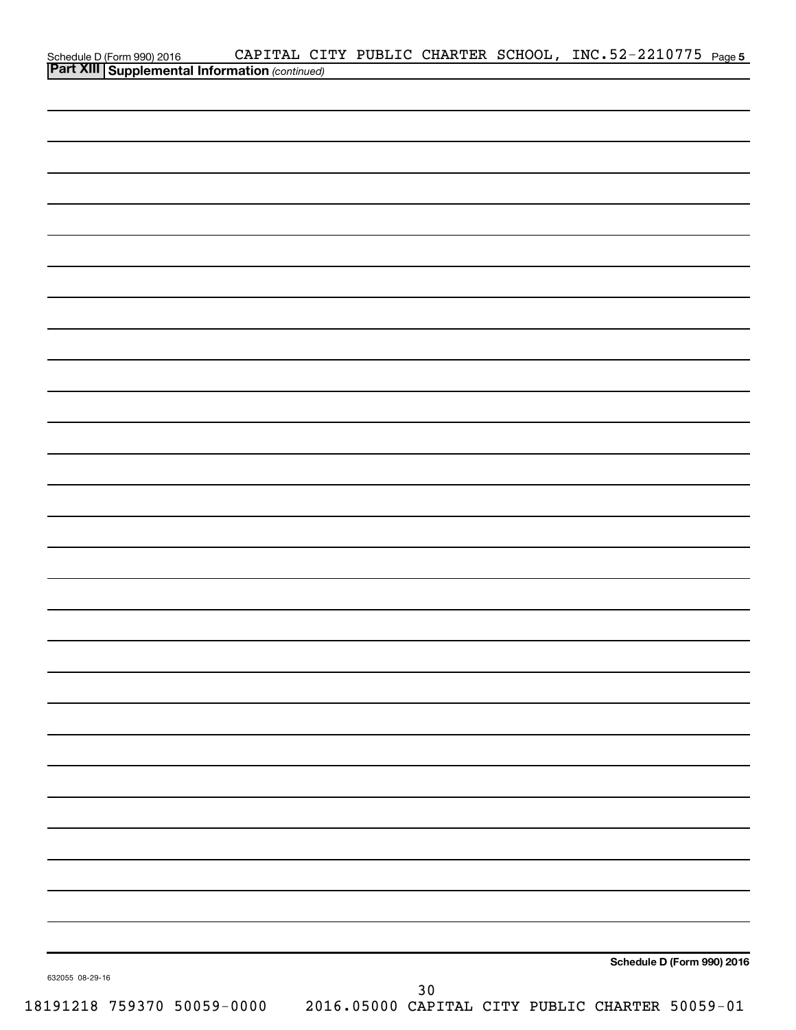|                                                                                         |  |      | CAPITAL CITY PUBLIC CHARTER SCHOOL, INC.52-2210775 Page 5 |                            |  |
|-----------------------------------------------------------------------------------------|--|------|-----------------------------------------------------------|----------------------------|--|
| Schedule D (Form 990) 2016 CAPITAL CI<br>Part XIII Supplemental Information (continued) |  |      |                                                           |                            |  |
|                                                                                         |  |      |                                                           |                            |  |
|                                                                                         |  |      |                                                           |                            |  |
|                                                                                         |  |      |                                                           |                            |  |
|                                                                                         |  |      |                                                           |                            |  |
|                                                                                         |  |      |                                                           |                            |  |
|                                                                                         |  |      |                                                           |                            |  |
|                                                                                         |  |      |                                                           |                            |  |
|                                                                                         |  |      |                                                           |                            |  |
|                                                                                         |  |      |                                                           |                            |  |
|                                                                                         |  |      |                                                           |                            |  |
|                                                                                         |  |      |                                                           |                            |  |
|                                                                                         |  |      |                                                           |                            |  |
|                                                                                         |  |      |                                                           |                            |  |
|                                                                                         |  |      |                                                           |                            |  |
|                                                                                         |  |      |                                                           |                            |  |
|                                                                                         |  |      |                                                           |                            |  |
|                                                                                         |  |      |                                                           |                            |  |
|                                                                                         |  |      |                                                           |                            |  |
|                                                                                         |  |      |                                                           |                            |  |
|                                                                                         |  |      |                                                           |                            |  |
|                                                                                         |  |      |                                                           |                            |  |
|                                                                                         |  |      |                                                           |                            |  |
|                                                                                         |  |      |                                                           |                            |  |
|                                                                                         |  |      |                                                           |                            |  |
|                                                                                         |  |      |                                                           |                            |  |
|                                                                                         |  |      |                                                           |                            |  |
|                                                                                         |  |      |                                                           |                            |  |
|                                                                                         |  |      |                                                           |                            |  |
|                                                                                         |  |      |                                                           |                            |  |
|                                                                                         |  |      |                                                           |                            |  |
|                                                                                         |  |      |                                                           |                            |  |
|                                                                                         |  |      |                                                           |                            |  |
|                                                                                         |  |      |                                                           |                            |  |
|                                                                                         |  |      |                                                           |                            |  |
|                                                                                         |  |      |                                                           |                            |  |
|                                                                                         |  |      |                                                           |                            |  |
|                                                                                         |  |      |                                                           |                            |  |
|                                                                                         |  |      |                                                           |                            |  |
|                                                                                         |  |      |                                                           |                            |  |
|                                                                                         |  |      |                                                           |                            |  |
|                                                                                         |  |      |                                                           |                            |  |
|                                                                                         |  |      |                                                           |                            |  |
|                                                                                         |  |      |                                                           |                            |  |
|                                                                                         |  |      |                                                           |                            |  |
|                                                                                         |  |      |                                                           | Schedule D (Form 990) 2016 |  |
| 632055 08-29-16                                                                         |  |      |                                                           |                            |  |
|                                                                                         |  | $30$ |                                                           |                            |  |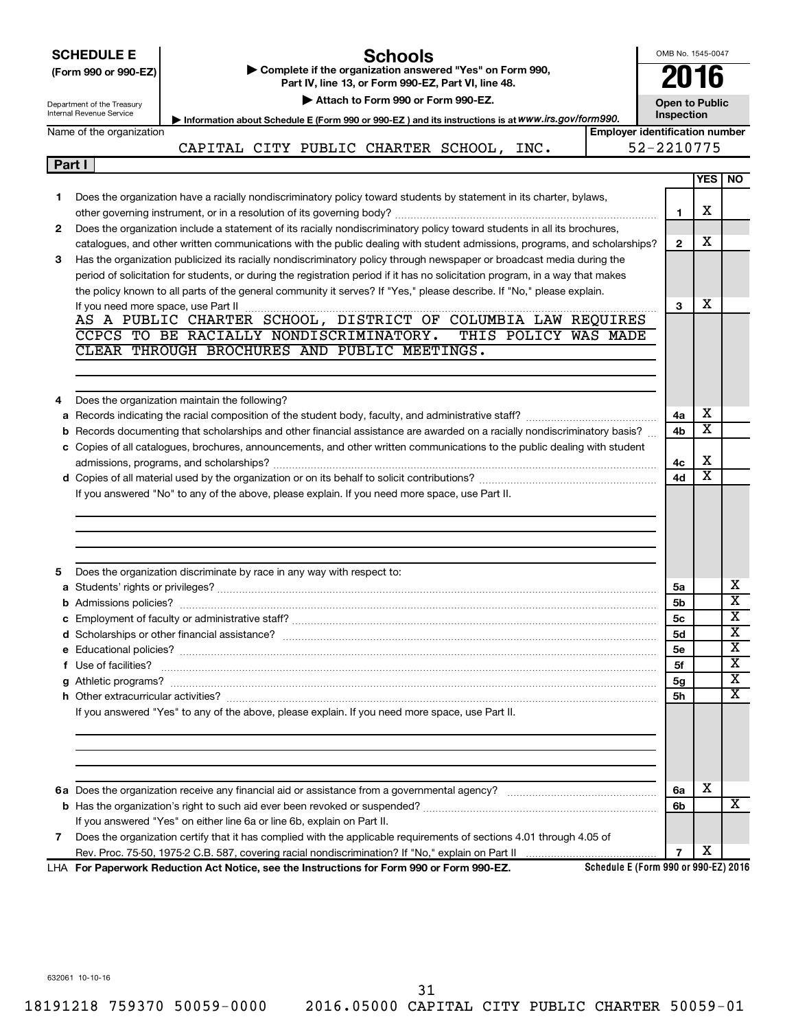|        | OMB No. 1545-0047<br><b>SCHEDULE E</b><br><b>Schools</b><br>Complete if the organization answered "Yes" on Form 990,<br>(Form 990 or 990-EZ)<br>Part IV, line 13, or Form 990-EZ, Part VI, line 48. |                                                                                                                                   |                       |                         |                         |  |  |  |
|--------|-----------------------------------------------------------------------------------------------------------------------------------------------------------------------------------------------------|-----------------------------------------------------------------------------------------------------------------------------------|-----------------------|-------------------------|-------------------------|--|--|--|
|        | Department of the Treasury                                                                                                                                                                          | Attach to Form 990 or Form 990-EZ.                                                                                                | <b>Open to Public</b> |                         |                         |  |  |  |
|        | Internal Revenue Service<br>Inspection<br>Information about Schedule E (Form 990 or 990-EZ) and its instructions is at WWW.irs.gov/form990.                                                         |                                                                                                                                   |                       |                         |                         |  |  |  |
|        | Name of the organization                                                                                                                                                                            | <b>Employer identification number</b>                                                                                             |                       |                         |                         |  |  |  |
|        |                                                                                                                                                                                                     | CAPITAL CITY PUBLIC CHARTER SCHOOL, INC.                                                                                          | 52-2210775            |                         |                         |  |  |  |
| Part I |                                                                                                                                                                                                     |                                                                                                                                   |                       |                         |                         |  |  |  |
|        |                                                                                                                                                                                                     |                                                                                                                                   |                       | <b>YES</b>              | NO.                     |  |  |  |
| 1      |                                                                                                                                                                                                     | Does the organization have a racially nondiscriminatory policy toward students by statement in its charter, bylaws,               |                       |                         |                         |  |  |  |
|        |                                                                                                                                                                                                     |                                                                                                                                   | 1                     | х                       |                         |  |  |  |
| 2      |                                                                                                                                                                                                     | Does the organization include a statement of its racially nondiscriminatory policy toward students in all its brochures,          |                       |                         |                         |  |  |  |
|        |                                                                                                                                                                                                     | catalogues, and other written communications with the public dealing with student admissions, programs, and scholarships?         | $\mathbf{2}$          | х                       |                         |  |  |  |
| 3      |                                                                                                                                                                                                     | Has the organization publicized its racially nondiscriminatory policy through newspaper or broadcast media during the             |                       |                         |                         |  |  |  |
|        |                                                                                                                                                                                                     | period of solicitation for students, or during the registration period if it has no solicitation program, in a way that makes     |                       |                         |                         |  |  |  |
|        |                                                                                                                                                                                                     | the policy known to all parts of the general community it serves? If "Yes," please describe. If "No," please explain.             | 3                     | х                       |                         |  |  |  |
|        |                                                                                                                                                                                                     |                                                                                                                                   |                       |                         |                         |  |  |  |
|        |                                                                                                                                                                                                     | CCPCS TO BE RACIALLY NONDISCRIMINATORY.<br>THIS POLICY WAS MADE                                                                   |                       |                         |                         |  |  |  |
|        |                                                                                                                                                                                                     | CLEAR THROUGH BROCHURES AND PUBLIC MEETINGS.                                                                                      |                       |                         |                         |  |  |  |
|        |                                                                                                                                                                                                     |                                                                                                                                   |                       |                         |                         |  |  |  |
|        |                                                                                                                                                                                                     |                                                                                                                                   |                       |                         |                         |  |  |  |
| 4      |                                                                                                                                                                                                     | Does the organization maintain the following?                                                                                     |                       |                         |                         |  |  |  |
|        |                                                                                                                                                                                                     |                                                                                                                                   | 4a                    | х                       |                         |  |  |  |
|        |                                                                                                                                                                                                     | <b>b</b> Records documenting that scholarships and other financial assistance are awarded on a racially nondiscriminatory basis?  | 4b                    | $\overline{\texttt{x}}$ |                         |  |  |  |
|        |                                                                                                                                                                                                     | c Copies of all catalogues, brochures, announcements, and other written communications to the public dealing with student         |                       |                         |                         |  |  |  |
|        |                                                                                                                                                                                                     |                                                                                                                                   | 4с                    | X                       |                         |  |  |  |
|        |                                                                                                                                                                                                     |                                                                                                                                   | 4d                    | $\overline{\text{x}}$   |                         |  |  |  |
|        |                                                                                                                                                                                                     | If you answered "No" to any of the above, please explain. If you need more space, use Part II.                                    |                       |                         |                         |  |  |  |
|        |                                                                                                                                                                                                     |                                                                                                                                   |                       |                         |                         |  |  |  |
|        |                                                                                                                                                                                                     |                                                                                                                                   |                       |                         |                         |  |  |  |
|        |                                                                                                                                                                                                     |                                                                                                                                   |                       |                         |                         |  |  |  |
|        |                                                                                                                                                                                                     |                                                                                                                                   |                       |                         |                         |  |  |  |
| 5      |                                                                                                                                                                                                     | Does the organization discriminate by race in any way with respect to:                                                            |                       |                         |                         |  |  |  |
|        |                                                                                                                                                                                                     |                                                                                                                                   | 5a                    |                         | х                       |  |  |  |
|        | <b>b</b> Admissions policies?                                                                                                                                                                       |                                                                                                                                   | 5b                    |                         | $\overline{\text{x}}$   |  |  |  |
|        |                                                                                                                                                                                                     |                                                                                                                                   | 5с                    |                         | x                       |  |  |  |
|        |                                                                                                                                                                                                     |                                                                                                                                   | 5d                    |                         | $\overline{\textbf{X}}$ |  |  |  |
|        |                                                                                                                                                                                                     |                                                                                                                                   | 5e                    |                         | $\overline{\mathbf{X}}$ |  |  |  |
|        | f Use of facilities?                                                                                                                                                                                |                                                                                                                                   | 5f                    |                         | $\overline{\mathbf{X}}$ |  |  |  |
|        |                                                                                                                                                                                                     |                                                                                                                                   | 5 <sub>g</sub>        |                         | $\overline{\mathbf{X}}$ |  |  |  |
|        |                                                                                                                                                                                                     |                                                                                                                                   | <b>5h</b>             |                         | $\overline{\mathbf{x}}$ |  |  |  |
|        |                                                                                                                                                                                                     | If you answered "Yes" to any of the above, please explain. If you need more space, use Part II.                                   |                       |                         |                         |  |  |  |
|        |                                                                                                                                                                                                     |                                                                                                                                   |                       |                         |                         |  |  |  |
|        |                                                                                                                                                                                                     |                                                                                                                                   |                       |                         |                         |  |  |  |
|        |                                                                                                                                                                                                     |                                                                                                                                   |                       |                         |                         |  |  |  |
|        |                                                                                                                                                                                                     |                                                                                                                                   |                       |                         |                         |  |  |  |
|        |                                                                                                                                                                                                     |                                                                                                                                   | 6а                    | x                       |                         |  |  |  |
|        |                                                                                                                                                                                                     |                                                                                                                                   | 6b                    |                         | х                       |  |  |  |
|        |                                                                                                                                                                                                     | If you answered "Yes" on either line 6a or line 6b, explain on Part II.                                                           |                       |                         |                         |  |  |  |
| 7      |                                                                                                                                                                                                     | Does the organization certify that it has complied with the applicable requirements of sections 4.01 through 4.05 of              |                       |                         |                         |  |  |  |
|        |                                                                                                                                                                                                     |                                                                                                                                   | $\overline{7}$        | х                       |                         |  |  |  |
|        |                                                                                                                                                                                                     | Schedule E (Form 990 or 990-EZ) 2016<br>LHA For Paperwork Reduction Act Notice, see the Instructions for Form 990 or Form 990-EZ. |                       |                         |                         |  |  |  |

632061 10-10-16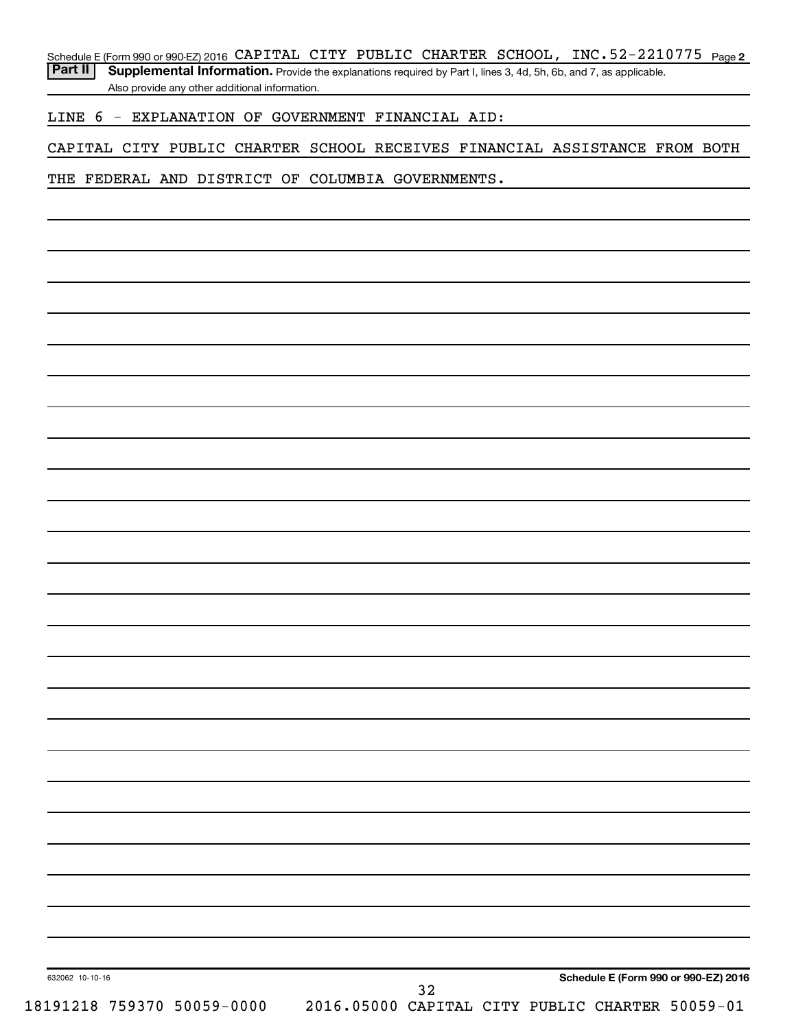Schedule E (Form 990 or 990-EZ) 2016 CAPITAL CITY PUBLIC CHARTER SCHOOL, INC.52-2210775 <sub>Page 2</sub>

Part II | Supplemental Information. Provide the explanations required by Part I, lines 3, 4d, 5h, 6b, and 7, as applicable. Also provide any other additional information.

LINE 6 - EXPLANATION OF GOVERNMENT FINANCIAL AID:

CAPITAL CITY PUBLIC CHARTER SCHOOL RECEIVES FINANCIAL ASSISTANCE FROM BOTH

THE FEDERAL AND DISTRICT OF COLUMBIA GOVERNMENTS.

632062 10-10-16 18191218 759370 50059-0000 2016.05000 CAPITAL CITY PUBLIC CHARTER 50059-01

32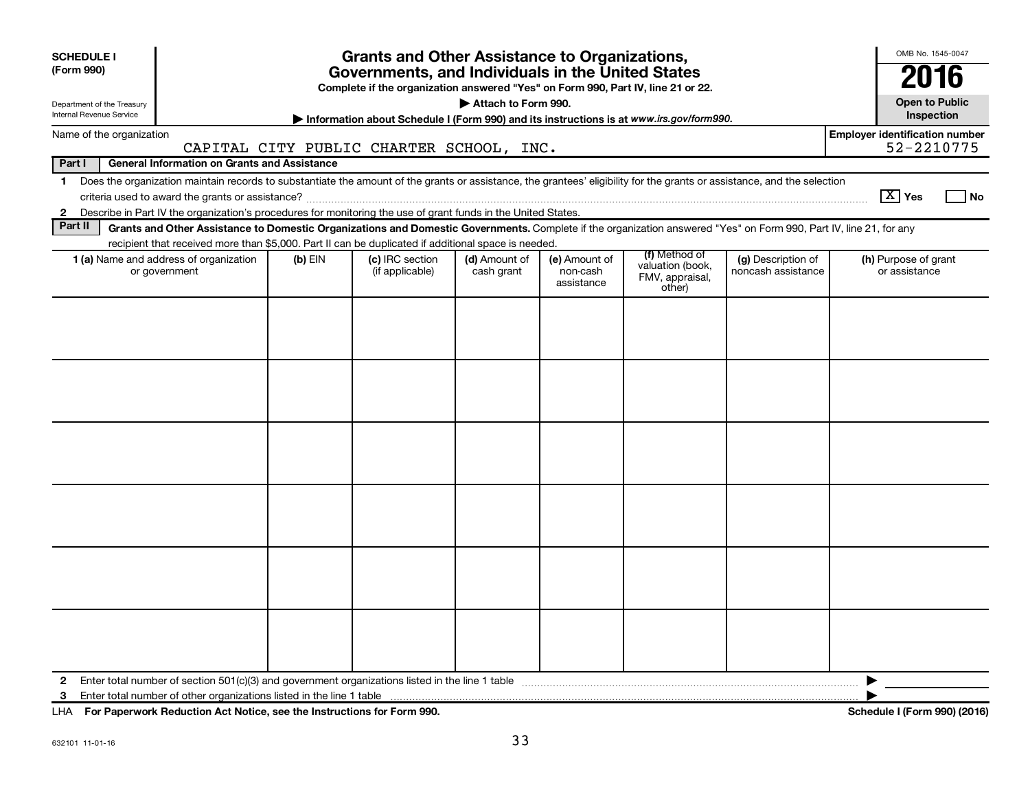| <b>SCHEDULE I</b><br>(Form 990)                                                                                                                                                                                                                                                                                          |           | <b>Grants and Other Assistance to Organizations,</b><br>Governments, and Individuals in the United States |                             |                                         |                                                                |                                          | OMB No. 1545-0047                                   |  |  |  |
|--------------------------------------------------------------------------------------------------------------------------------------------------------------------------------------------------------------------------------------------------------------------------------------------------------------------------|-----------|-----------------------------------------------------------------------------------------------------------|-----------------------------|-----------------------------------------|----------------------------------------------------------------|------------------------------------------|-----------------------------------------------------|--|--|--|
|                                                                                                                                                                                                                                                                                                                          |           | Complete if the organization answered "Yes" on Form 990, Part IV, line 21 or 22.                          |                             |                                         |                                                                |                                          | 2016                                                |  |  |  |
| Attach to Form 990.<br>Department of the Treasury<br>Internal Revenue Service<br>Information about Schedule I (Form 990) and its instructions is at www.irs.gov/form990.                                                                                                                                                 |           |                                                                                                           |                             |                                         |                                                                |                                          |                                                     |  |  |  |
| Name of the organization                                                                                                                                                                                                                                                                                                 |           | CAPITAL CITY PUBLIC CHARTER SCHOOL, INC.                                                                  |                             |                                         |                                                                |                                          | <b>Employer identification number</b><br>52-2210775 |  |  |  |
| Part I<br><b>General Information on Grants and Assistance</b>                                                                                                                                                                                                                                                            |           |                                                                                                           |                             |                                         |                                                                |                                          |                                                     |  |  |  |
| Does the organization maintain records to substantiate the amount of the grants or assistance, the grantees' eligibility for the grants or assistance, and the selection<br>$\mathbf 1$<br>Describe in Part IV the organization's procedures for monitoring the use of grant funds in the United States.<br>$\mathbf{2}$ |           |                                                                                                           |                             |                                         |                                                                |                                          | $\boxed{\text{X}}$ Yes<br>l No                      |  |  |  |
| Part II<br>Grants and Other Assistance to Domestic Organizations and Domestic Governments. Complete if the organization answered "Yes" on Form 990, Part IV, line 21, for any                                                                                                                                            |           |                                                                                                           |                             |                                         |                                                                |                                          |                                                     |  |  |  |
| recipient that received more than \$5,000. Part II can be duplicated if additional space is needed.                                                                                                                                                                                                                      |           |                                                                                                           |                             |                                         |                                                                |                                          |                                                     |  |  |  |
| 1 (a) Name and address of organization<br>or government                                                                                                                                                                                                                                                                  | $(b)$ EIN | (c) IRC section<br>(if applicable)                                                                        | (d) Amount of<br>cash grant | (e) Amount of<br>non-cash<br>assistance | (f) Method of<br>valuation (book,<br>FMV, appraisal,<br>other) | (g) Description of<br>noncash assistance | (h) Purpose of grant<br>or assistance               |  |  |  |
|                                                                                                                                                                                                                                                                                                                          |           |                                                                                                           |                             |                                         |                                                                |                                          |                                                     |  |  |  |
|                                                                                                                                                                                                                                                                                                                          |           |                                                                                                           |                             |                                         |                                                                |                                          |                                                     |  |  |  |
|                                                                                                                                                                                                                                                                                                                          |           |                                                                                                           |                             |                                         |                                                                |                                          |                                                     |  |  |  |
|                                                                                                                                                                                                                                                                                                                          |           |                                                                                                           |                             |                                         |                                                                |                                          |                                                     |  |  |  |
|                                                                                                                                                                                                                                                                                                                          |           |                                                                                                           |                             |                                         |                                                                |                                          |                                                     |  |  |  |
|                                                                                                                                                                                                                                                                                                                          |           |                                                                                                           |                             |                                         |                                                                |                                          |                                                     |  |  |  |
| $\mathbf{2}$<br>3                                                                                                                                                                                                                                                                                                        |           |                                                                                                           |                             |                                         |                                                                |                                          | ▶                                                   |  |  |  |

**For Paperwork Reduction Act Notice, see the Instructions for Form 990. Schedule I (Form 990) (2016)** LHA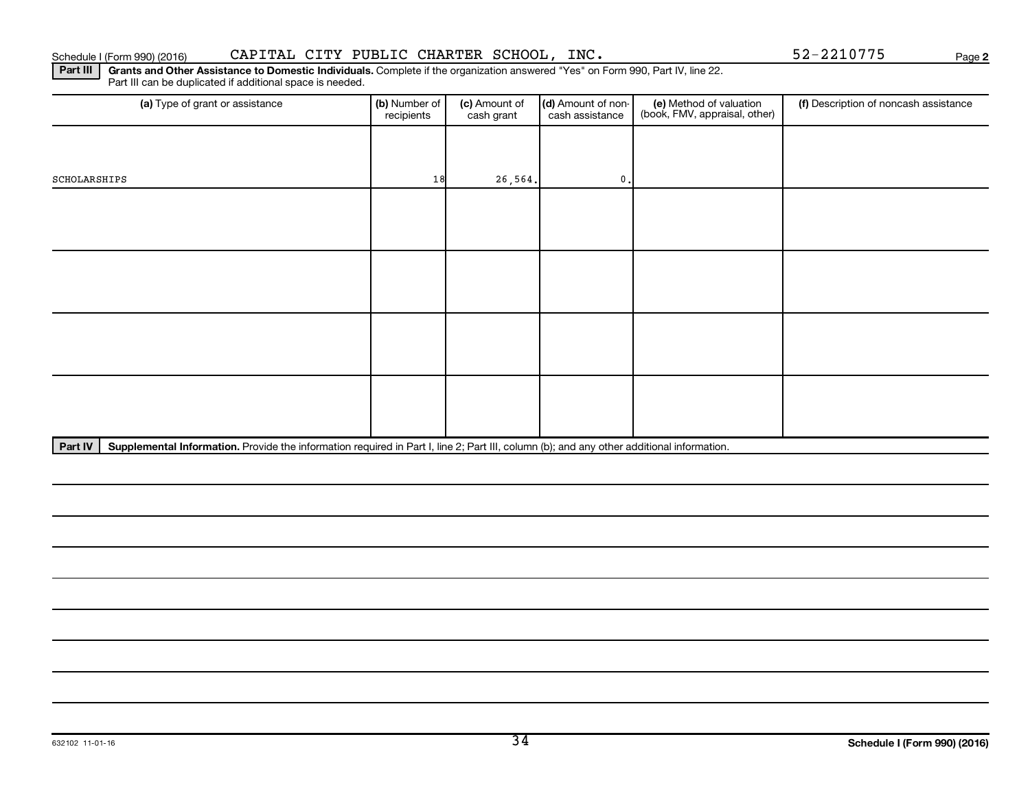| SCHOLARSHIPS | 18 | 26, 564. | $\mathbf{0}$ . |  |
|--------------|----|----------|----------------|--|
|              |    |          |                |  |
|              |    |          |                |  |
|              |    |          |                |  |
|              |    |          |                |  |
|              |    |          |                |  |
|              |    |          |                |  |
|              |    |          |                |  |
|              |    |          |                |  |
|              |    |          |                |  |
|              |    |          |                |  |
|              |    |          |                |  |
|              |    |          |                |  |

(a) Type of grant or assistance **(b)** Number of  $|$  **(c)** Amount of  $|$  **(d)** Amount of non- $|$  **(e)** Method of valuation  $|$  **(f)** 

(c) Amount of cash grant

(d) Amount of noncash assistance

Part III | Grants and Other Assistance to Domestic Individuals. Complete if the organization answered "Yes" on Form 990, Part IV, line 22. Schedule I (Form 990) (2016) CAPITAL CITY PUBLIC CHARTER SCHOOL, INC. 52-2210775 Page

recipients

Part IV | Supplemental Information. Provide the information required in Part I, line 2; Part III, column (b); and any other additional information.

Part III can be duplicated if additional space is needed.

(f) Description of noncash assistance

**2**

(e) Method of valuation (book, FMV, appraisal, other)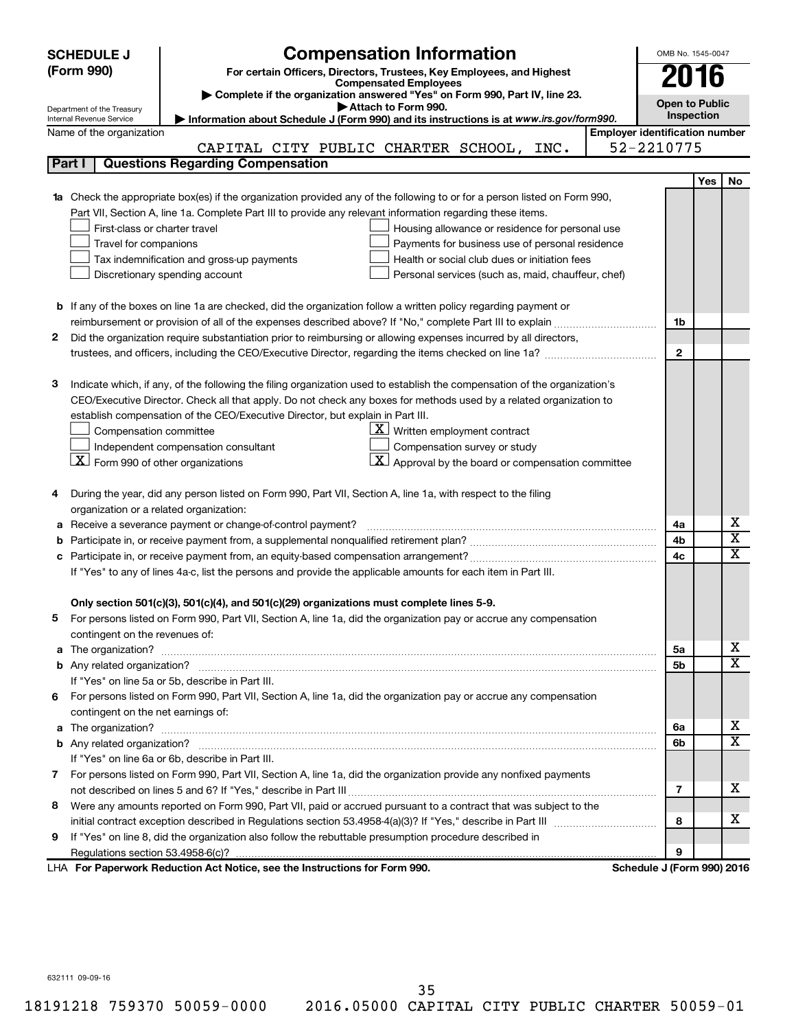|   | <b>SCHEDULE J</b>                                      | <b>Compensation Information</b>                                                                                                                                                                               |                                       | OMB No. 1545-0047          |            |                              |
|---|--------------------------------------------------------|---------------------------------------------------------------------------------------------------------------------------------------------------------------------------------------------------------------|---------------------------------------|----------------------------|------------|------------------------------|
|   | (Form 990)                                             |                                                                                                                                                                                                               |                                       |                            |            |                              |
|   |                                                        | For certain Officers, Directors, Trustees, Key Employees, and Highest<br><b>Compensated Employees</b>                                                                                                         |                                       | 2016                       |            |                              |
|   |                                                        | Complete if the organization answered "Yes" on Form 990, Part IV, line 23.                                                                                                                                    |                                       | <b>Open to Public</b>      |            |                              |
|   | Department of the Treasury<br>Internal Revenue Service | Attach to Form 990.<br>Information about Schedule J (Form 990) and its instructions is at www.irs.gov/form990.                                                                                                |                                       | <b>Inspection</b>          |            |                              |
|   | Name of the organization                               |                                                                                                                                                                                                               | <b>Employer identification number</b> |                            |            |                              |
|   |                                                        | CAPITAL CITY PUBLIC CHARTER SCHOOL, INC.                                                                                                                                                                      |                                       | 52-2210775                 |            |                              |
|   | Part I                                                 | <b>Questions Regarding Compensation</b>                                                                                                                                                                       |                                       |                            |            |                              |
|   |                                                        |                                                                                                                                                                                                               |                                       |                            | <b>Yes</b> | No                           |
|   |                                                        | Check the appropriate box(es) if the organization provided any of the following to or for a person listed on Form 990,                                                                                        |                                       |                            |            |                              |
|   |                                                        | Part VII, Section A, line 1a. Complete Part III to provide any relevant information regarding these items.                                                                                                    |                                       |                            |            |                              |
|   | First-class or charter travel                          | Housing allowance or residence for personal use                                                                                                                                                               |                                       |                            |            |                              |
|   | Travel for companions                                  | Payments for business use of personal residence                                                                                                                                                               |                                       |                            |            |                              |
|   |                                                        | Health or social club dues or initiation fees<br>Tax indemnification and gross-up payments                                                                                                                    |                                       |                            |            |                              |
|   |                                                        | Discretionary spending account<br>Personal services (such as, maid, chauffeur, chef)                                                                                                                          |                                       |                            |            |                              |
|   |                                                        |                                                                                                                                                                                                               |                                       |                            |            |                              |
|   |                                                        | <b>b</b> If any of the boxes on line 1a are checked, did the organization follow a written policy regarding payment or                                                                                        |                                       |                            |            |                              |
|   |                                                        |                                                                                                                                                                                                               |                                       | 1b                         |            |                              |
| 2 |                                                        | Did the organization require substantiation prior to reimbursing or allowing expenses incurred by all directors,                                                                                              |                                       |                            |            |                              |
|   |                                                        | trustees, and officers, including the CEO/Executive Director, regarding the items checked on line 1a?                                                                                                         |                                       | $\mathbf{2}$               |            |                              |
|   |                                                        |                                                                                                                                                                                                               |                                       |                            |            |                              |
| з |                                                        | Indicate which, if any, of the following the filing organization used to establish the compensation of the organization's                                                                                     |                                       |                            |            |                              |
|   |                                                        | CEO/Executive Director. Check all that apply. Do not check any boxes for methods used by a related organization to                                                                                            |                                       |                            |            |                              |
|   |                                                        | establish compensation of the CEO/Executive Director, but explain in Part III.                                                                                                                                |                                       |                            |            |                              |
|   | Compensation committee                                 | $\underline{\mathbf{X}}$ Written employment contract                                                                                                                                                          |                                       |                            |            |                              |
|   |                                                        | Compensation survey or study<br>Independent compensation consultant                                                                                                                                           |                                       |                            |            |                              |
|   | $\lfloor x \rfloor$ Form 990 of other organizations    | $\mathbf{X}$ Approval by the board or compensation committee                                                                                                                                                  |                                       |                            |            |                              |
|   |                                                        |                                                                                                                                                                                                               |                                       |                            |            |                              |
|   |                                                        | During the year, did any person listed on Form 990, Part VII, Section A, line 1a, with respect to the filing                                                                                                  |                                       |                            |            |                              |
|   |                                                        | organization or a related organization:                                                                                                                                                                       |                                       |                            |            |                              |
| а |                                                        | Receive a severance payment or change-of-control payment?                                                                                                                                                     |                                       | 4a                         |            | х                            |
| b |                                                        |                                                                                                                                                                                                               |                                       | 4b                         |            | $\overline{\mathbf{X}}$<br>X |
|   |                                                        |                                                                                                                                                                                                               |                                       | 4c                         |            |                              |
|   |                                                        | If "Yes" to any of lines 4a-c, list the persons and provide the applicable amounts for each item in Part III.                                                                                                 |                                       |                            |            |                              |
|   |                                                        |                                                                                                                                                                                                               |                                       |                            |            |                              |
|   |                                                        | Only section 501(c)(3), 501(c)(4), and 501(c)(29) organizations must complete lines 5-9.<br>For persons listed on Form 990, Part VII, Section A, line 1a, did the organization pay or accrue any compensation |                                       |                            |            |                              |
| 5 | contingent on the revenues of:                         |                                                                                                                                                                                                               |                                       |                            |            |                              |
| a |                                                        |                                                                                                                                                                                                               |                                       | 5a                         |            | x                            |
|   |                                                        |                                                                                                                                                                                                               |                                       | 5b                         |            | X                            |
|   |                                                        | If "Yes" on line 5a or 5b, describe in Part III.                                                                                                                                                              |                                       |                            |            |                              |
|   |                                                        | 6 For persons listed on Form 990, Part VII, Section A, line 1a, did the organization pay or accrue any compensation                                                                                           |                                       |                            |            |                              |
|   | contingent on the net earnings of:                     |                                                                                                                                                                                                               |                                       |                            |            |                              |
| a |                                                        |                                                                                                                                                                                                               |                                       | 6a                         |            | x                            |
|   |                                                        |                                                                                                                                                                                                               |                                       | 6b                         |            | X                            |
|   |                                                        | If "Yes" on line 6a or 6b, describe in Part III.                                                                                                                                                              |                                       |                            |            |                              |
|   |                                                        | 7 For persons listed on Form 990, Part VII, Section A, line 1a, did the organization provide any nonfixed payments                                                                                            |                                       |                            |            |                              |
|   |                                                        |                                                                                                                                                                                                               |                                       | 7                          |            | x                            |
| 8 |                                                        | Were any amounts reported on Form 990, Part VII, paid or accrued pursuant to a contract that was subject to the                                                                                               |                                       |                            |            |                              |
|   |                                                        |                                                                                                                                                                                                               |                                       | 8                          |            | x                            |
| 9 |                                                        | If "Yes" on line 8, did the organization also follow the rebuttable presumption procedure described in                                                                                                        |                                       |                            |            |                              |
|   |                                                        |                                                                                                                                                                                                               |                                       | 9                          |            |                              |
|   |                                                        | LHA For Paperwork Reduction Act Notice, see the Instructions for Form 990.                                                                                                                                    |                                       | Schedule J (Form 990) 2016 |            |                              |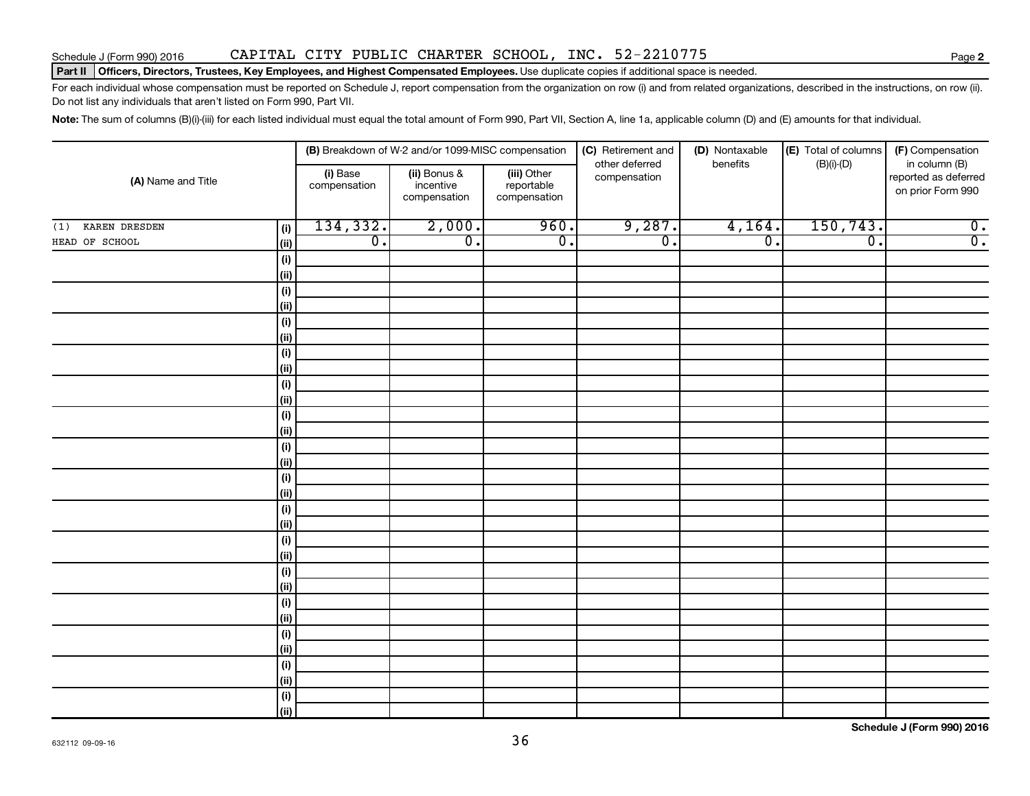## Schedule J (Form 990) 2016 CAPITAL CITY PUBLIC CHARTER SCHOOL, INC. 52-2210775

### Part II | Officers, Directors, Trustees, Key Employees, and Highest Compensated Employees. Use duplicate copies if additional space is needed.

For each individual whose compensation must be reported on Schedule J, report compensation from the organization on row (i) and from related organizations, described in the instructions, on row (ii). Do not list any individuals that aren't listed on Form 990, Part VII.

Note: The sum of columns (B)(i)-(iii) for each listed individual must equal the total amount of Form 990, Part VII, Section A, line 1a, applicable column (D) and (E) amounts for that individual.

| (A) Name and Title   |              |                          | (B) Breakdown of W-2 and/or 1099-MISC compensation |                                           | (C) Retirement and<br>other deferred | (D) Nontaxable<br>benefits  | (E) Total of columns | (F) Compensation<br>in column (B)         |
|----------------------|--------------|--------------------------|----------------------------------------------------|-------------------------------------------|--------------------------------------|-----------------------------|----------------------|-------------------------------------------|
|                      |              | (i) Base<br>compensation | (ii) Bonus &<br>incentive<br>compensation          | (iii) Other<br>reportable<br>compensation | compensation                         |                             | $(B)(i)-(D)$         | reported as deferred<br>on prior Form 990 |
| KAREN DRESDEN<br>(1) | (i)          | 134,332.                 | 2,000.                                             | 960.                                      | 9,287.                               | 4,164.                      | 150,743.             | $\overline{0}$ .                          |
| HEAD OF SCHOOL       | (ii)         | $\overline{0}$ .         | $\overline{0}$ .                                   | $\overline{0}$ .                          | $\overline{0}$ .                     | $\overline{\mathfrak{o}}$ . | $\overline{0}$ .     | $\overline{0}$ .                          |
|                      | (i)          |                          |                                                    |                                           |                                      |                             |                      |                                           |
|                      | (ii)         |                          |                                                    |                                           |                                      |                             |                      |                                           |
|                      | (i)          |                          |                                                    |                                           |                                      |                             |                      |                                           |
|                      | (ii)         |                          |                                                    |                                           |                                      |                             |                      |                                           |
|                      | (i)          |                          |                                                    |                                           |                                      |                             |                      |                                           |
|                      | (ii)         |                          |                                                    |                                           |                                      |                             |                      |                                           |
|                      | (i)          |                          |                                                    |                                           |                                      |                             |                      |                                           |
|                      | (ii)         |                          |                                                    |                                           |                                      |                             |                      |                                           |
|                      | (i)          |                          |                                                    |                                           |                                      |                             |                      |                                           |
|                      | $\vert$ (ii) |                          |                                                    |                                           |                                      |                             |                      |                                           |
|                      | (i)          |                          |                                                    |                                           |                                      |                             |                      |                                           |
|                      | $\vert$ (ii) |                          |                                                    |                                           |                                      |                             |                      |                                           |
|                      | (i)          |                          |                                                    |                                           |                                      |                             |                      |                                           |
|                      | $\vert$ (ii) |                          |                                                    |                                           |                                      |                             |                      |                                           |
|                      | (i)<br>(ii)  |                          |                                                    |                                           |                                      |                             |                      |                                           |
|                      | (i)          |                          |                                                    |                                           |                                      |                             |                      |                                           |
|                      | (ii)         |                          |                                                    |                                           |                                      |                             |                      |                                           |
|                      | (i)          |                          |                                                    |                                           |                                      |                             |                      |                                           |
|                      | $\vert$ (ii) |                          |                                                    |                                           |                                      |                             |                      |                                           |
|                      | (i)          |                          |                                                    |                                           |                                      |                             |                      |                                           |
|                      | $\vert$ (ii) |                          |                                                    |                                           |                                      |                             |                      |                                           |
|                      | (i)          |                          |                                                    |                                           |                                      |                             |                      |                                           |
|                      | (ii)         |                          |                                                    |                                           |                                      |                             |                      |                                           |
|                      | (i)          |                          |                                                    |                                           |                                      |                             |                      |                                           |
|                      | (ii)         |                          |                                                    |                                           |                                      |                             |                      |                                           |
|                      | (i)          |                          |                                                    |                                           |                                      |                             |                      |                                           |
|                      | (ii)         |                          |                                                    |                                           |                                      |                             |                      |                                           |
|                      | (i)          |                          |                                                    |                                           |                                      |                             |                      |                                           |
|                      | (ii)         |                          |                                                    |                                           |                                      |                             |                      |                                           |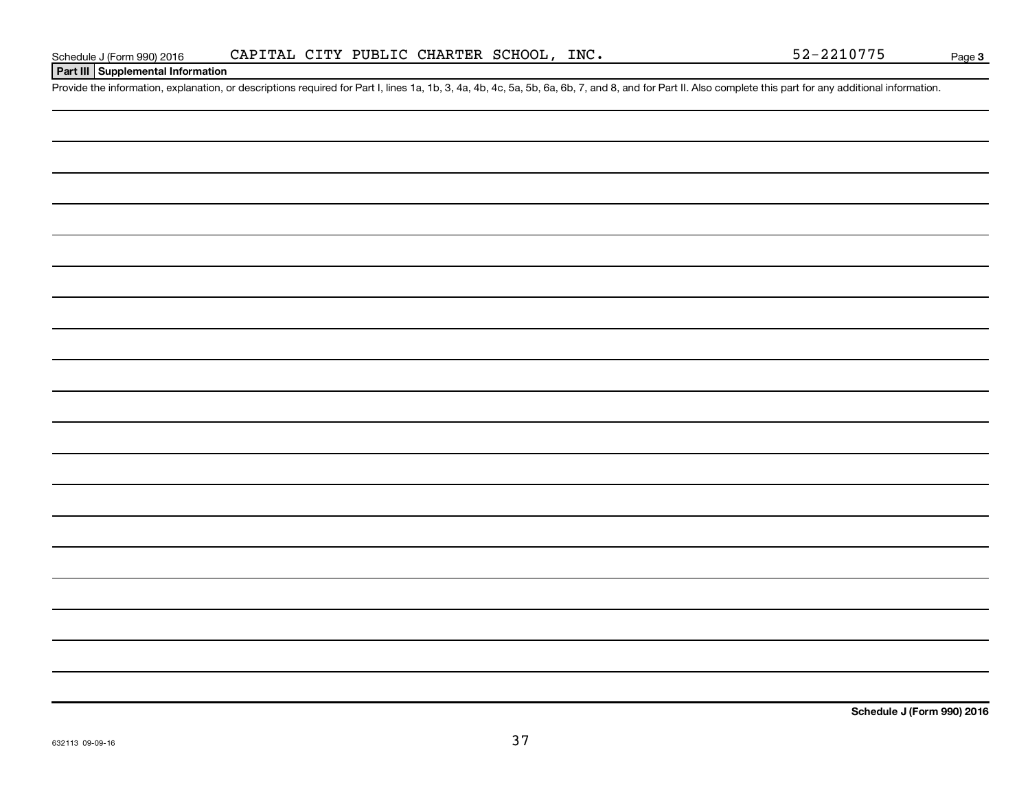## **Part III Supplemental Information**

Provide the information, explanation, or descriptions required for Part I, lines 1a, 1b, 3, 4a, 4b, 4c, 5a, 5b, 6a, 6b, 7, and 8, and for Part II. Also complete this part for any additional information.

**Schedule J (Form 990) 2016**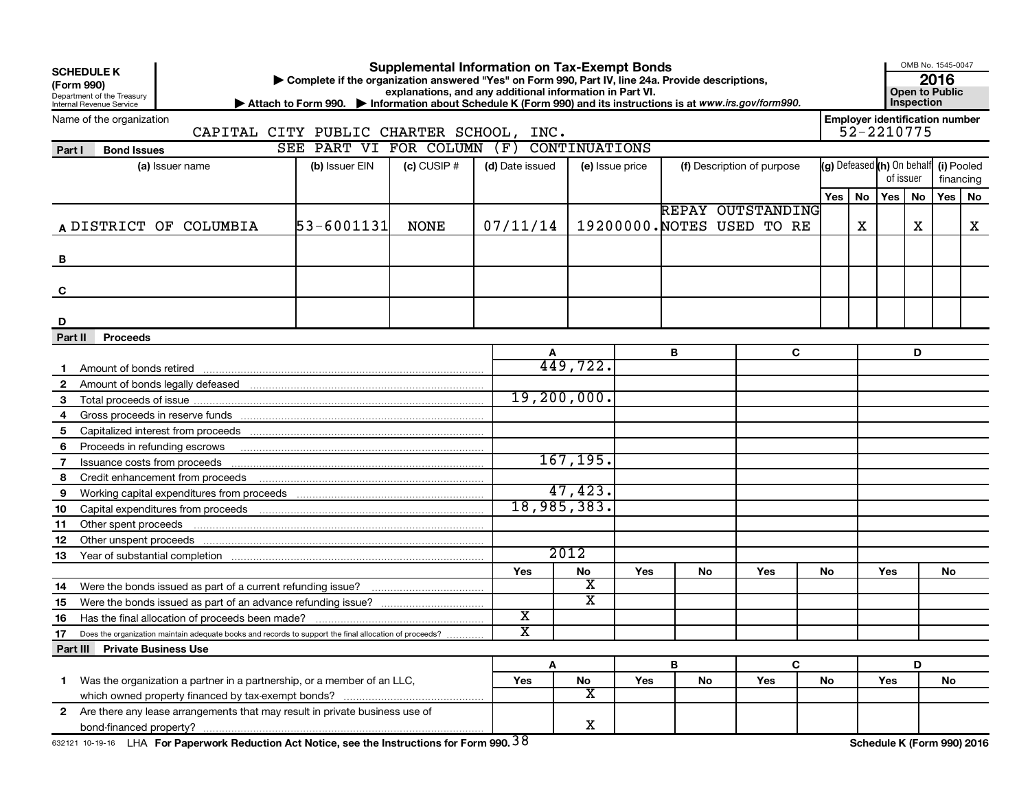| <b>SCHEDULE K</b><br>(Form 990)<br><b>Internal Revenue Service</b> | Department of the Treasury    |                                                                                                        | Complete if the organization answered "Yes" on Form 990, Part IV, line 24a. Provide descriptions,<br>Attach to Form 990. Information about Schedule K (Form 990) and its instructions is at www.irs.gov/form990. |                 | <b>Supplemental Information on Tax-Exempt Bonds</b><br>explanations, and any additional information in Part VI. |               |                 |                            |     |                                                 |           |                                                     |                         | Inspection | OMB No. 1545-0047<br>2016<br>Open to Public |                            |  |  |
|--------------------------------------------------------------------|-------------------------------|--------------------------------------------------------------------------------------------------------|------------------------------------------------------------------------------------------------------------------------------------------------------------------------------------------------------------------|-----------------|-----------------------------------------------------------------------------------------------------------------|---------------|-----------------|----------------------------|-----|-------------------------------------------------|-----------|-----------------------------------------------------|-------------------------|------------|---------------------------------------------|----------------------------|--|--|
|                                                                    | Name of the organization      | CAPITAL CITY PUBLIC CHARTER SCHOOL, INC.                                                               |                                                                                                                                                                                                                  |                 |                                                                                                                 |               |                 |                            |     |                                                 |           | <b>Employer identification number</b><br>52-2210775 |                         |            |                                             |                            |  |  |
| Part I                                                             | <b>Bond Issues</b>            |                                                                                                        |                                                                                                                                                                                                                  |                 | SEE PART VI FOR COLUMN (F) CONTINUATIONS                                                                        |               |                 |                            |     |                                                 |           |                                                     |                         |            |                                             |                            |  |  |
|                                                                    |                               | (a) Issuer name                                                                                        | (b) Issuer EIN                                                                                                                                                                                                   | $(c)$ CUSIP $#$ | (d) Date issued                                                                                                 |               | (e) Issue price | (f) Description of purpose |     | (g) Defeased (h) On behalf                      | of issuer |                                                     | (i) Pooled<br>financing |            |                                             |                            |  |  |
|                                                                    |                               |                                                                                                        |                                                                                                                                                                                                                  |                 |                                                                                                                 |               |                 |                            |     |                                                 | Yes       | No                                                  | Yes   No                |            | Yes                                         | No                         |  |  |
|                                                                    |                               | A DISTRICT OF COLUMBIA                                                                                 | 53-6001131                                                                                                                                                                                                       | <b>NONE</b>     | 07/11/14                                                                                                        |               |                 |                            |     | REPAY OUTSTANDING<br>19200000. NOTES USED TO RE |           | х                                                   |                         | x          |                                             | X                          |  |  |
| В                                                                  |                               |                                                                                                        |                                                                                                                                                                                                                  |                 |                                                                                                                 |               |                 |                            |     |                                                 |           |                                                     |                         |            |                                             |                            |  |  |
| C                                                                  |                               |                                                                                                        |                                                                                                                                                                                                                  |                 |                                                                                                                 |               |                 |                            |     |                                                 |           |                                                     |                         |            |                                             |                            |  |  |
| D                                                                  |                               |                                                                                                        |                                                                                                                                                                                                                  |                 |                                                                                                                 |               |                 |                            |     |                                                 |           |                                                     |                         |            |                                             |                            |  |  |
| Part II                                                            | <b>Proceeds</b>               |                                                                                                        |                                                                                                                                                                                                                  |                 |                                                                                                                 |               |                 |                            |     |                                                 |           |                                                     |                         |            |                                             |                            |  |  |
|                                                                    |                               |                                                                                                        |                                                                                                                                                                                                                  |                 |                                                                                                                 |               |                 | В                          |     | C                                               |           |                                                     |                         | D          |                                             |                            |  |  |
|                                                                    |                               | Amount of bonds retired <b>construction</b> and construction of the construction of bonds retired      |                                                                                                                                                                                                                  |                 |                                                                                                                 | 449,722.      |                 |                            |     |                                                 |           |                                                     |                         |            |                                             |                            |  |  |
| $\mathbf{2}$                                                       |                               |                                                                                                        |                                                                                                                                                                                                                  |                 |                                                                                                                 |               |                 |                            |     |                                                 |           |                                                     |                         |            |                                             |                            |  |  |
| 3                                                                  |                               |                                                                                                        |                                                                                                                                                                                                                  |                 |                                                                                                                 | 19, 200, 000. |                 |                            |     |                                                 |           |                                                     |                         |            |                                             |                            |  |  |
| 4                                                                  |                               |                                                                                                        |                                                                                                                                                                                                                  |                 |                                                                                                                 |               |                 |                            |     |                                                 |           |                                                     |                         |            |                                             |                            |  |  |
| 5                                                                  |                               |                                                                                                        |                                                                                                                                                                                                                  |                 |                                                                                                                 |               |                 |                            |     |                                                 |           |                                                     |                         |            |                                             |                            |  |  |
| 6                                                                  |                               | Proceeds in refunding escrows <b>contained and the contained and proceeds</b> in refunding escrows     |                                                                                                                                                                                                                  |                 |                                                                                                                 |               |                 |                            |     |                                                 |           |                                                     |                         |            |                                             |                            |  |  |
| 7                                                                  |                               |                                                                                                        |                                                                                                                                                                                                                  |                 |                                                                                                                 | 167, 195.     |                 |                            |     |                                                 |           |                                                     |                         |            |                                             |                            |  |  |
| 8                                                                  |                               |                                                                                                        |                                                                                                                                                                                                                  |                 |                                                                                                                 |               |                 |                            |     |                                                 |           |                                                     |                         |            |                                             |                            |  |  |
| 9                                                                  |                               |                                                                                                        |                                                                                                                                                                                                                  |                 |                                                                                                                 | 47,423.       |                 |                            |     |                                                 |           |                                                     |                         |            |                                             |                            |  |  |
| 10                                                                 |                               |                                                                                                        |                                                                                                                                                                                                                  |                 |                                                                                                                 | 18,985,383.   |                 |                            |     |                                                 |           |                                                     |                         |            |                                             |                            |  |  |
| 11                                                                 | Other spent proceeds          |                                                                                                        |                                                                                                                                                                                                                  |                 |                                                                                                                 |               |                 |                            |     |                                                 |           |                                                     |                         |            |                                             |                            |  |  |
| 12                                                                 |                               |                                                                                                        |                                                                                                                                                                                                                  |                 |                                                                                                                 |               |                 |                            |     |                                                 |           |                                                     |                         |            |                                             |                            |  |  |
| 13                                                                 |                               |                                                                                                        |                                                                                                                                                                                                                  |                 |                                                                                                                 | 2012          |                 |                            |     |                                                 |           |                                                     |                         |            |                                             |                            |  |  |
|                                                                    |                               |                                                                                                        |                                                                                                                                                                                                                  |                 | Yes                                                                                                             | No            | Yes             | No                         |     | Yes                                             | <b>No</b> |                                                     | Yes                     |            | <b>No</b>                                   |                            |  |  |
| 14                                                                 |                               |                                                                                                        |                                                                                                                                                                                                                  |                 |                                                                                                                 | х             |                 |                            |     |                                                 |           |                                                     |                         |            |                                             |                            |  |  |
| 15                                                                 |                               |                                                                                                        |                                                                                                                                                                                                                  |                 |                                                                                                                 | X             |                 |                            |     |                                                 |           |                                                     |                         |            |                                             |                            |  |  |
| 16                                                                 |                               |                                                                                                        |                                                                                                                                                                                                                  |                 | $\overline{\textbf{x}}$                                                                                         |               |                 |                            |     |                                                 |           |                                                     |                         |            |                                             |                            |  |  |
| 17                                                                 |                               | Does the organization maintain adequate books and records to support the final allocation of proceeds? |                                                                                                                                                                                                                  |                 | $\overline{\texttt{x}}$                                                                                         |               |                 |                            |     |                                                 |           |                                                     |                         |            |                                             |                            |  |  |
|                                                                    | Part III Private Business Use |                                                                                                        |                                                                                                                                                                                                                  |                 |                                                                                                                 |               |                 |                            |     |                                                 |           |                                                     |                         |            |                                             |                            |  |  |
|                                                                    |                               |                                                                                                        |                                                                                                                                                                                                                  | A               |                                                                                                                 |               | в               |                            | C   |                                                 |           |                                                     | D                       |            |                                             |                            |  |  |
| $\mathbf 1$                                                        |                               | Was the organization a partner in a partnership, or a member of an LLC,                                |                                                                                                                                                                                                                  | Yes             | No                                                                                                              | Yes           | No              |                            | Yes | No                                              |           | Yes                                                 |                         | No         |                                             |                            |  |  |
|                                                                    |                               |                                                                                                        |                                                                                                                                                                                                                  |                 | $\overline{\textbf{x}}$                                                                                         |               |                 |                            |     |                                                 |           |                                                     |                         |            |                                             |                            |  |  |
| $\mathbf{2}$                                                       |                               | Are there any lease arrangements that may result in private business use of                            |                                                                                                                                                                                                                  |                 |                                                                                                                 |               |                 |                            |     |                                                 |           |                                                     |                         |            |                                             |                            |  |  |
|                                                                    |                               |                                                                                                        |                                                                                                                                                                                                                  |                 |                                                                                                                 | X             |                 |                            |     |                                                 |           |                                                     |                         |            |                                             |                            |  |  |
|                                                                    |                               | 632121 10-19-16 LHA For Paperwork Reduction Act Notice, see the Instructions for Form 990. $38$        |                                                                                                                                                                                                                  |                 |                                                                                                                 |               |                 |                            |     |                                                 |           |                                                     |                         |            |                                             | Schedule K (Form 990) 2016 |  |  |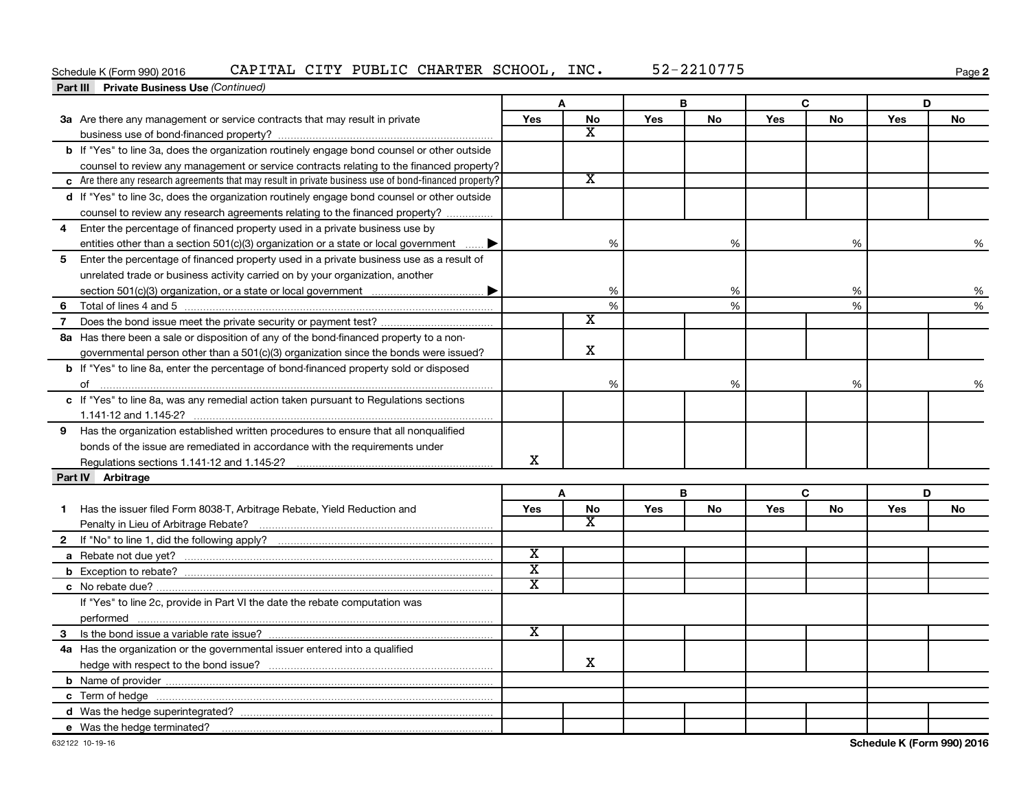## Schedule K (Form 990) 2016 CAPITAL CITY PUBLIC CHARTER SCHOOL, INC. 52-2210775

**2**

|                | <b>Part III</b> Private Business Use (Continued)                                                       |                             |                       |     |    |     |           |     |    |
|----------------|--------------------------------------------------------------------------------------------------------|-----------------------------|-----------------------|-----|----|-----|-----------|-----|----|
|                |                                                                                                        |                             | A                     |     | В  |     | C         |     | D  |
|                | 3a Are there any management or service contracts that may result in private                            | Yes                         | <b>No</b>             | Yes | No | Yes | <b>No</b> | Yes | No |
|                |                                                                                                        |                             | X                     |     |    |     |           |     |    |
|                | b If "Yes" to line 3a, does the organization routinely engage bond counsel or other outside            |                             |                       |     |    |     |           |     |    |
|                | counsel to review any management or service contracts relating to the financed property?               |                             |                       |     |    |     |           |     |    |
|                | c Are there any research agreements that may result in private business use of bond-financed property? |                             | $\overline{\text{x}}$ |     |    |     |           |     |    |
|                | d If "Yes" to line 3c, does the organization routinely engage bond counsel or other outside            |                             |                       |     |    |     |           |     |    |
|                | counsel to review any research agreements relating to the financed property?                           |                             |                       |     |    |     |           |     |    |
| 4              | Enter the percentage of financed property used in a private business use by                            |                             |                       |     |    |     |           |     |    |
|                | entities other than a section 501(c)(3) organization or a state or local government $\ldots$           |                             | %                     |     | %  |     | %         |     | %  |
| 5              | Enter the percentage of financed property used in a private business use as a result of                |                             |                       |     |    |     |           |     |    |
|                | unrelated trade or business activity carried on by your organization, another                          |                             |                       |     |    |     |           |     |    |
|                |                                                                                                        |                             | %                     |     | %  |     | %         |     | %  |
| 6              |                                                                                                        |                             | $\%$                  |     | %  |     | %         |     | %  |
| $\overline{7}$ |                                                                                                        |                             | х                     |     |    |     |           |     |    |
|                | 8a Has there been a sale or disposition of any of the bond-financed property to a non-                 |                             |                       |     |    |     |           |     |    |
|                | governmental person other than a 501(c)(3) organization since the bonds were issued?                   |                             | $\mathbf x$           |     |    |     |           |     |    |
|                | <b>b</b> If "Yes" to line 8a, enter the percentage of bond-financed property sold or disposed          |                             |                       |     |    |     |           |     |    |
|                |                                                                                                        |                             | %                     |     | %  |     | %         |     | %  |
|                | c If "Yes" to line 8a, was any remedial action taken pursuant to Regulations sections                  |                             |                       |     |    |     |           |     |    |
|                |                                                                                                        |                             |                       |     |    |     |           |     |    |
|                | 9 Has the organization established written procedures to ensure that all nonqualified                  |                             |                       |     |    |     |           |     |    |
|                | bonds of the issue are remediated in accordance with the requirements under                            |                             |                       |     |    |     |           |     |    |
|                |                                                                                                        | x                           |                       |     |    |     |           |     |    |
|                | Part IV Arbitrage                                                                                      |                             |                       |     |    |     |           |     |    |
|                |                                                                                                        |                             | A                     |     | В  |     | C         |     | D  |
| 1              | Has the issuer filed Form 8038-T, Arbitrage Rebate, Yield Reduction and                                | <b>Yes</b>                  | No                    | Yes | No | Yes | No        | Yes | No |
|                |                                                                                                        |                             | x                     |     |    |     |           |     |    |
|                |                                                                                                        |                             |                       |     |    |     |           |     |    |
|                |                                                                                                        | $\overline{\textnormal{x}}$ |                       |     |    |     |           |     |    |
|                |                                                                                                        | $\overline{\mathbf{x}}$     |                       |     |    |     |           |     |    |
|                |                                                                                                        | $\overline{\mathbf{x}}$     |                       |     |    |     |           |     |    |
|                | If "Yes" to line 2c, provide in Part VI the date the rebate computation was                            |                             |                       |     |    |     |           |     |    |
|                | performed                                                                                              |                             |                       |     |    |     |           |     |    |
|                |                                                                                                        | $\overline{\textnormal{x}}$ |                       |     |    |     |           |     |    |
|                | 4a Has the organization or the governmental issuer entered into a qualified                            |                             |                       |     |    |     |           |     |    |
|                |                                                                                                        |                             | x                     |     |    |     |           |     |    |
|                |                                                                                                        |                             |                       |     |    |     |           |     |    |
|                |                                                                                                        |                             |                       |     |    |     |           |     |    |
|                |                                                                                                        |                             |                       |     |    |     |           |     |    |
|                | e Was the hedge terminated?                                                                            |                             |                       |     |    |     |           |     |    |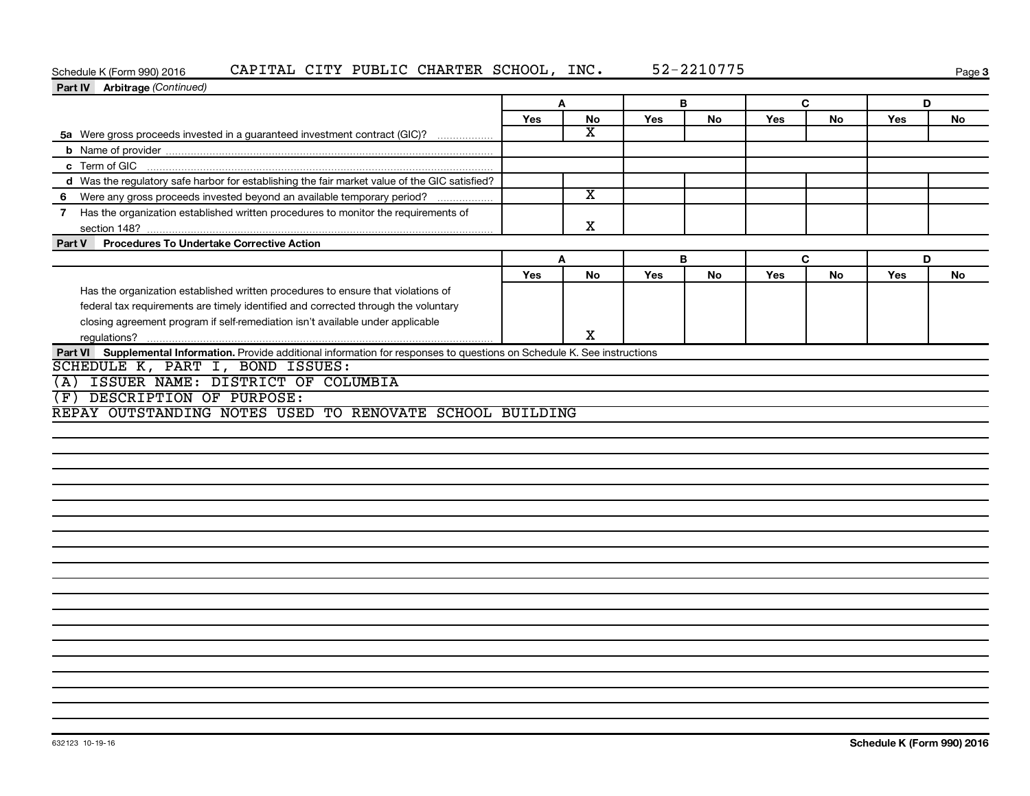## Schedule K (Form 990) 2016 CAPITAL CITY PUBLIC CHARTER SCHOOL, INC. 52-2210775

**3**

| Part IV Arbitrage (Continued)                                                                                                                       |     |                         |            |    |     |    |     |           |
|-----------------------------------------------------------------------------------------------------------------------------------------------------|-----|-------------------------|------------|----|-----|----|-----|-----------|
|                                                                                                                                                     | A   |                         |            | В  |     | C  |     | D         |
|                                                                                                                                                     | Yes | No                      | <b>Yes</b> | No | Yes | No | Yes | <b>No</b> |
| 5a Were gross proceeds invested in a guaranteed investment contract (GIC)?                                                                          |     | $\overline{\texttt{x}}$ |            |    |     |    |     |           |
|                                                                                                                                                     |     |                         |            |    |     |    |     |           |
|                                                                                                                                                     |     |                         |            |    |     |    |     |           |
| d Was the regulatory safe harbor for establishing the fair market value of the GIC satisfied?                                                       |     |                         |            |    |     |    |     |           |
| 6 Were any gross proceeds invested beyond an available temporary period?                                                                            |     | $\overline{\mathtt{x}}$ |            |    |     |    |     |           |
| 7 Has the organization established written procedures to monitor the requirements of                                                                |     | X                       |            |    |     |    |     |           |
| <b>Procedures To Undertake Corrective Action</b><br>Part V                                                                                          |     |                         |            |    |     |    |     |           |
|                                                                                                                                                     | A   |                         |            | B  |     | C  |     | D         |
|                                                                                                                                                     | Yes | No                      | Yes        | No | Yes | No | Yes | No        |
| Has the organization established written procedures to ensure that violations of                                                                    |     |                         |            |    |     |    |     |           |
| federal tax requirements are timely identified and corrected through the voluntary                                                                  |     |                         |            |    |     |    |     |           |
| closing agreement program if self-remediation isn't available under applicable                                                                      |     |                         |            |    |     |    |     |           |
|                                                                                                                                                     |     | X.                      |            |    |     |    |     |           |
| ISSUER NAME: DISTRICT OF COLUMBIA<br>(A)<br>DESCRIPTION OF PURPOSE:<br>$(\, {\bf F} \,$<br>REPAY OUTSTANDING NOTES USED TO RENOVATE SCHOOL BUILDING |     |                         |            |    |     |    |     |           |
|                                                                                                                                                     |     |                         |            |    |     |    |     |           |
|                                                                                                                                                     |     |                         |            |    |     |    |     |           |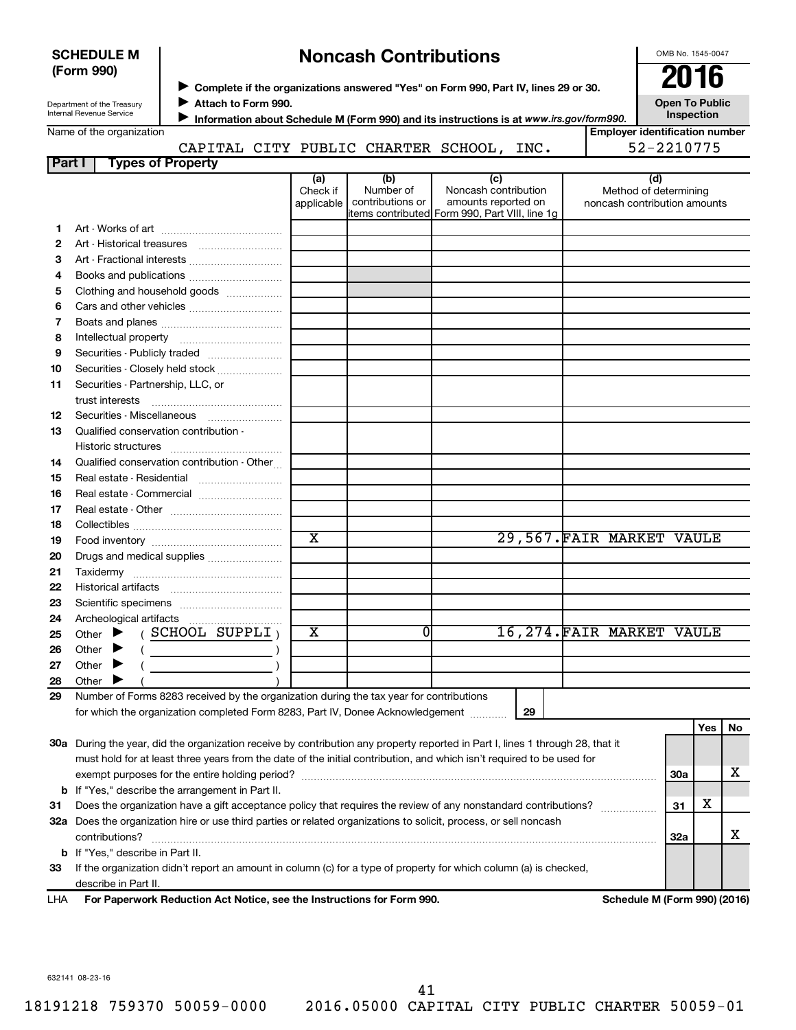| <b>SCHEDULE M</b>                                      |                     | <b>Noncash Contributions</b> | OMB No. 1545-004                                                                        |     |      |  |                                           |  |  |  |  |
|--------------------------------------------------------|---------------------|------------------------------|-----------------------------------------------------------------------------------------|-----|------|--|-------------------------------------------|--|--|--|--|
| (Form 990)                                             |                     |                              | ▶ Complete if the organizations answered "Yes" on Form 990, Part IV, lines 29 or 30.    |     |      |  |                                           |  |  |  |  |
| Department of the Treasury<br>Internal Revenue Service | Attach to Form 990. |                              | Information about Schedule M (Form 990) and its instructions is at www.irs.gov/form990. |     |      |  | <b>Open To Publi</b><br><b>Inspection</b> |  |  |  |  |
| Name of the organization                               |                     |                              |                                                                                         |     |      |  | <b>Employer identification nur</b>        |  |  |  |  |
|                                                        |                     |                              | CAPITAL CITY PUBLIC CHARTER SCHOOL,                                                     |     | INC. |  | 52-2210775                                |  |  |  |  |
| Part I<br><b>Types of Property</b>                     |                     |                              |                                                                                         |     |      |  |                                           |  |  |  |  |
|                                                        |                     | (a)                          | (h)                                                                                     | (c) |      |  | 14)                                       |  |  |  |  |

|    |                                                                                                                                | (a)<br>Check if         | (b)<br>Number of | (c)<br>Noncash contribution                    | (d)<br>Method of determining |
|----|--------------------------------------------------------------------------------------------------------------------------------|-------------------------|------------------|------------------------------------------------|------------------------------|
|    |                                                                                                                                | applicable              | contributions or | amounts reported on                            | noncash contribution amounts |
|    |                                                                                                                                |                         |                  | items contributed Form 990, Part VIII, line 1g |                              |
| 1. |                                                                                                                                |                         |                  |                                                |                              |
| 2  |                                                                                                                                |                         |                  |                                                |                              |
| 3  |                                                                                                                                |                         |                  |                                                |                              |
| 4  |                                                                                                                                |                         |                  |                                                |                              |
| 5  | Clothing and household goods                                                                                                   |                         |                  |                                                |                              |
| 6  |                                                                                                                                |                         |                  |                                                |                              |
| 7  |                                                                                                                                |                         |                  |                                                |                              |
| 8  |                                                                                                                                |                         |                  |                                                |                              |
| 9  | Securities - Publicly traded                                                                                                   |                         |                  |                                                |                              |
| 10 | Securities - Closely held stock                                                                                                |                         |                  |                                                |                              |
| 11 | Securities - Partnership, LLC, or                                                                                              |                         |                  |                                                |                              |
|    |                                                                                                                                |                         |                  |                                                |                              |
| 12 | Securities - Miscellaneous                                                                                                     |                         |                  |                                                |                              |
| 13 | Qualified conservation contribution -                                                                                          |                         |                  |                                                |                              |
|    |                                                                                                                                |                         |                  |                                                |                              |
| 14 | Qualified conservation contribution - Other                                                                                    |                         |                  |                                                |                              |
| 15 |                                                                                                                                |                         |                  |                                                |                              |
| 16 |                                                                                                                                |                         |                  |                                                |                              |
| 17 |                                                                                                                                |                         |                  |                                                |                              |
| 18 |                                                                                                                                |                         |                  |                                                |                              |
| 19 |                                                                                                                                | $\overline{\textbf{x}}$ |                  |                                                | 29,567. FAIR MARKET VAULE    |
| 20 |                                                                                                                                |                         |                  |                                                |                              |
| 21 |                                                                                                                                |                         |                  |                                                |                              |
| 22 |                                                                                                                                |                         |                  |                                                |                              |
| 23 |                                                                                                                                |                         |                  |                                                |                              |
| 24 |                                                                                                                                |                         |                  |                                                |                              |
| 25 | (SCHOOL SUPPLI)<br>Other $\blacktriangleright$                                                                                 | X                       | 0                |                                                | 16,274.FAIR MARKET VAULE     |
| 26 | Other $\blacktriangleright$<br>$\left($ $\right)$                                                                              |                         |                  |                                                |                              |
| 27 | Other $\blacktriangleright$<br>$\overline{a}$                                                                                  |                         |                  |                                                |                              |
| 28 | Other $\blacktriangleright$                                                                                                    |                         |                  |                                                |                              |
| 29 | Number of Forms 8283 received by the organization during the tax year for contributions                                        |                         |                  |                                                |                              |
|    | for which the organization completed Form 8283, Part IV, Donee Acknowledgement                                                 |                         |                  | 29                                             |                              |
|    |                                                                                                                                |                         |                  |                                                | Yes<br>No                    |
|    | 30a During the year, did the organization receive by contribution any property reported in Part I, lines 1 through 28, that it |                         |                  |                                                |                              |
|    | must hold for at least three years from the date of the initial contribution, and which isn't required to be used for          |                         |                  |                                                |                              |

| .   | Ear Danarwark Paduction Act Nation, see the Instructions for Earm 000                                                 | Schodule M (Form 000) (2016) |     |   |  |
|-----|-----------------------------------------------------------------------------------------------------------------------|------------------------------|-----|---|--|
|     | describe in Part II.                                                                                                  |                              |     |   |  |
| 33  | If the organization didn't report an amount in column (c) for a type of property for which column (a) is checked,     |                              |     |   |  |
|     | <b>b</b> If "Yes." describe in Part II.                                                                               |                              |     |   |  |
|     | contributions?                                                                                                        |                              | 32a |   |  |
| 32a | Does the organization hire or use third parties or related organizations to solicit, process, or sell noncash         |                              |     |   |  |
| -31 | Does the organization have a gift acceptance policy that requires the review of any nonstandard contributions?        |                              | 31  | х |  |
|     | <b>b</b> If "Yes," describe the arrangement in Part II.                                                               |                              |     |   |  |
|     | exempt purposes for the entire holding period?                                                                        |                              | 30a |   |  |
|     | must hold for at least three years from the date of the initial contribution, and which isn't required to be used for |                              |     |   |  |

**For Paperwork Reduction Act Notice, see the Instructions for Form 990. Schedule M (Form 990) (2016)** LHA

OMB No. 1545-0047

**Open To Public Inspection**

**Employer identification number**

632141 08-23-16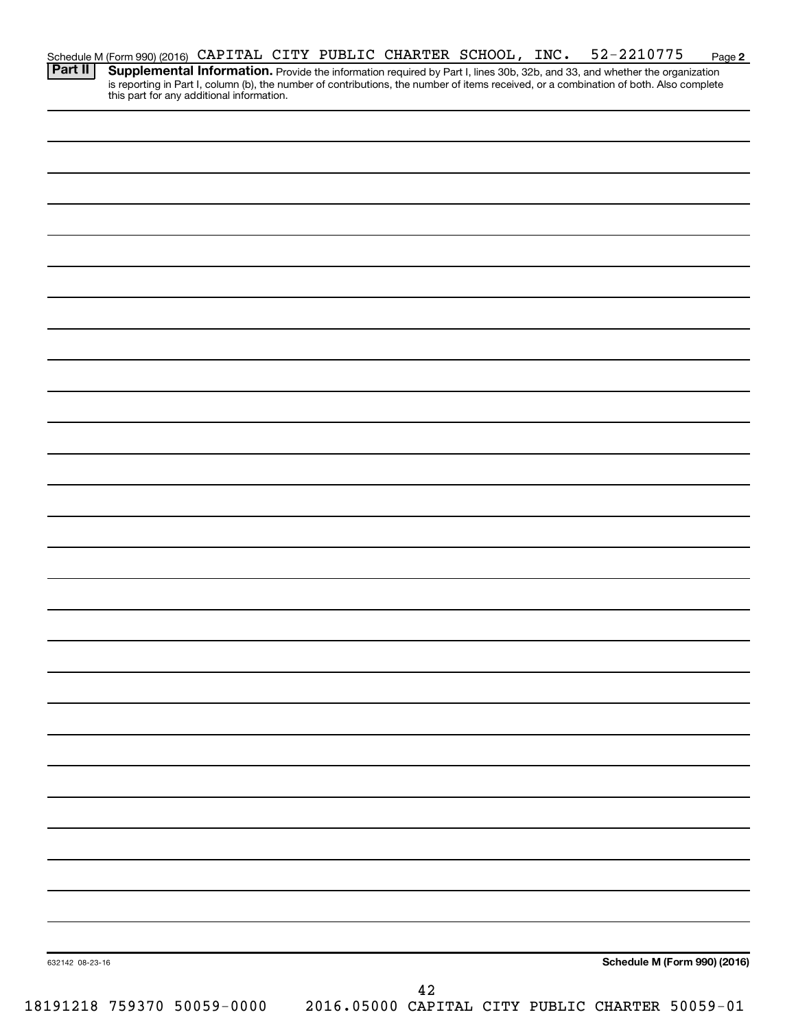|         | Schedule M (Form 990) (2016) CAPITAL CITY PUBLIC CHARTER SCHOOL, INC. |  |  |  | 52-2210775                                                                                                                             | Page 2 |
|---------|-----------------------------------------------------------------------|--|--|--|----------------------------------------------------------------------------------------------------------------------------------------|--------|
| Part II |                                                                       |  |  |  | Supplemental Information. Provide the information required by Part I, lines 30b, 32b, and 33, and whether the organization             |        |
|         | this part for any additional information.                             |  |  |  | is reporting in Part I, column (b), the number of contributions, the number of items received, or a combination of both. Also complete |        |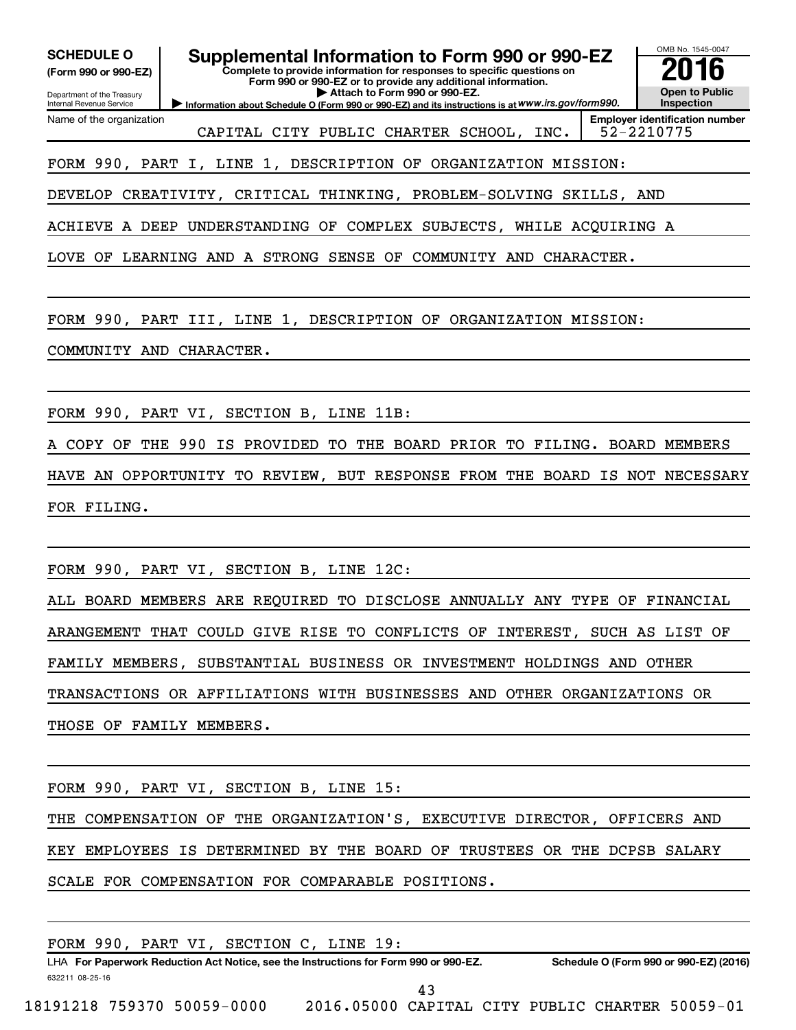| OMB No. 1545-0047<br><b>Supplemental Information to Form 990 or 990-EZ</b><br><b>SCHEDULE O</b><br>Complete to provide information for responses to specific questions on<br>(Form 990 or 990-EZ)<br>Form 990 or 990-EZ or to provide any additional information. |  |
|-------------------------------------------------------------------------------------------------------------------------------------------------------------------------------------------------------------------------------------------------------------------|--|
| <b>Open to Public</b><br>Attach to Form 990 or 990-EZ.<br>Department of the Treasury<br>Information about Schedule O (Form 990 or 990-EZ) and its instructions is at WWW.irs.gov/form990.<br><b>Inspection</b><br>Internal Revenue Service                        |  |
| <b>Employer identification number</b><br>Name of the organization<br>52-2210775<br>CAPITAL CITY PUBLIC CHARTER SCHOOL, INC.                                                                                                                                       |  |
| FORM 990, PART I, LINE 1, DESCRIPTION OF ORGANIZATION MISSION:                                                                                                                                                                                                    |  |
| DEVELOP CREATIVITY, CRITICAL THINKING, PROBLEM-SOLVING SKILLS, AND                                                                                                                                                                                                |  |
| ACHIEVE A DEEP UNDERSTANDING OF COMPLEX SUBJECTS, WHILE ACQUIRING A                                                                                                                                                                                               |  |
| LOVE OF LEARNING AND A STRONG SENSE OF COMMUNITY AND CHARACTER.                                                                                                                                                                                                   |  |
| FORM 990, PART III, LINE 1, DESCRIPTION OF ORGANIZATION MISSION:                                                                                                                                                                                                  |  |
| COMMUNITY AND CHARACTER.                                                                                                                                                                                                                                          |  |
| FORM 990, PART VI, SECTION B, LINE 11B:                                                                                                                                                                                                                           |  |
| THE 990 IS PROVIDED TO THE BOARD PRIOR TO FILING. BOARD MEMBERS<br>A COPY OF                                                                                                                                                                                      |  |
| HAVE AN OPPORTUNITY TO REVIEW, BUT RESPONSE FROM THE BOARD IS NOT NECESSARY                                                                                                                                                                                       |  |
| FOR FILING.                                                                                                                                                                                                                                                       |  |
|                                                                                                                                                                                                                                                                   |  |
| FORM 990, PART VI, SECTION B, LINE 12C:                                                                                                                                                                                                                           |  |
| ALL BOARD MEMBERS ARE REQUIRED TO DISCLOSE ANNUALLY ANY TYPE OF FINANCIAL                                                                                                                                                                                         |  |
| ARANGEMENT THAT COULD GIVE RISE TO CONFLICTS OF INTEREST, SUCH AS LIST OF                                                                                                                                                                                         |  |
| FAMILY MEMBERS, SUBSTANTIAL BUSINESS OR INVESTMENT HOLDINGS AND OTHER                                                                                                                                                                                             |  |
| TRANSACTIONS OR AFFILIATIONS WITH BUSINESSES AND OTHER ORGANIZATIONS OR                                                                                                                                                                                           |  |
| THOSE OF FAMILY MEMBERS.                                                                                                                                                                                                                                          |  |
| FORM 990, PART VI, SECTION B, LINE 15:                                                                                                                                                                                                                            |  |

THE COMPENSATION OF THE ORGANIZATION'S, EXECUTIVE DIRECTOR, OFFICERS AND KEY EMPLOYEES IS DETERMINED BY THE BOARD OF TRUSTEES OR THE DCPSB SALARY SCALE FOR COMPENSATION FOR COMPARABLE POSITIONS.

|                            |  | FORM 990, PART VI, SECTION C, LINE 19: |  |                                                                                      |  |                                                 |  |
|----------------------------|--|----------------------------------------|--|--------------------------------------------------------------------------------------|--|-------------------------------------------------|--|
|                            |  |                                        |  | LHA For Paperwork Reduction Act Notice, see the Instructions for Form 990 or 990-EZ. |  | Schedule O (Form 990 or 990-EZ) (2016)          |  |
| 632211 08-25-16            |  |                                        |  | 43                                                                                   |  |                                                 |  |
| 18191218 759370 50059-0000 |  |                                        |  |                                                                                      |  | 2016.05000 CAPITAL CITY PUBLIC CHARTER 50059-01 |  |